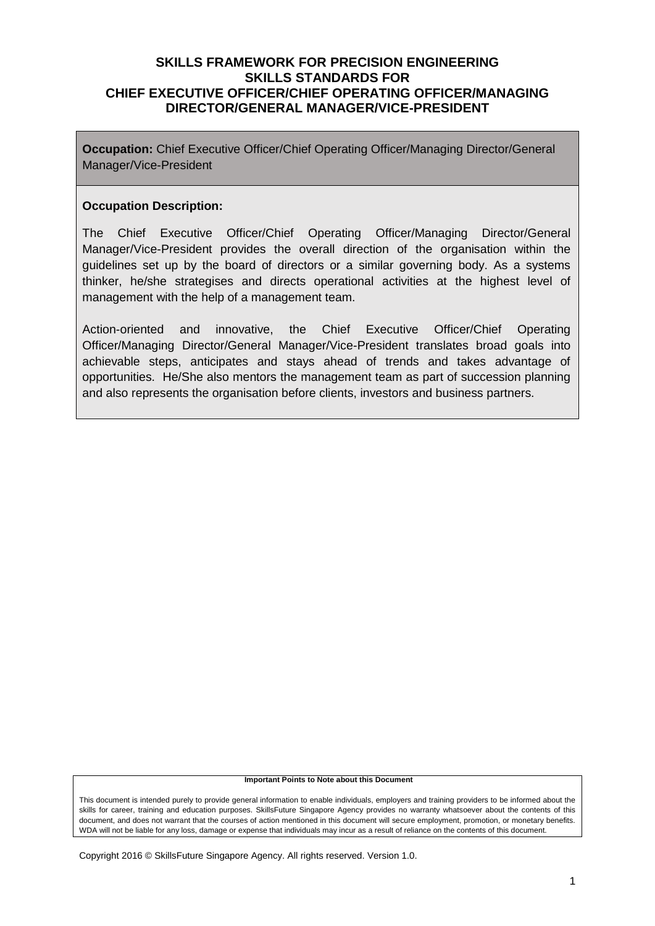**Occupation:** Chief Executive Officer/Chief Operating Officer/Managing Director/General Manager/Vice-President

#### **Occupation Description:**

The Chief Executive Officer/Chief Operating Officer/Managing Director/General Manager/Vice-President provides the overall direction of the organisation within the guidelines set up by the board of directors or a similar governing body. As a systems thinker, he/she strategises and directs operational activities at the highest level of management with the help of a management team.

Action-oriented and innovative, the Chief Executive Officer/Chief Operating Officer/Managing Director/General Manager/Vice-President translates broad goals into achievable steps, anticipates and stays ahead of trends and takes advantage of opportunities. He/She also mentors the management team as part of succession planning and also represents the organisation before clients, investors and business partners.

#### **Important Points to Note about this Document**

This document is intended purely to provide general information to enable individuals, employers and training providers to be informed about the skills for career, training and education purposes. SkillsFuture Singapore Agency provides no warranty whatsoever about the contents of this document, and does not warrant that the courses of action mentioned in this document will secure employment, promotion, or monetary benefits. WDA will not be liable for any loss, damage or expense that individuals may incur as a result of reliance on the contents of this document.

Copyright 2016 © SkillsFuture Singapore Agency. All rights reserved. Version 1.0.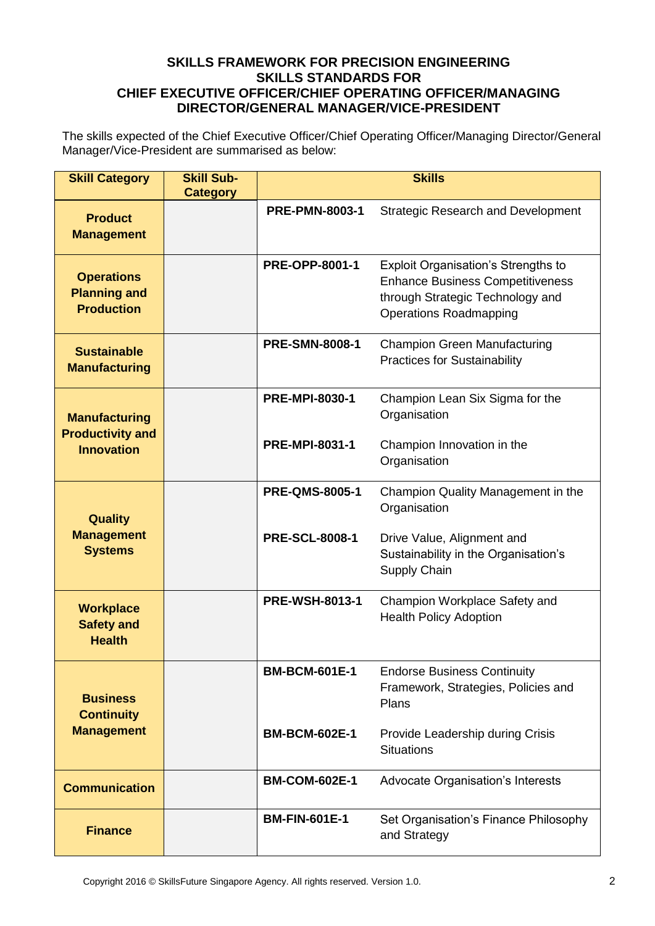The skills expected of the Chief Executive Officer/Chief Operating Officer/Managing Director/General Manager/Vice-President are summarised as below:

| <b>Skill Category</b>                                         | <b>Skill Sub-</b><br><b>Category</b> | <b>Skills</b>         |                                                                                                                                                            |  |
|---------------------------------------------------------------|--------------------------------------|-----------------------|------------------------------------------------------------------------------------------------------------------------------------------------------------|--|
| <b>Product</b><br><b>Management</b>                           |                                      | <b>PRE-PMN-8003-1</b> | <b>Strategic Research and Development</b>                                                                                                                  |  |
| <b>Operations</b><br><b>Planning and</b><br><b>Production</b> |                                      | <b>PRE-OPP-8001-1</b> | <b>Exploit Organisation's Strengths to</b><br><b>Enhance Business Competitiveness</b><br>through Strategic Technology and<br><b>Operations Roadmapping</b> |  |
| <b>Sustainable</b><br><b>Manufacturing</b>                    |                                      | <b>PRE-SMN-8008-1</b> | <b>Champion Green Manufacturing</b><br><b>Practices for Sustainability</b>                                                                                 |  |
| <b>Manufacturing</b>                                          |                                      | <b>PRE-MPI-8030-1</b> | Champion Lean Six Sigma for the<br>Organisation                                                                                                            |  |
| <b>Productivity and</b><br><b>Innovation</b>                  |                                      | <b>PRE-MPI-8031-1</b> | Champion Innovation in the<br>Organisation                                                                                                                 |  |
| <b>Quality</b><br><b>Management</b><br><b>Systems</b>         |                                      | <b>PRE-QMS-8005-1</b> | Champion Quality Management in the<br>Organisation                                                                                                         |  |
|                                                               |                                      | <b>PRE-SCL-8008-1</b> | Drive Value, Alignment and<br>Sustainability in the Organisation's<br>Supply Chain                                                                         |  |
| <b>Workplace</b><br><b>Safety and</b><br><b>Health</b>        |                                      | <b>PRE-WSH-8013-1</b> | Champion Workplace Safety and<br><b>Health Policy Adoption</b>                                                                                             |  |
| <b>Business</b><br><b>Continuity</b>                          |                                      | <b>BM-BCM-601E-1</b>  | <b>Endorse Business Continuity</b><br>Framework, Strategies, Policies and<br>Plans                                                                         |  |
| <b>Management</b>                                             |                                      | <b>BM-BCM-602E-1</b>  | Provide Leadership during Crisis<br><b>Situations</b>                                                                                                      |  |
| <b>Communication</b>                                          |                                      | <b>BM-COM-602E-1</b>  | Advocate Organisation's Interests                                                                                                                          |  |
| <b>Finance</b>                                                |                                      | <b>BM-FIN-601E-1</b>  | Set Organisation's Finance Philosophy<br>and Strategy                                                                                                      |  |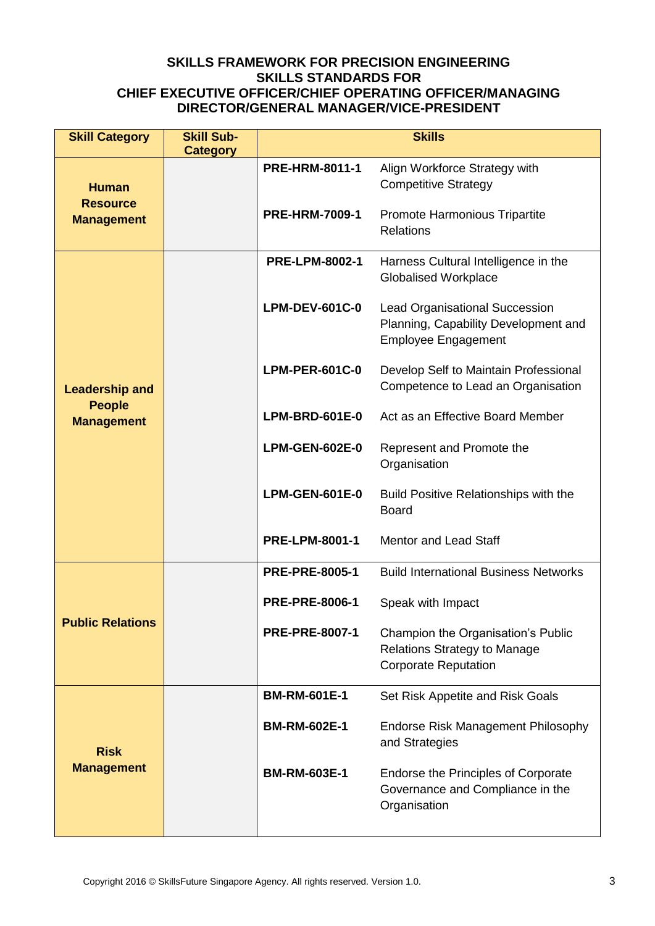| <b>Skill Category</b>                                       | <b>Skill Sub-</b><br><b>Category</b> | <b>Skills</b>         |                                                                                                             |  |
|-------------------------------------------------------------|--------------------------------------|-----------------------|-------------------------------------------------------------------------------------------------------------|--|
| <b>Human</b><br><b>Resource</b><br><b>Management</b>        |                                      | <b>PRE-HRM-8011-1</b> | Align Workforce Strategy with<br><b>Competitive Strategy</b>                                                |  |
|                                                             |                                      | <b>PRE-HRM-7009-1</b> | Promote Harmonious Tripartite<br><b>Relations</b>                                                           |  |
| <b>Leadership and</b><br><b>People</b><br><b>Management</b> |                                      | <b>PRE-LPM-8002-1</b> | Harness Cultural Intelligence in the<br><b>Globalised Workplace</b>                                         |  |
|                                                             |                                      | <b>LPM-DEV-601C-0</b> | <b>Lead Organisational Succession</b><br>Planning, Capability Development and<br><b>Employee Engagement</b> |  |
|                                                             |                                      | <b>LPM-PER-601C-0</b> | Develop Self to Maintain Professional<br>Competence to Lead an Organisation                                 |  |
|                                                             |                                      | <b>LPM-BRD-601E-0</b> | Act as an Effective Board Member                                                                            |  |
|                                                             |                                      | <b>LPM-GEN-602E-0</b> | Represent and Promote the<br>Organisation                                                                   |  |
|                                                             |                                      | <b>LPM-GEN-601E-0</b> | <b>Build Positive Relationships with the</b><br><b>Board</b>                                                |  |
|                                                             |                                      | <b>PRE-LPM-8001-1</b> | <b>Mentor and Lead Staff</b>                                                                                |  |
|                                                             |                                      | <b>PRE-PRE-8005-1</b> | <b>Build International Business Networks</b>                                                                |  |
|                                                             |                                      | <b>PRE-PRE-8006-1</b> | Speak with Impact                                                                                           |  |
| <b>Public Relations</b>                                     |                                      | <b>PRE-PRE-8007-1</b> | Champion the Organisation's Public<br><b>Relations Strategy to Manage</b><br><b>Corporate Reputation</b>    |  |
|                                                             |                                      | <b>BM-RM-601E-1</b>   | Set Risk Appetite and Risk Goals                                                                            |  |
| <b>Risk</b><br><b>Management</b>                            |                                      | <b>BM-RM-602E-1</b>   | <b>Endorse Risk Management Philosophy</b><br>and Strategies                                                 |  |
|                                                             |                                      | <b>BM-RM-603E-1</b>   | <b>Endorse the Principles of Corporate</b><br>Governance and Compliance in the<br>Organisation              |  |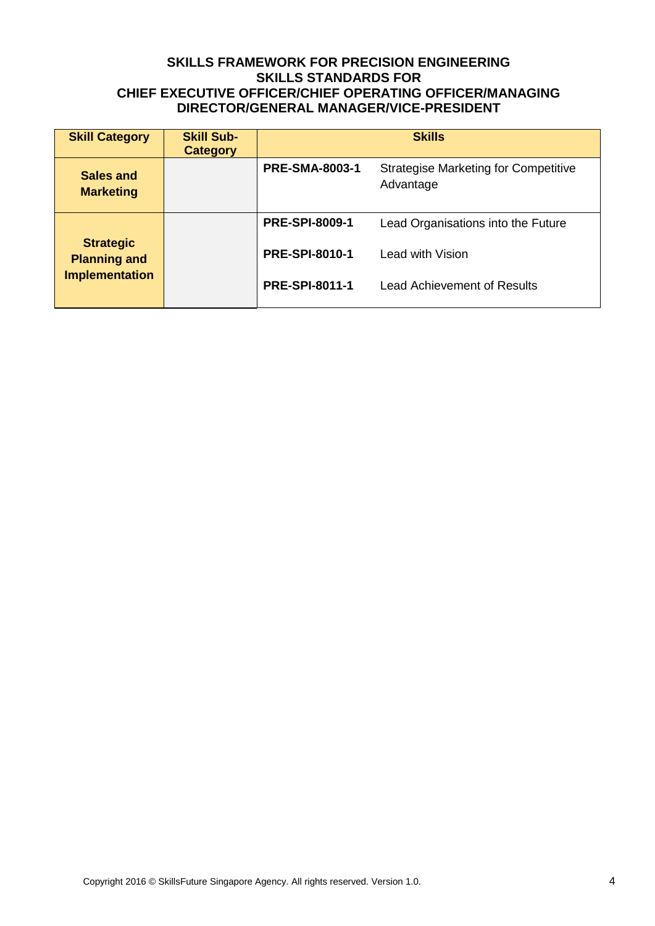| <b>Skill Category</b>                                            | <b>Skill Sub-</b><br><b>Category</b> | <b>Skills</b>                                                                     |                                    |  |
|------------------------------------------------------------------|--------------------------------------|-----------------------------------------------------------------------------------|------------------------------------|--|
| <b>Sales and</b><br><b>Marketing</b>                             |                                      | <b>PRE-SMA-8003-1</b><br><b>Strategise Marketing for Competitive</b><br>Advantage |                                    |  |
|                                                                  |                                      | <b>PRE-SPI-8009-1</b>                                                             | Lead Organisations into the Future |  |
| <b>Strategic</b><br><b>Planning and</b><br><b>Implementation</b> |                                      | <b>PRE-SPI-8010-1</b>                                                             | Lead with Vision                   |  |
|                                                                  |                                      | <b>PRE-SPI-8011-1</b>                                                             | Lead Achievement of Results        |  |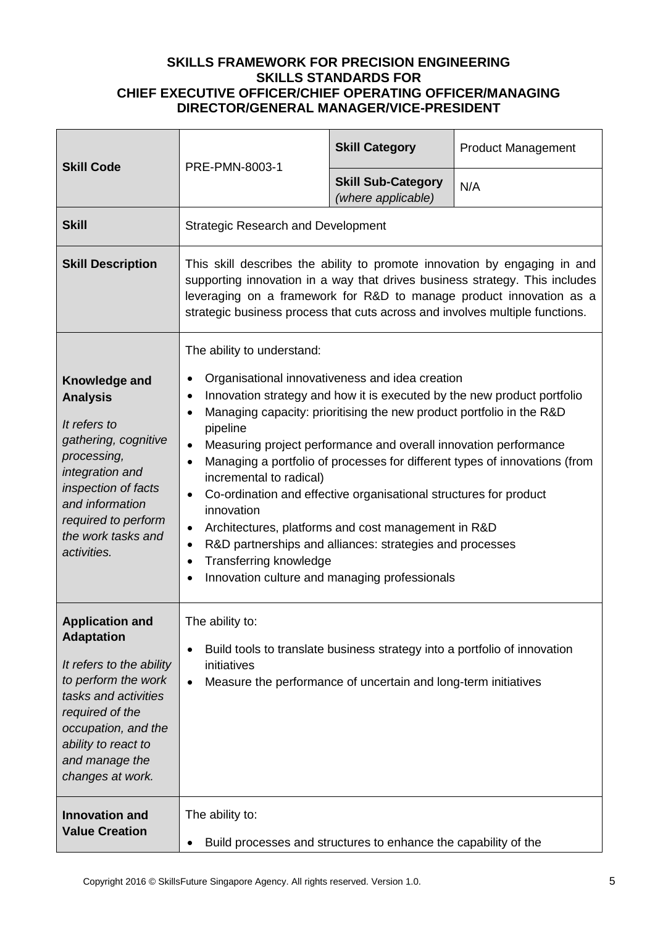|                                                                                                                                                                                                                               | PRE-PMN-8003-1                                                                                                                                                                                                                                                                                                                                                                                                                                                                                                                                                                                                                                                                                                                                                                          | <b>Skill Category</b>                           | <b>Product Management</b> |
|-------------------------------------------------------------------------------------------------------------------------------------------------------------------------------------------------------------------------------|-----------------------------------------------------------------------------------------------------------------------------------------------------------------------------------------------------------------------------------------------------------------------------------------------------------------------------------------------------------------------------------------------------------------------------------------------------------------------------------------------------------------------------------------------------------------------------------------------------------------------------------------------------------------------------------------------------------------------------------------------------------------------------------------|-------------------------------------------------|---------------------------|
| <b>Skill Code</b>                                                                                                                                                                                                             |                                                                                                                                                                                                                                                                                                                                                                                                                                                                                                                                                                                                                                                                                                                                                                                         | <b>Skill Sub-Category</b><br>(where applicable) | N/A                       |
| <b>Skill</b>                                                                                                                                                                                                                  | <b>Strategic Research and Development</b>                                                                                                                                                                                                                                                                                                                                                                                                                                                                                                                                                                                                                                                                                                                                               |                                                 |                           |
| <b>Skill Description</b>                                                                                                                                                                                                      | This skill describes the ability to promote innovation by engaging in and<br>supporting innovation in a way that drives business strategy. This includes<br>leveraging on a framework for R&D to manage product innovation as a<br>strategic business process that cuts across and involves multiple functions.                                                                                                                                                                                                                                                                                                                                                                                                                                                                         |                                                 |                           |
| Knowledge and<br><b>Analysis</b><br>It refers to<br>gathering, cognitive<br>processing,<br>integration and<br>inspection of facts<br>and information<br>required to perform<br>the work tasks and<br>activities.              | The ability to understand:<br>Organisational innovativeness and idea creation<br>Innovation strategy and how it is executed by the new product portfolio<br>$\bullet$<br>Managing capacity: prioritising the new product portfolio in the R&D<br>pipeline<br>Measuring project performance and overall innovation performance<br>$\bullet$<br>Managing a portfolio of processes for different types of innovations (from<br>$\bullet$<br>incremental to radical)<br>Co-ordination and effective organisational structures for product<br>$\bullet$<br>innovation<br>Architectures, platforms and cost management in R&D<br>$\bullet$<br>R&D partnerships and alliances: strategies and processes<br><b>Transferring knowledge</b><br>٠<br>Innovation culture and managing professionals |                                                 |                           |
| <b>Application and</b><br><b>Adaptation</b><br>It refers to the ability<br>to perform the work<br>tasks and activities<br>required of the<br>occupation, and the<br>ability to react to<br>and manage the<br>changes at work. | The ability to:<br>Build tools to translate business strategy into a portfolio of innovation<br>٠<br>initiatives<br>Measure the performance of uncertain and long-term initiatives<br>$\bullet$                                                                                                                                                                                                                                                                                                                                                                                                                                                                                                                                                                                         |                                                 |                           |
| <b>Innovation and</b><br><b>Value Creation</b>                                                                                                                                                                                | The ability to:<br>Build processes and structures to enhance the capability of the                                                                                                                                                                                                                                                                                                                                                                                                                                                                                                                                                                                                                                                                                                      |                                                 |                           |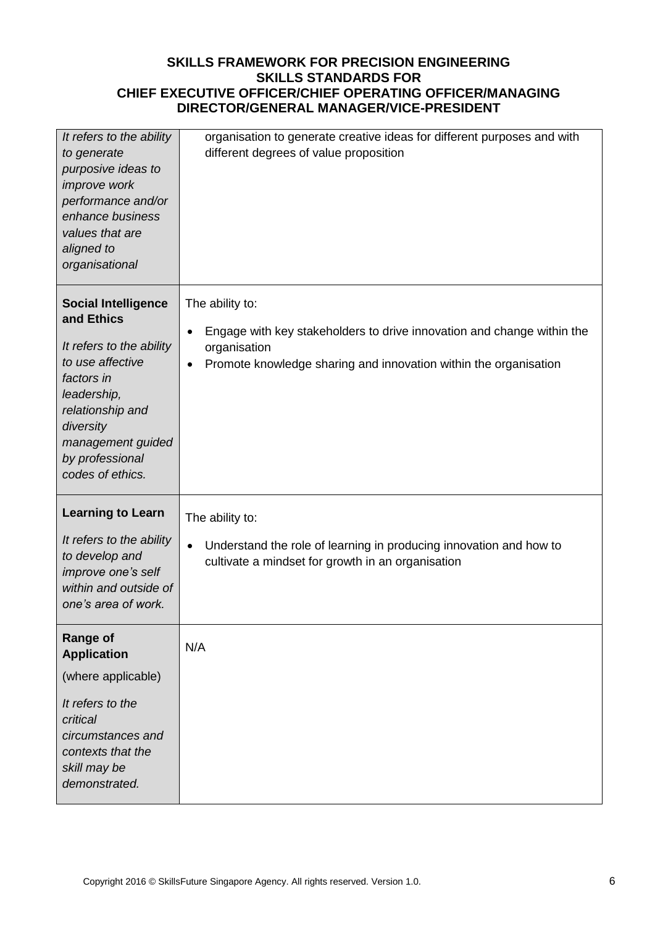| It refers to the ability<br>to generate<br>purposive ideas to<br>improve work<br>performance and/or<br>enhance business<br>values that are<br>aligned to<br>organisational                                         | organisation to generate creative ideas for different purposes and with<br>different degrees of value proposition                                                             |
|--------------------------------------------------------------------------------------------------------------------------------------------------------------------------------------------------------------------|-------------------------------------------------------------------------------------------------------------------------------------------------------------------------------|
| <b>Social Intelligence</b><br>and Ethics<br>It refers to the ability<br>to use affective<br>factors in<br>leadership,<br>relationship and<br>diversity<br>management guided<br>by professional<br>codes of ethics. | The ability to:<br>Engage with key stakeholders to drive innovation and change within the<br>organisation<br>Promote knowledge sharing and innovation within the organisation |
| <b>Learning to Learn</b><br>It refers to the ability<br>to develop and<br>improve one's self<br>within and outside of<br>one's area of work.                                                                       | The ability to:<br>Understand the role of learning in producing innovation and how to<br>$\bullet$<br>cultivate a mindset for growth in an organisation                       |
| <b>Range of</b><br><b>Application</b><br>(where applicable)<br>It refers to the<br>critical<br>circumstances and<br>contexts that the<br>skill may be<br>demonstrated.                                             | N/A                                                                                                                                                                           |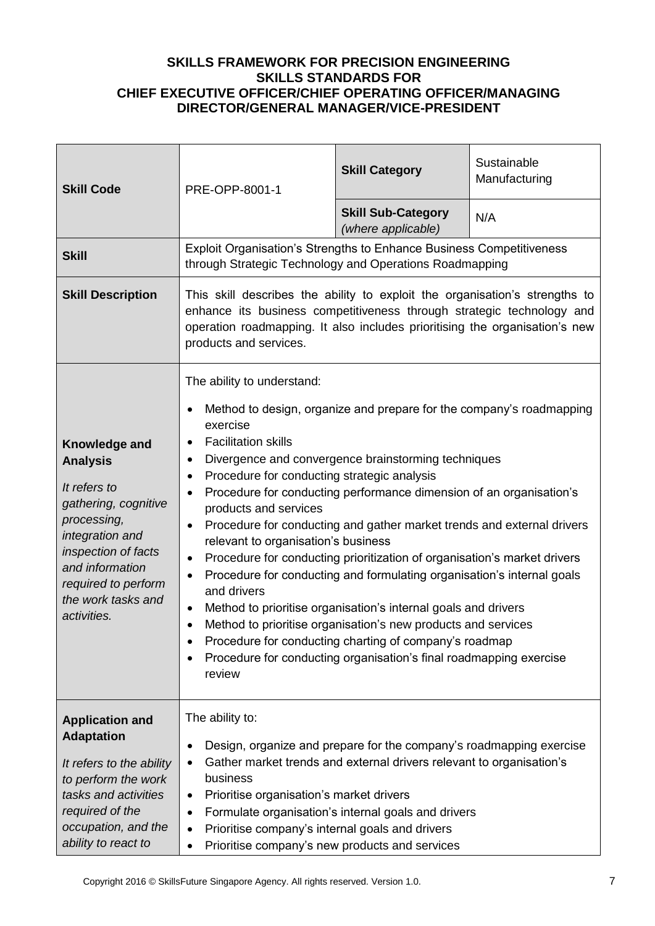| <b>Skill Code</b>                                                                                                                                                                                                | PRE-OPP-8001-1                                                                                                                                                                                                                                                                                                                                                                                                                                                                                                                                                                                                                                                                                                                                                                                                                                                                                                                                                                                                                          | <b>Skill Category</b>                           | Sustainable<br>Manufacturing |
|------------------------------------------------------------------------------------------------------------------------------------------------------------------------------------------------------------------|-----------------------------------------------------------------------------------------------------------------------------------------------------------------------------------------------------------------------------------------------------------------------------------------------------------------------------------------------------------------------------------------------------------------------------------------------------------------------------------------------------------------------------------------------------------------------------------------------------------------------------------------------------------------------------------------------------------------------------------------------------------------------------------------------------------------------------------------------------------------------------------------------------------------------------------------------------------------------------------------------------------------------------------------|-------------------------------------------------|------------------------------|
|                                                                                                                                                                                                                  |                                                                                                                                                                                                                                                                                                                                                                                                                                                                                                                                                                                                                                                                                                                                                                                                                                                                                                                                                                                                                                         | <b>Skill Sub-Category</b><br>(where applicable) | N/A                          |
| <b>Skill</b>                                                                                                                                                                                                     | Exploit Organisation's Strengths to Enhance Business Competitiveness<br>through Strategic Technology and Operations Roadmapping                                                                                                                                                                                                                                                                                                                                                                                                                                                                                                                                                                                                                                                                                                                                                                                                                                                                                                         |                                                 |                              |
| <b>Skill Description</b>                                                                                                                                                                                         | This skill describes the ability to exploit the organisation's strengths to<br>enhance its business competitiveness through strategic technology and<br>operation roadmapping. It also includes prioritising the organisation's new<br>products and services.                                                                                                                                                                                                                                                                                                                                                                                                                                                                                                                                                                                                                                                                                                                                                                           |                                                 |                              |
| Knowledge and<br><b>Analysis</b><br>It refers to<br>gathering, cognitive<br>processing,<br>integration and<br>inspection of facts<br>and information<br>required to perform<br>the work tasks and<br>activities. | The ability to understand:<br>Method to design, organize and prepare for the company's roadmapping<br>exercise<br><b>Facilitation skills</b><br>$\bullet$<br>Divergence and convergence brainstorming techniques<br>٠<br>Procedure for conducting strategic analysis<br>$\bullet$<br>Procedure for conducting performance dimension of an organisation's<br>$\bullet$<br>products and services<br>Procedure for conducting and gather market trends and external drivers<br>٠<br>relevant to organisation's business<br>Procedure for conducting prioritization of organisation's market drivers<br>$\bullet$<br>Procedure for conducting and formulating organisation's internal goals<br>$\bullet$<br>and drivers<br>Method to prioritise organisation's internal goals and drivers<br>$\bullet$<br>Method to prioritise organisation's new products and services<br>$\bullet$<br>Procedure for conducting charting of company's roadmap<br>Procedure for conducting organisation's final roadmapping exercise<br>$\bullet$<br>review |                                                 |                              |
| <b>Application and</b><br><b>Adaptation</b><br>It refers to the ability<br>to perform the work<br>tasks and activities<br>required of the<br>occupation, and the<br>ability to react to                          | The ability to:<br>Design, organize and prepare for the company's roadmapping exercise<br>٠<br>Gather market trends and external drivers relevant to organisation's<br>٠<br>business<br>Prioritise organisation's market drivers<br>$\bullet$<br>Formulate organisation's internal goals and drivers<br>٠<br>Prioritise company's internal goals and drivers<br>$\bullet$<br>Prioritise company's new products and services                                                                                                                                                                                                                                                                                                                                                                                                                                                                                                                                                                                                             |                                                 |                              |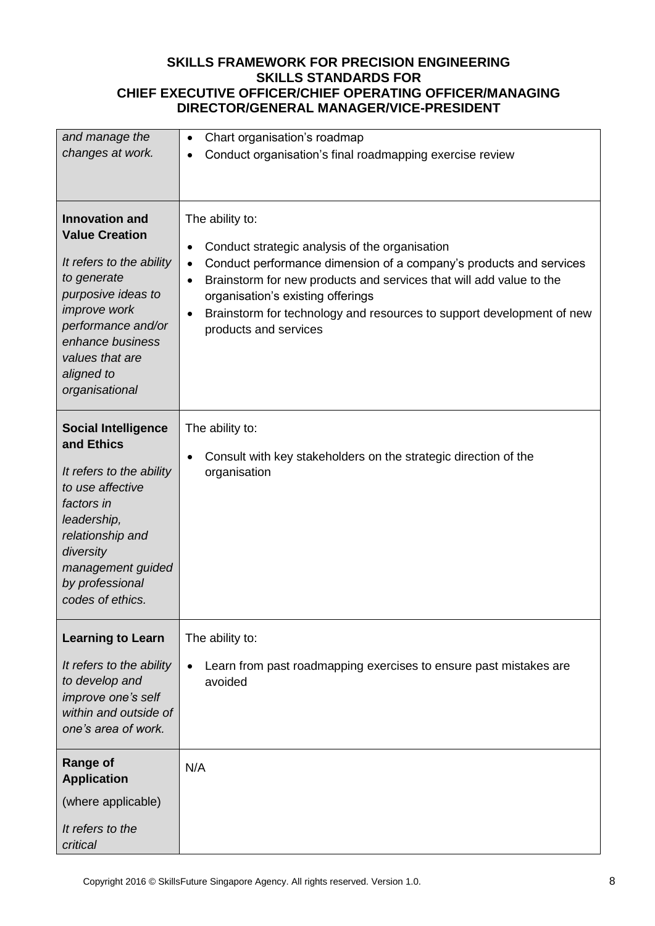| and manage the                                                                                                                                                                                                                      | Chart organisation's roadmap<br>$\bullet$                                                                                                                                                                                                                                                                                                                                            |
|-------------------------------------------------------------------------------------------------------------------------------------------------------------------------------------------------------------------------------------|--------------------------------------------------------------------------------------------------------------------------------------------------------------------------------------------------------------------------------------------------------------------------------------------------------------------------------------------------------------------------------------|
| changes at work.                                                                                                                                                                                                                    | Conduct organisation's final roadmapping exercise review                                                                                                                                                                                                                                                                                                                             |
|                                                                                                                                                                                                                                     |                                                                                                                                                                                                                                                                                                                                                                                      |
| <b>Innovation and</b><br><b>Value Creation</b><br>It refers to the ability<br>to generate<br>purposive ideas to<br><i>improve</i> work<br>performance and/or<br>enhance business<br>values that are<br>aligned to<br>organisational | The ability to:<br>Conduct strategic analysis of the organisation<br>٠<br>Conduct performance dimension of a company's products and services<br>$\bullet$<br>Brainstorm for new products and services that will add value to the<br>$\bullet$<br>organisation's existing offerings<br>Brainstorm for technology and resources to support development of new<br>products and services |
| <b>Social Intelligence</b><br>and Ethics<br>It refers to the ability<br>to use affective<br>factors in<br>leadership,<br>relationship and<br>diversity<br>management guided<br>by professional<br>codes of ethics.                  | The ability to:<br>Consult with key stakeholders on the strategic direction of the<br>organisation                                                                                                                                                                                                                                                                                   |
| <b>Learning to Learn</b><br>It refers to the ability<br>to develop and<br>improve one's self<br>within and outside of<br>one's area of work.                                                                                        | The ability to:<br>Learn from past roadmapping exercises to ensure past mistakes are<br>$\bullet$<br>avoided                                                                                                                                                                                                                                                                         |
| Range of<br><b>Application</b><br>(where applicable)<br>It refers to the<br>critical                                                                                                                                                | N/A                                                                                                                                                                                                                                                                                                                                                                                  |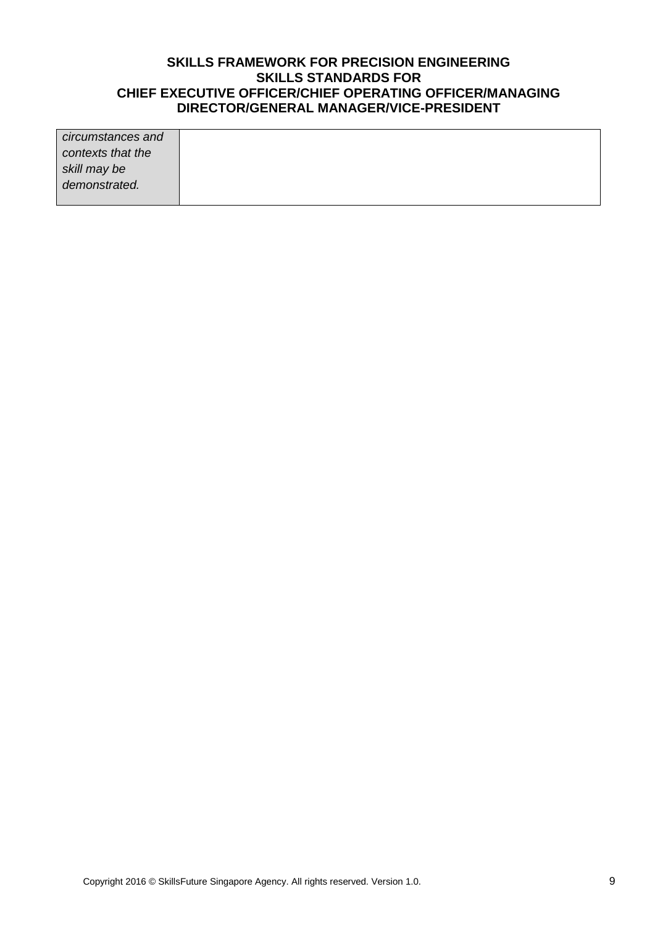| circumstances and |  |
|-------------------|--|
| contexts that the |  |
| skill may be      |  |
| demonstrated.     |  |
|                   |  |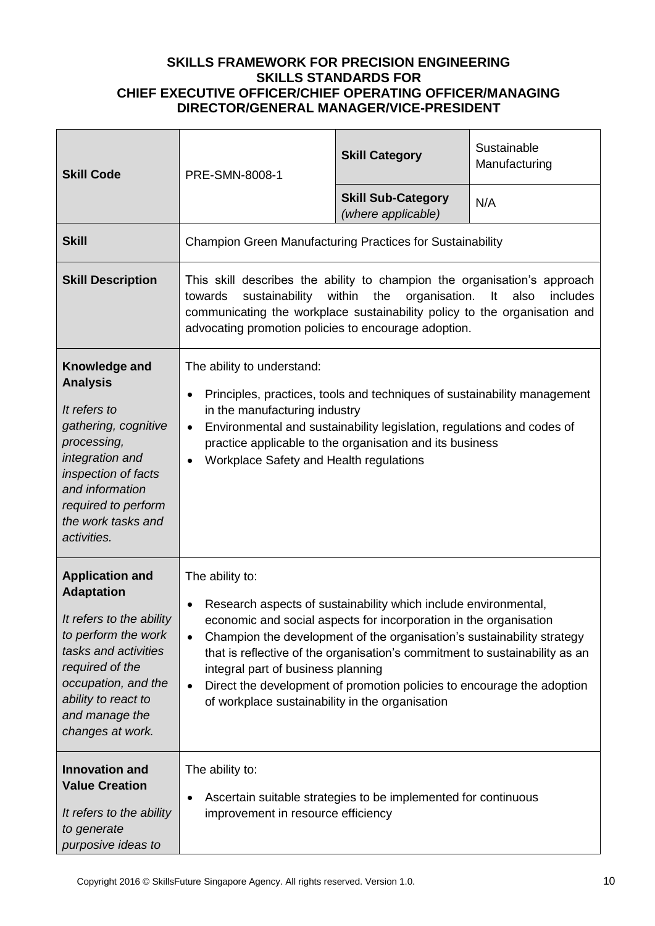| <b>Skill Code</b>                                                                                                                                                                                                             | PRE-SMN-8008-1                                                                                                                                                                                                                                                                                                                                                                                                                                                                                                | <b>Skill Category</b>                                          | Sustainable<br>Manufacturing |
|-------------------------------------------------------------------------------------------------------------------------------------------------------------------------------------------------------------------------------|---------------------------------------------------------------------------------------------------------------------------------------------------------------------------------------------------------------------------------------------------------------------------------------------------------------------------------------------------------------------------------------------------------------------------------------------------------------------------------------------------------------|----------------------------------------------------------------|------------------------------|
|                                                                                                                                                                                                                               |                                                                                                                                                                                                                                                                                                                                                                                                                                                                                                               | <b>Skill Sub-Category</b><br>(where applicable)                | N/A                          |
| <b>Skill</b>                                                                                                                                                                                                                  | <b>Champion Green Manufacturing Practices for Sustainability</b>                                                                                                                                                                                                                                                                                                                                                                                                                                              |                                                                |                              |
| <b>Skill Description</b>                                                                                                                                                                                                      | This skill describes the ability to champion the organisation's approach<br>within<br>sustainability<br>the<br>organisation.<br>also<br>includes<br>towards<br>It<br>communicating the workplace sustainability policy to the organisation and<br>advocating promotion policies to encourage adoption.                                                                                                                                                                                                        |                                                                |                              |
| Knowledge and<br><b>Analysis</b><br>It refers to<br>gathering, cognitive<br>processing,<br>integration and<br>inspection of facts<br>and information<br>required to perform<br>the work tasks and<br>activities.              | The ability to understand:<br>Principles, practices, tools and techniques of sustainability management<br>٠<br>in the manufacturing industry<br>Environmental and sustainability legislation, regulations and codes of<br>$\bullet$<br>practice applicable to the organisation and its business<br>Workplace Safety and Health regulations<br>$\bullet$                                                                                                                                                       |                                                                |                              |
| <b>Application and</b><br><b>Adaptation</b><br>It refers to the ability<br>to perform the work<br>tasks and activities<br>required of the<br>occupation, and the<br>ability to react to<br>and manage the<br>changes at work. | The ability to:<br>Research aspects of sustainability which include environmental,<br>economic and social aspects for incorporation in the organisation<br>Champion the development of the organisation's sustainability strategy<br>$\bullet$<br>that is reflective of the organisation's commitment to sustainability as an<br>integral part of business planning<br>Direct the development of promotion policies to encourage the adoption<br>$\bullet$<br>of workplace sustainability in the organisation |                                                                |                              |
| <b>Innovation and</b><br><b>Value Creation</b><br>It refers to the ability<br>to generate<br>purposive ideas to                                                                                                               | The ability to:<br>improvement in resource efficiency                                                                                                                                                                                                                                                                                                                                                                                                                                                         | Ascertain suitable strategies to be implemented for continuous |                              |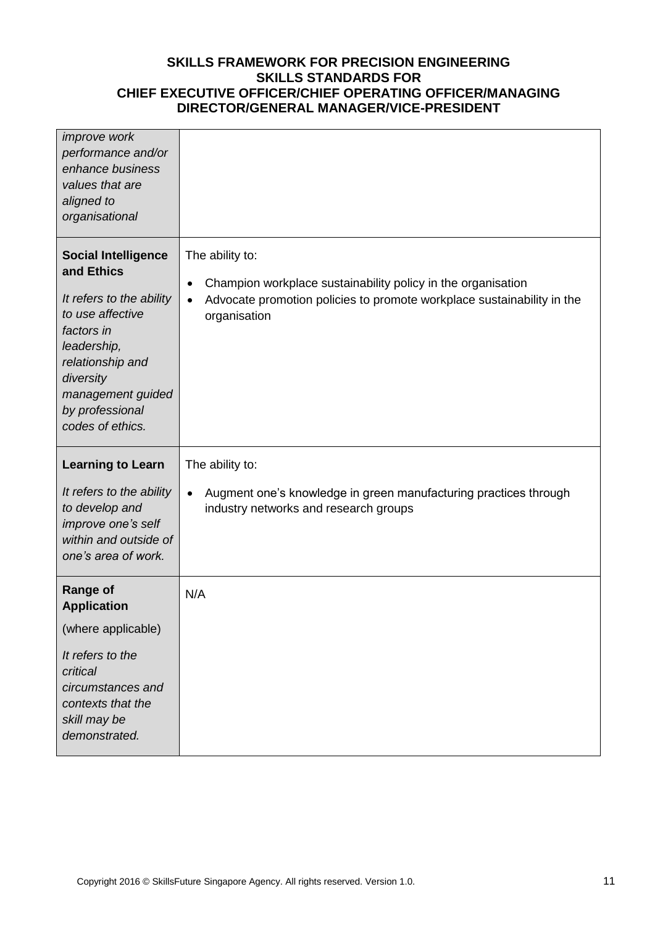| <i>improve</i> work<br>performance and/or<br>enhance business<br>values that are<br>aligned to<br>organisational                                                                                                   |                                                                                                                                                                                |
|--------------------------------------------------------------------------------------------------------------------------------------------------------------------------------------------------------------------|--------------------------------------------------------------------------------------------------------------------------------------------------------------------------------|
| <b>Social Intelligence</b><br>and Ethics<br>It refers to the ability<br>to use affective<br>factors in<br>leadership,<br>relationship and<br>diversity<br>management guided<br>by professional<br>codes of ethics. | The ability to:<br>Champion workplace sustainability policy in the organisation<br>٠<br>Advocate promotion policies to promote workplace sustainability in the<br>organisation |
| <b>Learning to Learn</b>                                                                                                                                                                                           | The ability to:                                                                                                                                                                |
| It refers to the ability<br>to develop and<br>improve one's self<br>within and outside of<br>one's area of work.                                                                                                   | Augment one's knowledge in green manufacturing practices through<br>industry networks and research groups                                                                      |
| <b>Range of</b><br><b>Application</b>                                                                                                                                                                              | N/A                                                                                                                                                                            |
| (where applicable)                                                                                                                                                                                                 |                                                                                                                                                                                |
| It refers to the<br>critical<br>circumstances and<br>contexts that the<br>skill may be<br>demonstrated.                                                                                                            |                                                                                                                                                                                |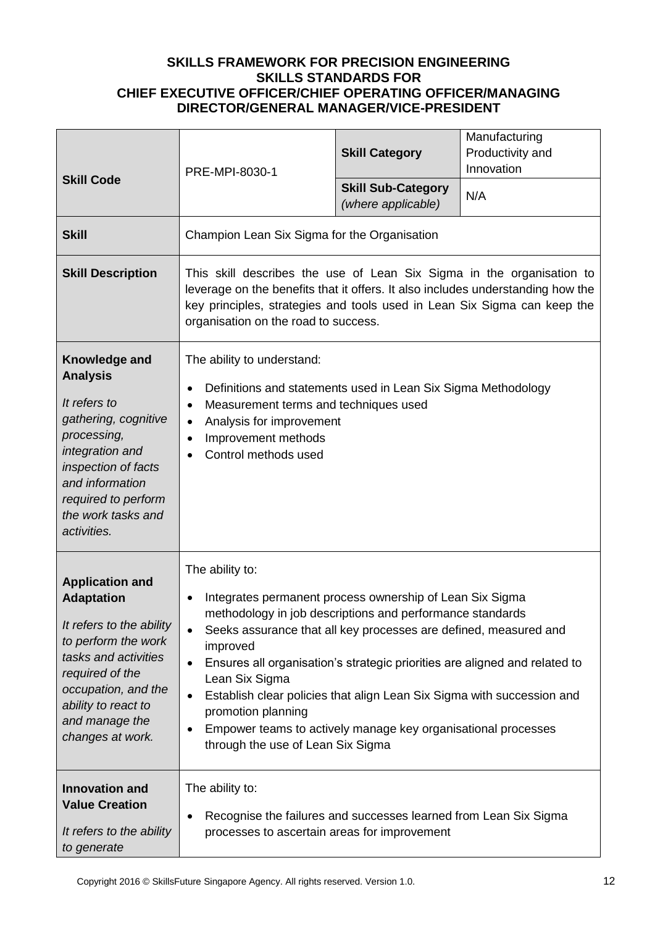| <b>Skill Code</b>                                                                                                                                                                                                             | PRE-MPI-8030-1                                                                                                                                                                                                                                                                                                                                                                                                                                                                                                                                   | <b>Skill Category</b><br><b>Skill Sub-Category</b> | Manufacturing<br>Productivity and<br>Innovation<br>N/A |
|-------------------------------------------------------------------------------------------------------------------------------------------------------------------------------------------------------------------------------|--------------------------------------------------------------------------------------------------------------------------------------------------------------------------------------------------------------------------------------------------------------------------------------------------------------------------------------------------------------------------------------------------------------------------------------------------------------------------------------------------------------------------------------------------|----------------------------------------------------|--------------------------------------------------------|
|                                                                                                                                                                                                                               |                                                                                                                                                                                                                                                                                                                                                                                                                                                                                                                                                  | (where applicable)                                 |                                                        |
| <b>Skill</b>                                                                                                                                                                                                                  | Champion Lean Six Sigma for the Organisation                                                                                                                                                                                                                                                                                                                                                                                                                                                                                                     |                                                    |                                                        |
| <b>Skill Description</b>                                                                                                                                                                                                      | This skill describes the use of Lean Six Sigma in the organisation to<br>leverage on the benefits that it offers. It also includes understanding how the<br>key principles, strategies and tools used in Lean Six Sigma can keep the<br>organisation on the road to success.                                                                                                                                                                                                                                                                     |                                                    |                                                        |
| Knowledge and<br><b>Analysis</b><br>It refers to<br>gathering, cognitive<br>processing,<br>integration and<br>inspection of facts<br>and information<br>required to perform<br>the work tasks and<br>activities.              | The ability to understand:<br>Definitions and statements used in Lean Six Sigma Methodology<br>٠<br>Measurement terms and techniques used<br>$\bullet$<br>Analysis for improvement<br>$\bullet$<br>Improvement methods<br>$\bullet$<br>Control methods used                                                                                                                                                                                                                                                                                      |                                                    |                                                        |
| <b>Application and</b><br><b>Adaptation</b><br>It refers to the ability<br>to perform the work<br>tasks and activities<br>required of the<br>occupation, and the<br>ability to react to<br>and manage the<br>changes at work. | The ability to:<br>Integrates permanent process ownership of Lean Six Sigma<br>methodology in job descriptions and performance standards<br>Seeks assurance that all key processes are defined, measured and<br>improved<br>Ensures all organisation's strategic priorities are aligned and related to<br>٠<br>Lean Six Sigma<br>Establish clear policies that align Lean Six Sigma with succession and<br>$\bullet$<br>promotion planning<br>Empower teams to actively manage key organisational processes<br>through the use of Lean Six Sigma |                                                    |                                                        |
| <b>Innovation and</b><br><b>Value Creation</b><br>It refers to the ability<br>to generate                                                                                                                                     | The ability to:<br>Recognise the failures and successes learned from Lean Six Sigma<br>٠<br>processes to ascertain areas for improvement                                                                                                                                                                                                                                                                                                                                                                                                         |                                                    |                                                        |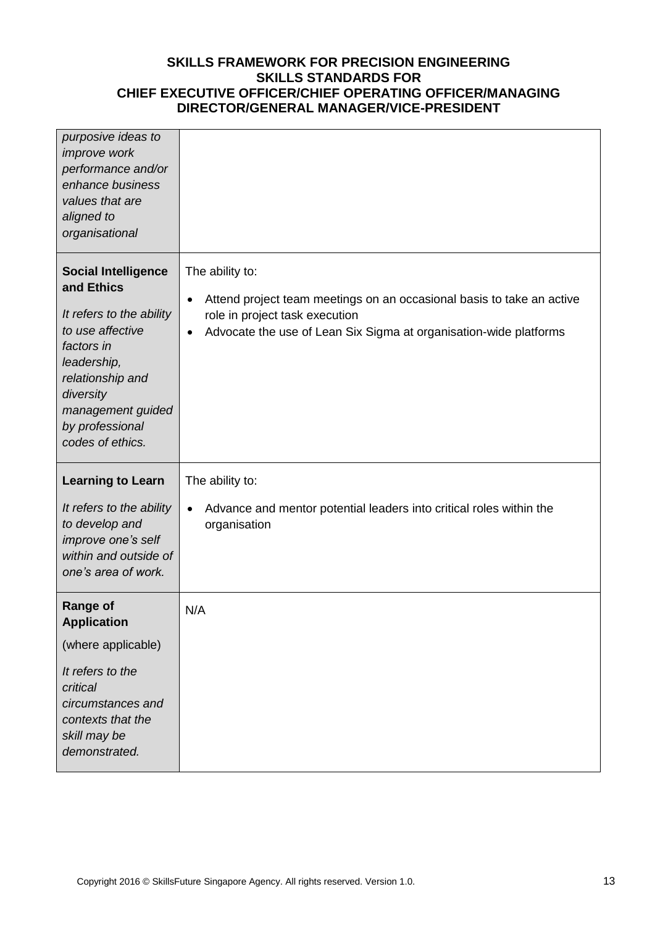| purposive ideas to<br>improve work<br>performance and/or<br>enhance business<br>values that are<br>aligned to<br>organisational                                                                                    |                                                                                                                                                                                                      |
|--------------------------------------------------------------------------------------------------------------------------------------------------------------------------------------------------------------------|------------------------------------------------------------------------------------------------------------------------------------------------------------------------------------------------------|
| <b>Social Intelligence</b><br>and Ethics<br>It refers to the ability<br>to use affective<br>factors in<br>leadership,<br>relationship and<br>diversity<br>management guided<br>by professional<br>codes of ethics. | The ability to:<br>Attend project team meetings on an occasional basis to take an active<br>role in project task execution<br>Advocate the use of Lean Six Sigma at organisation-wide platforms<br>٠ |
| <b>Learning to Learn</b><br>It refers to the ability<br>to develop and<br>improve one's self<br>within and outside of<br>one's area of work.                                                                       | The ability to:<br>Advance and mentor potential leaders into critical roles within the<br>organisation                                                                                               |
| <b>Range of</b><br><b>Application</b><br>(where applicable)<br>It refers to the<br>critical<br>circumstances and<br>contexts that the<br>skill may be<br>demonstrated.                                             | N/A                                                                                                                                                                                                  |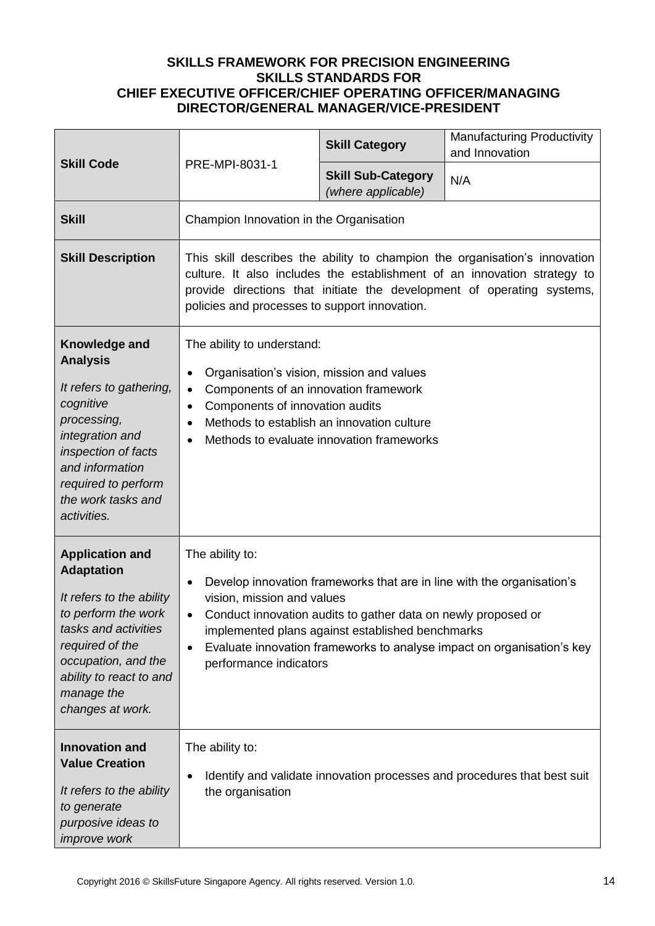| <b>Skill Code</b>                                                                                                                                                                                                             |                                                                                                                                                                                                                                                                                                                                                                                 | <b>Skill Category</b>                           | <b>Manufacturing Productivity</b><br>and Innovation                      |
|-------------------------------------------------------------------------------------------------------------------------------------------------------------------------------------------------------------------------------|---------------------------------------------------------------------------------------------------------------------------------------------------------------------------------------------------------------------------------------------------------------------------------------------------------------------------------------------------------------------------------|-------------------------------------------------|--------------------------------------------------------------------------|
|                                                                                                                                                                                                                               | PRE-MPI-8031-1                                                                                                                                                                                                                                                                                                                                                                  | <b>Skill Sub-Category</b><br>(where applicable) | N/A                                                                      |
| <b>Skill</b>                                                                                                                                                                                                                  | Champion Innovation in the Organisation                                                                                                                                                                                                                                                                                                                                         |                                                 |                                                                          |
| <b>Skill Description</b>                                                                                                                                                                                                      | This skill describes the ability to champion the organisation's innovation<br>culture. It also includes the establishment of an innovation strategy to<br>provide directions that initiate the development of operating systems,<br>policies and processes to support innovation.                                                                                               |                                                 |                                                                          |
| Knowledge and<br><b>Analysis</b><br>It refers to gathering,<br>cognitive<br>processing,<br>integration and<br>inspection of facts<br>and information<br>required to perform<br>the work tasks and<br>activities.              | The ability to understand:<br>Organisation's vision, mission and values<br>$\bullet$<br>Components of an innovation framework<br>$\bullet$<br>Components of innovation audits<br>$\bullet$<br>Methods to establish an innovation culture<br>$\bullet$<br>Methods to evaluate innovation frameworks<br>$\bullet$                                                                 |                                                 |                                                                          |
| <b>Application and</b><br><b>Adaptation</b><br>It refers to the ability<br>to perform the work<br>tasks and activities<br>required of the<br>occupation, and the<br>ability to react to and<br>manage the<br>changes at work. | The ability to:<br>Develop innovation frameworks that are in line with the organisation's<br>$\bullet$<br>vision, mission and values<br>Conduct innovation audits to gather data on newly proposed or<br>$\bullet$<br>implemented plans against established benchmarks<br>Evaluate innovation frameworks to analyse impact on organisation's key<br>٠<br>performance indicators |                                                 |                                                                          |
| <b>Innovation and</b><br><b>Value Creation</b><br>It refers to the ability<br>to generate<br>purposive ideas to<br>improve work                                                                                               | The ability to:<br>$\bullet$<br>the organisation                                                                                                                                                                                                                                                                                                                                |                                                 | Identify and validate innovation processes and procedures that best suit |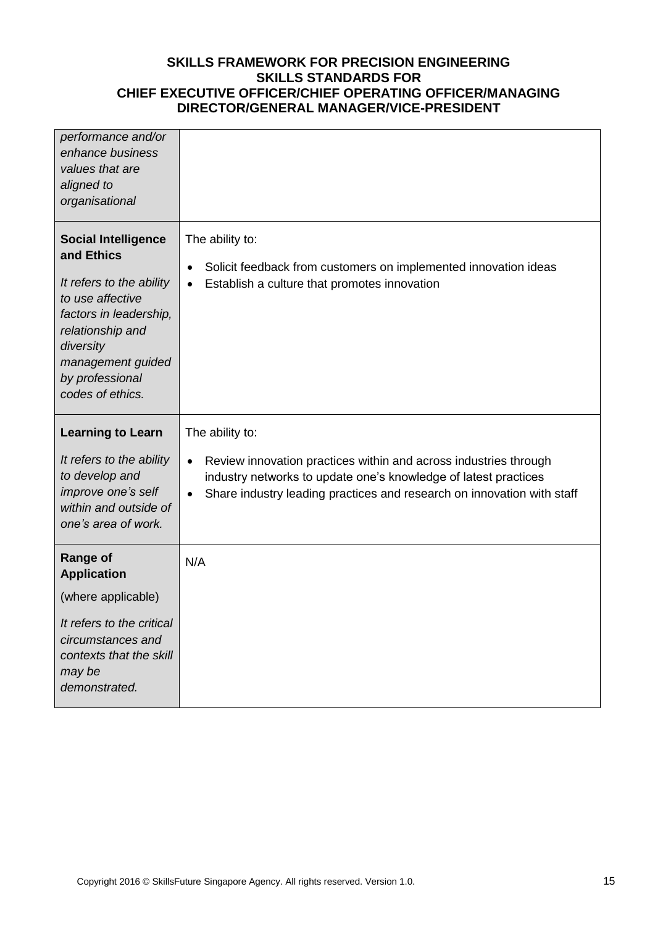| performance and/or<br>enhance business<br>values that are<br>aligned to<br>organisational                                                                                                                       |                                                                                                                                                                                                                                                            |
|-----------------------------------------------------------------------------------------------------------------------------------------------------------------------------------------------------------------|------------------------------------------------------------------------------------------------------------------------------------------------------------------------------------------------------------------------------------------------------------|
| <b>Social Intelligence</b><br>and Ethics<br>It refers to the ability<br>to use affective<br>factors in leadership,<br>relationship and<br>diversity<br>management guided<br>by professional<br>codes of ethics. | The ability to:<br>Solicit feedback from customers on implemented innovation ideas<br>$\bullet$<br>Establish a culture that promotes innovation<br>$\bullet$                                                                                               |
| <b>Learning to Learn</b><br>It refers to the ability<br>to develop and<br>improve one's self<br>within and outside of<br>one's area of work.                                                                    | The ability to:<br>Review innovation practices within and across industries through<br>$\bullet$<br>industry networks to update one's knowledge of latest practices<br>Share industry leading practices and research on innovation with staff<br>$\bullet$ |
| <b>Range of</b><br><b>Application</b><br>(where applicable)<br>It refers to the critical<br>circumstances and                                                                                                   | N/A                                                                                                                                                                                                                                                        |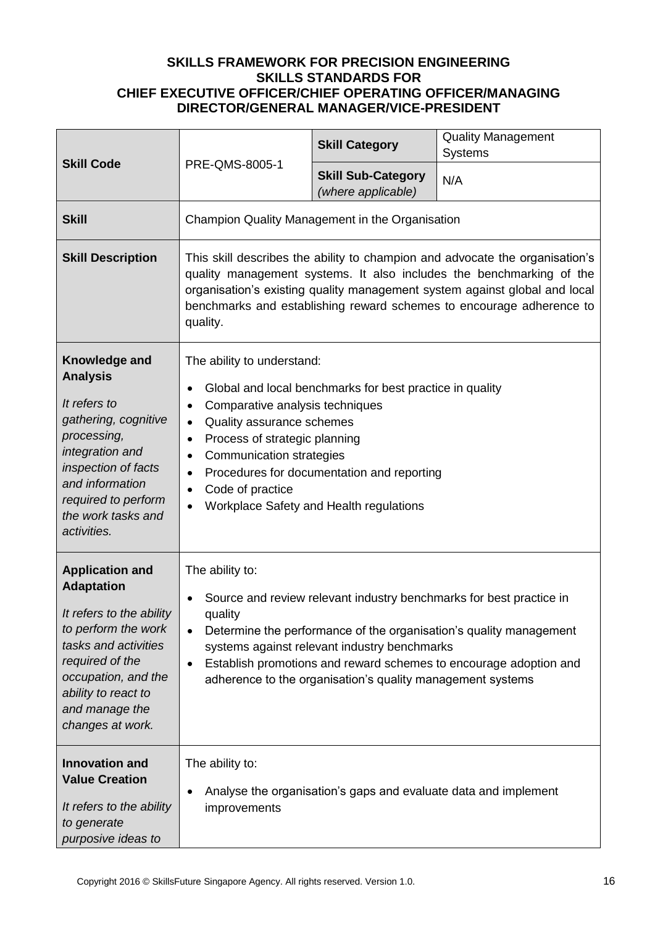| <b>Skill Code</b>                                                                                                                                                                                                             | PRE-QMS-8005-1                                                                                                                                                                                                                                                                                                                                                                                     | <b>Skill Category</b>                           | <b>Quality Management</b><br><b>Systems</b> |
|-------------------------------------------------------------------------------------------------------------------------------------------------------------------------------------------------------------------------------|----------------------------------------------------------------------------------------------------------------------------------------------------------------------------------------------------------------------------------------------------------------------------------------------------------------------------------------------------------------------------------------------------|-------------------------------------------------|---------------------------------------------|
|                                                                                                                                                                                                                               |                                                                                                                                                                                                                                                                                                                                                                                                    | <b>Skill Sub-Category</b><br>(where applicable) | N/A                                         |
| <b>Skill</b>                                                                                                                                                                                                                  | Champion Quality Management in the Organisation                                                                                                                                                                                                                                                                                                                                                    |                                                 |                                             |
| <b>Skill Description</b>                                                                                                                                                                                                      | This skill describes the ability to champion and advocate the organisation's<br>quality management systems. It also includes the benchmarking of the<br>organisation's existing quality management system against global and local<br>benchmarks and establishing reward schemes to encourage adherence to<br>quality.                                                                             |                                                 |                                             |
| Knowledge and<br><b>Analysis</b><br>It refers to<br>gathering, cognitive<br>processing,<br>integration and<br>inspection of facts<br>and information<br>required to perform<br>the work tasks and<br>activities.              | The ability to understand:<br>Global and local benchmarks for best practice in quality<br>٠<br>Comparative analysis techniques<br>٠<br>Quality assurance schemes<br>$\bullet$<br>Process of strategic planning<br>٠<br><b>Communication strategies</b><br>$\bullet$<br>Procedures for documentation and reporting<br>٠<br>Code of practice<br>Workplace Safety and Health regulations<br>$\bullet$ |                                                 |                                             |
| <b>Application and</b><br><b>Adaptation</b><br>It refers to the ability<br>to perform the work<br>tasks and activities<br>required of the<br>occupation, and the<br>ability to react to<br>and manage the<br>changes at work. | The ability to:<br>Source and review relevant industry benchmarks for best practice in<br>quality<br>Determine the performance of the organisation's quality management<br>systems against relevant industry benchmarks<br>Establish promotions and reward schemes to encourage adoption and<br>$\bullet$<br>adherence to the organisation's quality management systems                            |                                                 |                                             |
| <b>Innovation and</b><br><b>Value Creation</b><br>It refers to the ability<br>to generate<br>purposive ideas to                                                                                                               | The ability to:<br>Analyse the organisation's gaps and evaluate data and implement<br>improvements                                                                                                                                                                                                                                                                                                 |                                                 |                                             |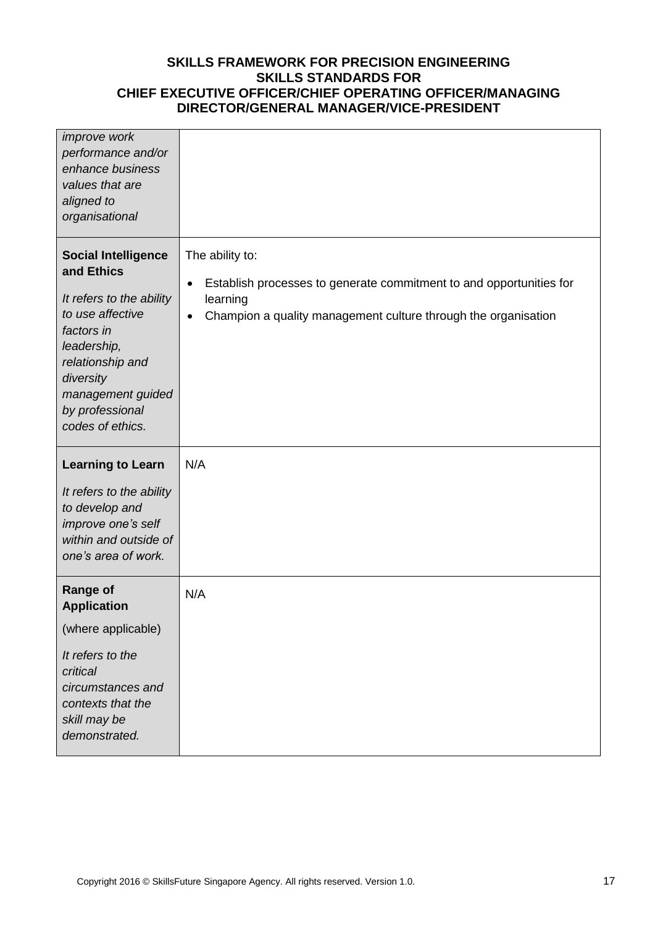| improve work<br>performance and/or<br>enhance business<br>values that are<br>aligned to<br>organisational                                                                                                          |                                                                                                                                                                                                |
|--------------------------------------------------------------------------------------------------------------------------------------------------------------------------------------------------------------------|------------------------------------------------------------------------------------------------------------------------------------------------------------------------------------------------|
| <b>Social Intelligence</b><br>and Ethics<br>It refers to the ability<br>to use affective<br>factors in<br>leadership,<br>relationship and<br>diversity<br>management guided<br>by professional<br>codes of ethics. | The ability to:<br>Establish processes to generate commitment to and opportunities for<br>$\bullet$<br>learning<br>Champion a quality management culture through the organisation<br>$\bullet$ |
| <b>Learning to Learn</b><br>It refers to the ability<br>to develop and<br>improve one's self<br>within and outside of<br>one's area of work.                                                                       | N/A                                                                                                                                                                                            |
| <b>Range of</b><br><b>Application</b><br>(where applicable)<br>It refers to the<br>critical<br>circumstances and<br>contexts that the<br>skill may be<br>demonstrated.                                             | N/A                                                                                                                                                                                            |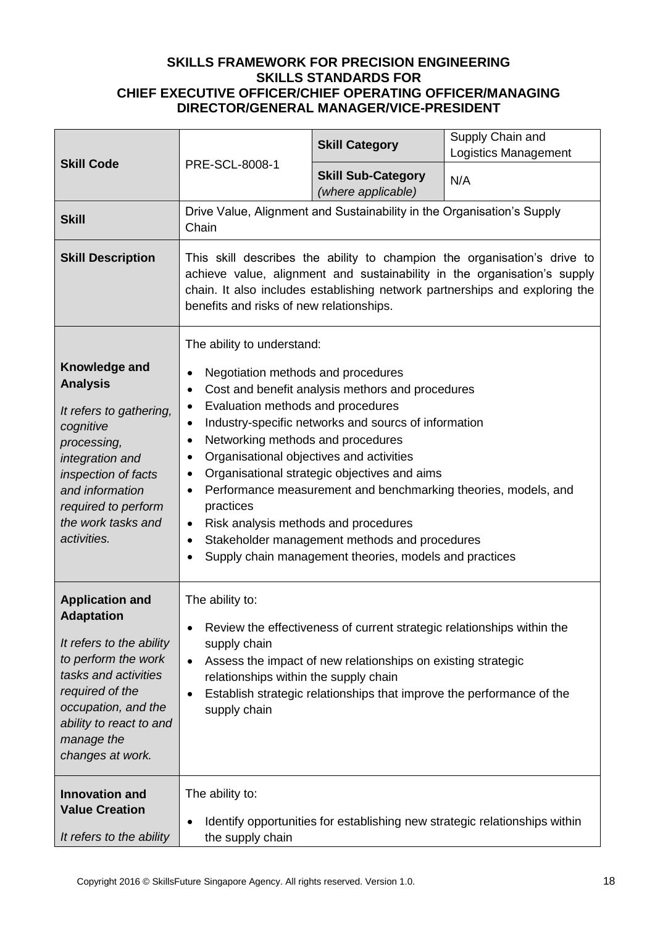| <b>Skill Code</b>                                                                                                                                                                                                                                      | PRE-SCL-8008-1                                                                                                                                                                                                                                                                                                                                                                                                                                                                                                                                                                                                                                                                              | <b>Skill Category</b>                                                  | Supply Chain and<br><b>Logistics Management</b>                            |
|--------------------------------------------------------------------------------------------------------------------------------------------------------------------------------------------------------------------------------------------------------|---------------------------------------------------------------------------------------------------------------------------------------------------------------------------------------------------------------------------------------------------------------------------------------------------------------------------------------------------------------------------------------------------------------------------------------------------------------------------------------------------------------------------------------------------------------------------------------------------------------------------------------------------------------------------------------------|------------------------------------------------------------------------|----------------------------------------------------------------------------|
|                                                                                                                                                                                                                                                        |                                                                                                                                                                                                                                                                                                                                                                                                                                                                                                                                                                                                                                                                                             | <b>Skill Sub-Category</b><br>(where applicable)                        | N/A                                                                        |
| <b>Skill</b>                                                                                                                                                                                                                                           | Chain                                                                                                                                                                                                                                                                                                                                                                                                                                                                                                                                                                                                                                                                                       | Drive Value, Alignment and Sustainability in the Organisation's Supply |                                                                            |
| <b>Skill Description</b>                                                                                                                                                                                                                               | This skill describes the ability to champion the organisation's drive to<br>achieve value, alignment and sustainability in the organisation's supply<br>chain. It also includes establishing network partnerships and exploring the<br>benefits and risks of new relationships.                                                                                                                                                                                                                                                                                                                                                                                                             |                                                                        |                                                                            |
| Knowledge and<br><b>Analysis</b><br>It refers to gathering,<br>cognitive<br>processing,<br>integration and<br>inspection of facts<br>and information<br>required to perform<br>the work tasks and<br>activities.                                       | The ability to understand:<br>Negotiation methods and procedures<br>$\bullet$<br>Cost and benefit analysis methors and procedures<br>٠<br>Evaluation methods and procedures<br>$\bullet$<br>Industry-specific networks and sourcs of information<br>$\bullet$<br>Networking methods and procedures<br>$\bullet$<br>Organisational objectives and activities<br>٠<br>Organisational strategic objectives and aims<br>٠<br>Performance measurement and benchmarking theories, models, and<br>٠<br>practices<br>Risk analysis methods and procedures<br>$\bullet$<br>Stakeholder management methods and procedures<br>$\bullet$<br>Supply chain management theories, models and practices<br>٠ |                                                                        |                                                                            |
| <b>Application and</b><br><b>Adaptation</b><br>It refers to the ability<br>to perform the work<br>tasks and activities<br>required of the<br>occupation, and the<br>ability to react to and<br>manage the<br>changes at work.<br><b>Innovation and</b> | The ability to:<br>Review the effectiveness of current strategic relationships within the<br>$\bullet$<br>supply chain<br>Assess the impact of new relationships on existing strategic<br>$\bullet$<br>relationships within the supply chain<br>Establish strategic relationships that improve the performance of the<br>$\bullet$<br>supply chain                                                                                                                                                                                                                                                                                                                                          |                                                                        |                                                                            |
| <b>Value Creation</b><br>It refers to the ability                                                                                                                                                                                                      | The ability to:<br>$\bullet$<br>the supply chain                                                                                                                                                                                                                                                                                                                                                                                                                                                                                                                                                                                                                                            |                                                                        | Identify opportunities for establishing new strategic relationships within |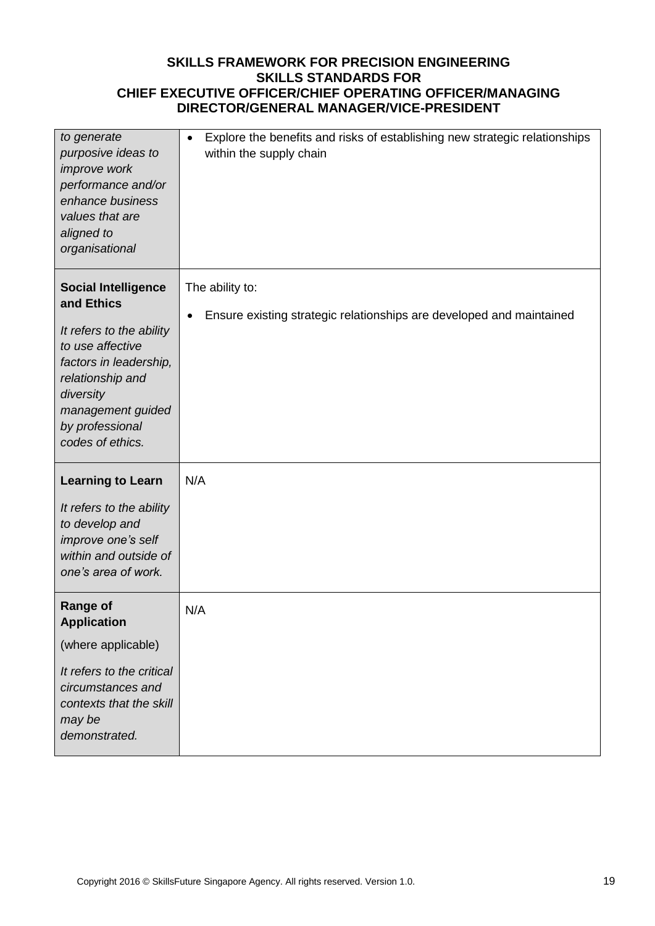| to generate<br>purposive ideas to<br>improve work<br>performance and/or<br>enhance business<br>values that are<br>aligned to<br>organisational                                                                  | Explore the benefits and risks of establishing new strategic relationships<br>$\bullet$<br>within the supply chain |
|-----------------------------------------------------------------------------------------------------------------------------------------------------------------------------------------------------------------|--------------------------------------------------------------------------------------------------------------------|
| <b>Social Intelligence</b><br>and Ethics<br>It refers to the ability<br>to use affective<br>factors in leadership,<br>relationship and<br>diversity<br>management guided<br>by professional<br>codes of ethics. | The ability to:<br>Ensure existing strategic relationships are developed and maintained<br>$\bullet$               |
| <b>Learning to Learn</b><br>It refers to the ability<br>to develop and<br>improve one's self<br>within and outside of<br>one's area of work.                                                                    | N/A                                                                                                                |
| <b>Range of</b><br><b>Application</b><br>(where applicable)<br>It refers to the critical<br>circumstances and<br>contexts that the skill<br>may be<br>demonstrated.                                             | N/A                                                                                                                |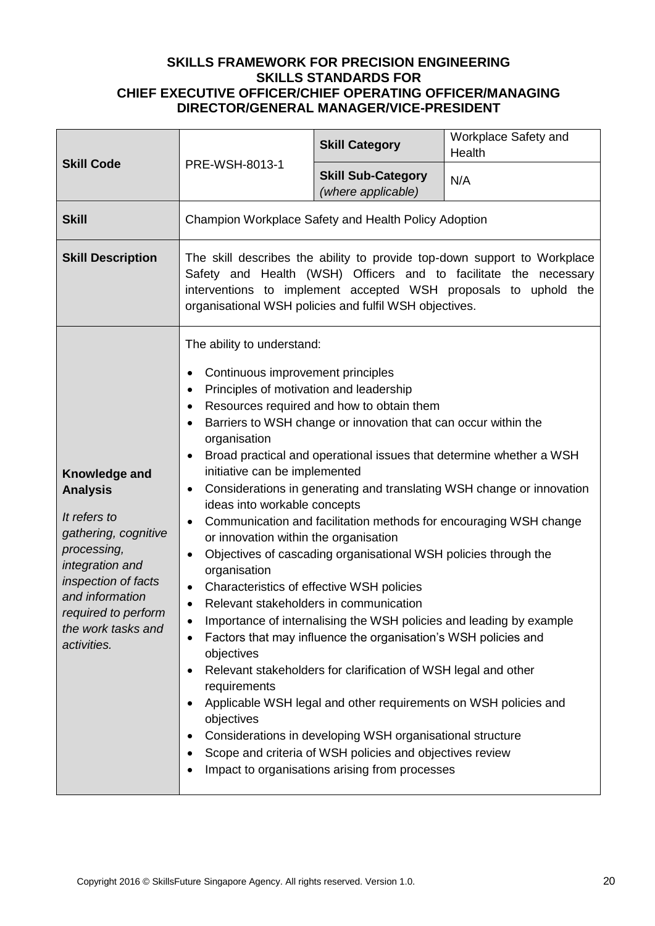| <b>Skill Code</b>                                                                                                                                                                                                | PRE-WSH-8013-1                                                                                                                                                                                                                                                                                                                                                                                                                                                          | <b>Skill Category</b>                                                                                                                                                                                                                                                                                                                                                                                                                                                                                                                                            | Workplace Safety and<br>Health                                                                                                                                                                                                                                                           |
|------------------------------------------------------------------------------------------------------------------------------------------------------------------------------------------------------------------|-------------------------------------------------------------------------------------------------------------------------------------------------------------------------------------------------------------------------------------------------------------------------------------------------------------------------------------------------------------------------------------------------------------------------------------------------------------------------|------------------------------------------------------------------------------------------------------------------------------------------------------------------------------------------------------------------------------------------------------------------------------------------------------------------------------------------------------------------------------------------------------------------------------------------------------------------------------------------------------------------------------------------------------------------|------------------------------------------------------------------------------------------------------------------------------------------------------------------------------------------------------------------------------------------------------------------------------------------|
|                                                                                                                                                                                                                  |                                                                                                                                                                                                                                                                                                                                                                                                                                                                         | <b>Skill Sub-Category</b><br>(where applicable)                                                                                                                                                                                                                                                                                                                                                                                                                                                                                                                  | N/A                                                                                                                                                                                                                                                                                      |
| <b>Skill</b>                                                                                                                                                                                                     | Champion Workplace Safety and Health Policy Adoption                                                                                                                                                                                                                                                                                                                                                                                                                    |                                                                                                                                                                                                                                                                                                                                                                                                                                                                                                                                                                  |                                                                                                                                                                                                                                                                                          |
| <b>Skill Description</b>                                                                                                                                                                                         | The skill describes the ability to provide top-down support to Workplace<br>Safety and Health (WSH) Officers and to facilitate the necessary<br>interventions to implement accepted WSH proposals to uphold the<br>organisational WSH policies and fulfil WSH objectives.                                                                                                                                                                                               |                                                                                                                                                                                                                                                                                                                                                                                                                                                                                                                                                                  |                                                                                                                                                                                                                                                                                          |
| Knowledge and<br><b>Analysis</b><br>It refers to<br>gathering, cognitive<br>processing,<br>integration and<br>inspection of facts<br>and information<br>required to perform<br>the work tasks and<br>activities. | The ability to understand:<br>Continuous improvement principles<br>Principles of motivation and leadership<br>$\bullet$<br>٠<br>organisation<br>٠<br>initiative can be implemented<br>٠<br>ideas into workable concepts<br>$\bullet$<br>or innovation within the organisation<br>$\bullet$<br>organisation<br>Characteristics of effective WSH policies<br>$\bullet$<br>Relevant stakeholders in communication<br>$\bullet$<br>objectives<br>requirements<br>objectives | Resources required and how to obtain them<br>Barriers to WSH change or innovation that can occur within the<br>Objectives of cascading organisational WSH policies through the<br>Factors that may influence the organisation's WSH policies and<br>Relevant stakeholders for clarification of WSH legal and other<br>Applicable WSH legal and other requirements on WSH policies and<br>Considerations in developing WSH organisational structure<br>Scope and criteria of WSH policies and objectives review<br>Impact to organisations arising from processes | Broad practical and operational issues that determine whether a WSH<br>Considerations in generating and translating WSH change or innovation<br>Communication and facilitation methods for encouraging WSH change<br>Importance of internalising the WSH policies and leading by example |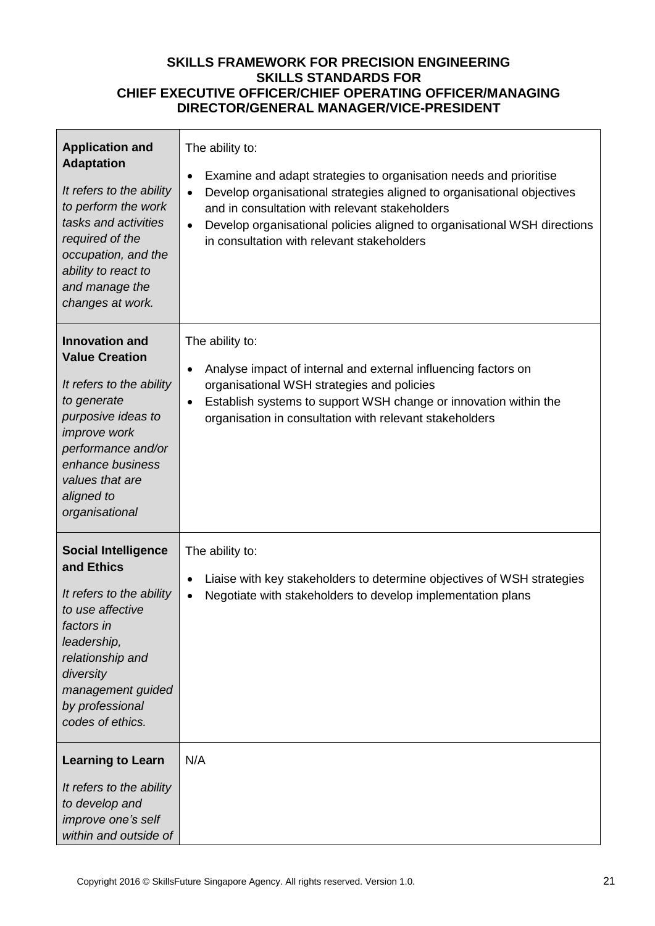| <b>Application and</b><br><b>Adaptation</b><br>It refers to the ability<br>to perform the work<br>tasks and activities<br>required of the<br>occupation, and the<br>ability to react to<br>and manage the<br>changes at work.       | The ability to:<br>Examine and adapt strategies to organisation needs and prioritise<br>٠<br>Develop organisational strategies aligned to organisational objectives<br>$\bullet$<br>and in consultation with relevant stakeholders<br>Develop organisational policies aligned to organisational WSH directions<br>$\bullet$<br>in consultation with relevant stakeholders |
|-------------------------------------------------------------------------------------------------------------------------------------------------------------------------------------------------------------------------------------|---------------------------------------------------------------------------------------------------------------------------------------------------------------------------------------------------------------------------------------------------------------------------------------------------------------------------------------------------------------------------|
| <b>Innovation and</b><br><b>Value Creation</b><br>It refers to the ability<br>to generate<br>purposive ideas to<br><i>improve</i> work<br>performance and/or<br>enhance business<br>values that are<br>aligned to<br>organisational | The ability to:<br>Analyse impact of internal and external influencing factors on<br>٠<br>organisational WSH strategies and policies<br>Establish systems to support WSH change or innovation within the<br>$\bullet$<br>organisation in consultation with relevant stakeholders                                                                                          |
| <b>Social Intelligence</b><br>and Ethics<br>It refers to the ability<br>to use affective<br>factors in<br>leadership,<br>relationship and<br>diversity<br>management guided<br>by professional<br>codes of ethics.                  | The ability to:<br>Liaise with key stakeholders to determine objectives of WSH strategies<br>٠<br>Negotiate with stakeholders to develop implementation plans<br>$\bullet$                                                                                                                                                                                                |
| <b>Learning to Learn</b><br>It refers to the ability<br>to develop and<br>improve one's self<br>within and outside of                                                                                                               | N/A                                                                                                                                                                                                                                                                                                                                                                       |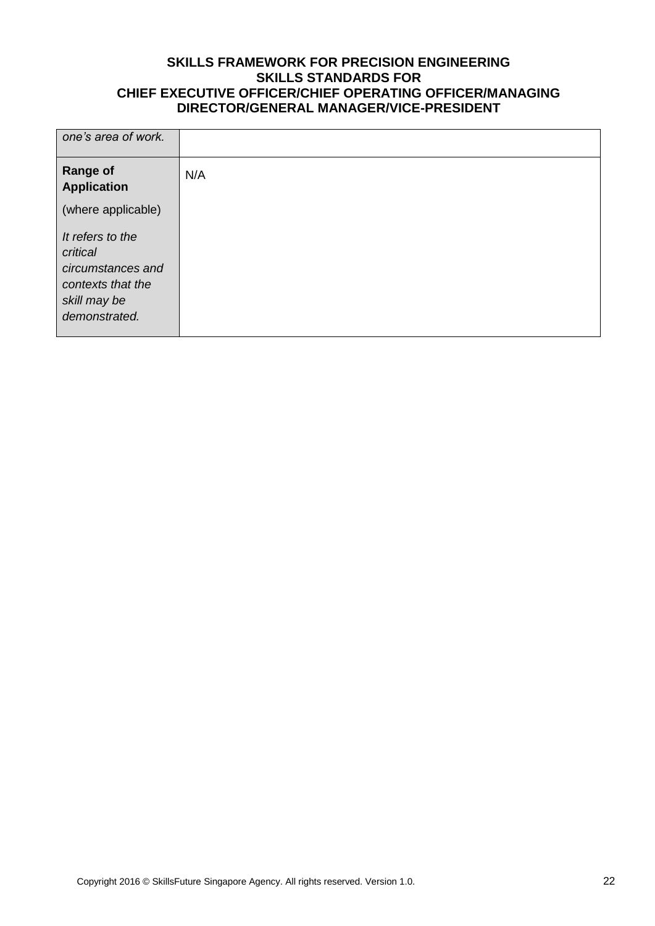| one's area of work.                                                                                     |     |
|---------------------------------------------------------------------------------------------------------|-----|
| <b>Range of</b><br><b>Application</b>                                                                   | N/A |
| (where applicable)                                                                                      |     |
| It refers to the<br>critical<br>circumstances and<br>contexts that the<br>skill may be<br>demonstrated. |     |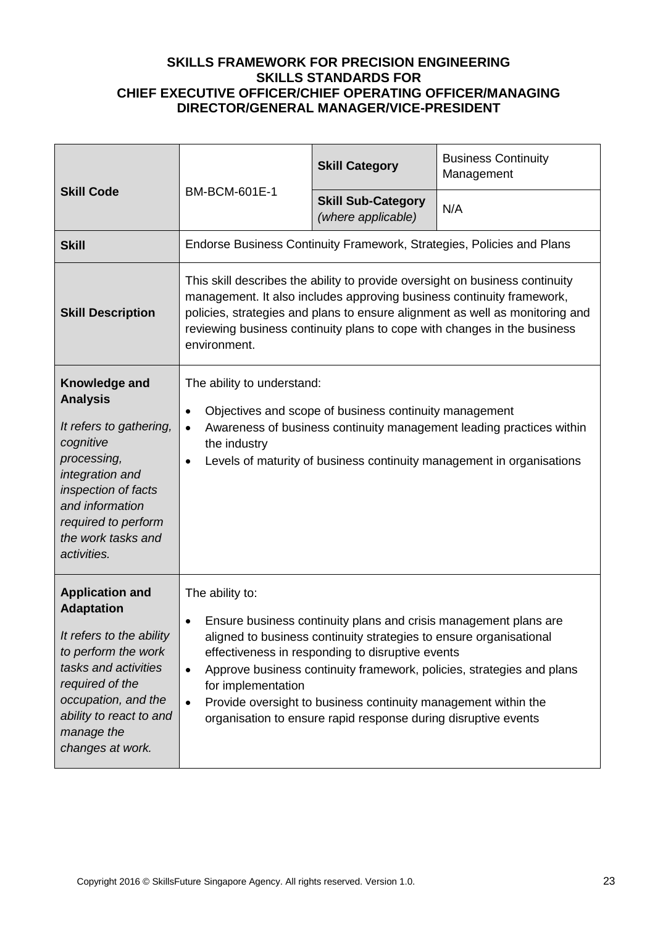| <b>Skill Code</b>                                                                                                                                                                                                             | <b>BM-BCM-601E-1</b>                                                                                                                                                                                                                                                                                                                                                                                                                                                            | <b>Skill Category</b>                           | <b>Business Continuity</b><br>Management                              |
|-------------------------------------------------------------------------------------------------------------------------------------------------------------------------------------------------------------------------------|---------------------------------------------------------------------------------------------------------------------------------------------------------------------------------------------------------------------------------------------------------------------------------------------------------------------------------------------------------------------------------------------------------------------------------------------------------------------------------|-------------------------------------------------|-----------------------------------------------------------------------|
|                                                                                                                                                                                                                               |                                                                                                                                                                                                                                                                                                                                                                                                                                                                                 | <b>Skill Sub-Category</b><br>(where applicable) | N/A                                                                   |
| <b>Skill</b>                                                                                                                                                                                                                  |                                                                                                                                                                                                                                                                                                                                                                                                                                                                                 |                                                 | Endorse Business Continuity Framework, Strategies, Policies and Plans |
| <b>Skill Description</b>                                                                                                                                                                                                      | This skill describes the ability to provide oversight on business continuity<br>management. It also includes approving business continuity framework,<br>policies, strategies and plans to ensure alignment as well as monitoring and<br>reviewing business continuity plans to cope with changes in the business<br>environment.                                                                                                                                               |                                                 |                                                                       |
| Knowledge and<br><b>Analysis</b><br>It refers to gathering,<br>cognitive<br>processing,<br>integration and<br>inspection of facts<br>and information<br>required to perform<br>the work tasks and<br>activities.              | The ability to understand:<br>Objectives and scope of business continuity management<br>٠<br>Awareness of business continuity management leading practices within<br>$\bullet$<br>the industry<br>Levels of maturity of business continuity management in organisations<br>$\bullet$                                                                                                                                                                                            |                                                 |                                                                       |
| <b>Application and</b><br><b>Adaptation</b><br>It refers to the ability<br>to perform the work<br>tasks and activities<br>required of the<br>occupation, and the<br>ability to react to and<br>manage the<br>changes at work. | The ability to:<br>Ensure business continuity plans and crisis management plans are<br>٠<br>aligned to business continuity strategies to ensure organisational<br>effectiveness in responding to disruptive events<br>Approve business continuity framework, policies, strategies and plans<br>$\bullet$<br>for implementation<br>Provide oversight to business continuity management within the<br>$\bullet$<br>organisation to ensure rapid response during disruptive events |                                                 |                                                                       |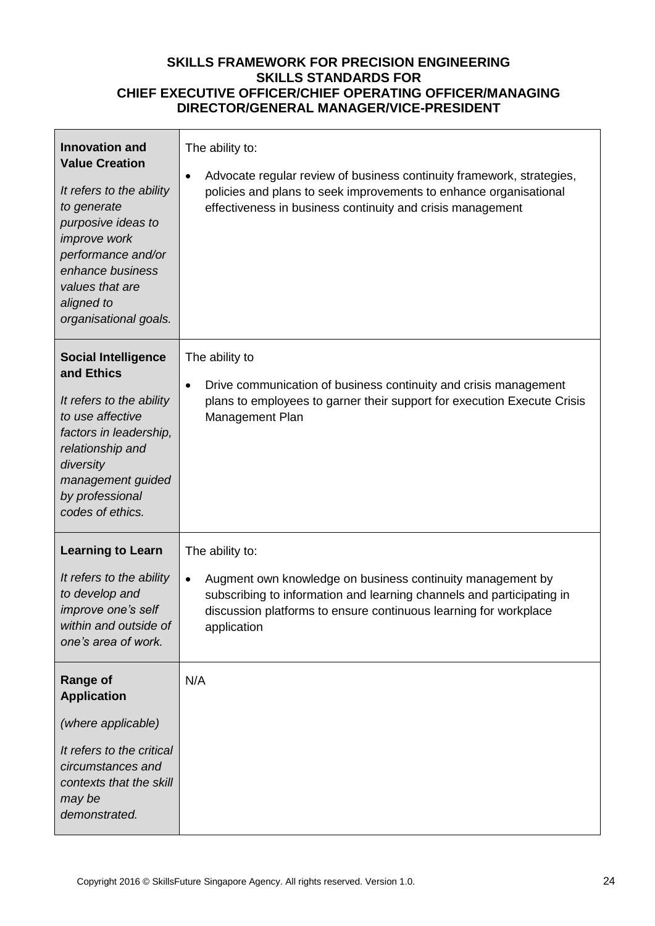| <b>Innovation and</b><br><b>Value Creation</b><br>It refers to the ability<br>to generate<br>purposive ideas to<br>improve work<br>performance and/or<br>enhance business<br>values that are<br>aligned to<br>organisational goals. | The ability to:<br>Advocate regular review of business continuity framework, strategies,<br>٠<br>policies and plans to seek improvements to enhance organisational<br>effectiveness in business continuity and crisis management                       |
|-------------------------------------------------------------------------------------------------------------------------------------------------------------------------------------------------------------------------------------|--------------------------------------------------------------------------------------------------------------------------------------------------------------------------------------------------------------------------------------------------------|
| <b>Social Intelligence</b><br>and Ethics<br>It refers to the ability<br>to use affective<br>factors in leadership,<br>relationship and<br>diversity<br>management guided<br>by professional<br>codes of ethics.                     | The ability to<br>Drive communication of business continuity and crisis management<br>$\bullet$<br>plans to employees to garner their support for execution Execute Crisis<br>Management Plan                                                          |
| <b>Learning to Learn</b><br>It refers to the ability<br>to develop and<br>improve one's self<br>within and outside of<br>one's area of work.                                                                                        | The ability to:<br>Augment own knowledge on business continuity management by<br>$\bullet$<br>subscribing to information and learning channels and participating in<br>discussion platforms to ensure continuous learning for workplace<br>application |
| <b>Range of</b><br><b>Application</b><br>(where applicable)<br>It refers to the critical<br>circumstances and<br>contexts that the skill<br>may be<br>demonstrated.                                                                 | N/A                                                                                                                                                                                                                                                    |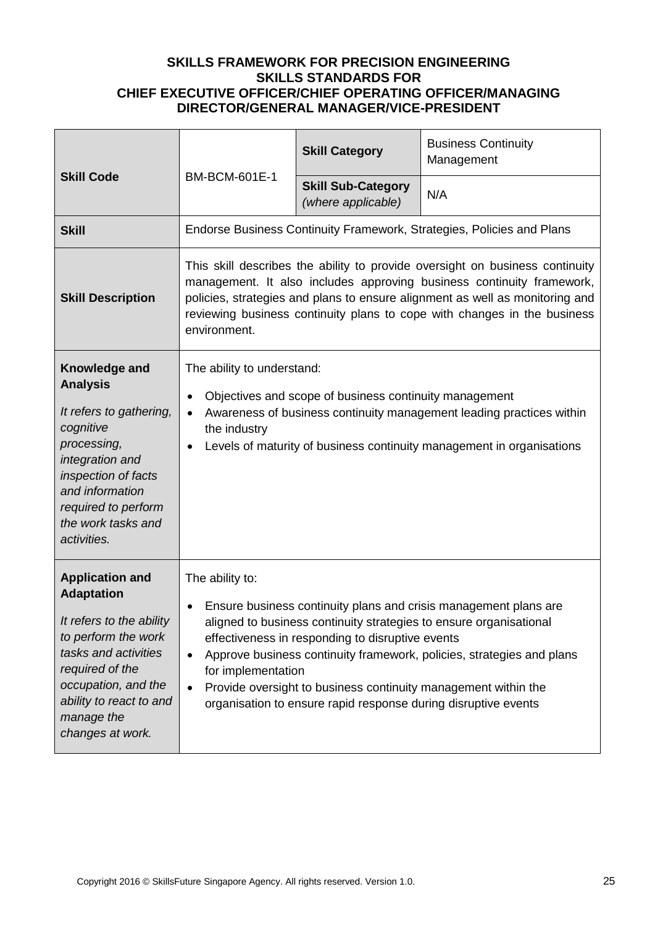| <b>Skill Code</b>                                                                                                                                                                                                             | BM-BCM-601E-1                                                                                                                                                                                                                                                                                                                                                                                                                                                                           | <b>Skill Category</b>                           | <b>Business Continuity</b><br>Management                              |
|-------------------------------------------------------------------------------------------------------------------------------------------------------------------------------------------------------------------------------|-----------------------------------------------------------------------------------------------------------------------------------------------------------------------------------------------------------------------------------------------------------------------------------------------------------------------------------------------------------------------------------------------------------------------------------------------------------------------------------------|-------------------------------------------------|-----------------------------------------------------------------------|
|                                                                                                                                                                                                                               |                                                                                                                                                                                                                                                                                                                                                                                                                                                                                         | <b>Skill Sub-Category</b><br>(where applicable) | N/A                                                                   |
| <b>Skill</b>                                                                                                                                                                                                                  |                                                                                                                                                                                                                                                                                                                                                                                                                                                                                         |                                                 | Endorse Business Continuity Framework, Strategies, Policies and Plans |
| <b>Skill Description</b>                                                                                                                                                                                                      | This skill describes the ability to provide oversight on business continuity<br>management. It also includes approving business continuity framework,<br>policies, strategies and plans to ensure alignment as well as monitoring and<br>reviewing business continuity plans to cope with changes in the business<br>environment.                                                                                                                                                       |                                                 |                                                                       |
| Knowledge and<br><b>Analysis</b><br>It refers to gathering,<br>cognitive<br>processing,<br>integration and<br>inspection of facts<br>and information<br>required to perform<br>the work tasks and<br>activities.              | The ability to understand:<br>Objectives and scope of business continuity management<br>$\bullet$<br>Awareness of business continuity management leading practices within<br>$\bullet$<br>the industry<br>Levels of maturity of business continuity management in organisations<br>$\bullet$                                                                                                                                                                                            |                                                 |                                                                       |
| <b>Application and</b><br><b>Adaptation</b><br>It refers to the ability<br>to perform the work<br>tasks and activities<br>required of the<br>occupation, and the<br>ability to react to and<br>manage the<br>changes at work. | The ability to:<br>Ensure business continuity plans and crisis management plans are<br>$\bullet$<br>aligned to business continuity strategies to ensure organisational<br>effectiveness in responding to disruptive events<br>Approve business continuity framework, policies, strategies and plans<br>$\bullet$<br>for implementation<br>Provide oversight to business continuity management within the<br>$\bullet$<br>organisation to ensure rapid response during disruptive events |                                                 |                                                                       |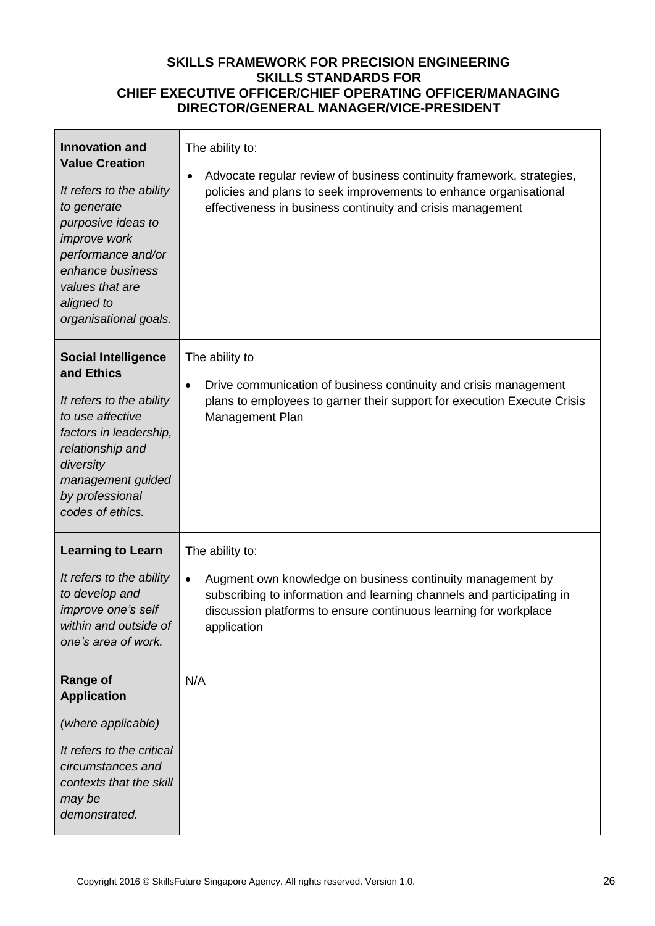| <b>Innovation and</b><br><b>Value Creation</b><br>It refers to the ability<br>to generate<br>purposive ideas to<br>improve work<br>performance and/or<br>enhance business<br>values that are<br>aligned to<br>organisational goals. | The ability to:<br>Advocate regular review of business continuity framework, strategies,<br>$\bullet$<br>policies and plans to seek improvements to enhance organisational<br>effectiveness in business continuity and crisis management               |
|-------------------------------------------------------------------------------------------------------------------------------------------------------------------------------------------------------------------------------------|--------------------------------------------------------------------------------------------------------------------------------------------------------------------------------------------------------------------------------------------------------|
| <b>Social Intelligence</b><br>and Ethics<br>It refers to the ability<br>to use affective<br>factors in leadership,<br>relationship and<br>diversity<br>management guided<br>by professional<br>codes of ethics.                     | The ability to<br>Drive communication of business continuity and crisis management<br>$\bullet$<br>plans to employees to garner their support for execution Execute Crisis<br>Management Plan                                                          |
| <b>Learning to Learn</b><br>It refers to the ability<br>to develop and<br>improve one's self<br>within and outside of<br>one's area of work.                                                                                        | The ability to:<br>Augment own knowledge on business continuity management by<br>$\bullet$<br>subscribing to information and learning channels and participating in<br>discussion platforms to ensure continuous learning for workplace<br>application |
| <b>Range of</b><br><b>Application</b><br>(where applicable)<br>It refers to the critical<br>circumstances and<br>contexts that the skill<br>may be<br>demonstrated.                                                                 | N/A                                                                                                                                                                                                                                                    |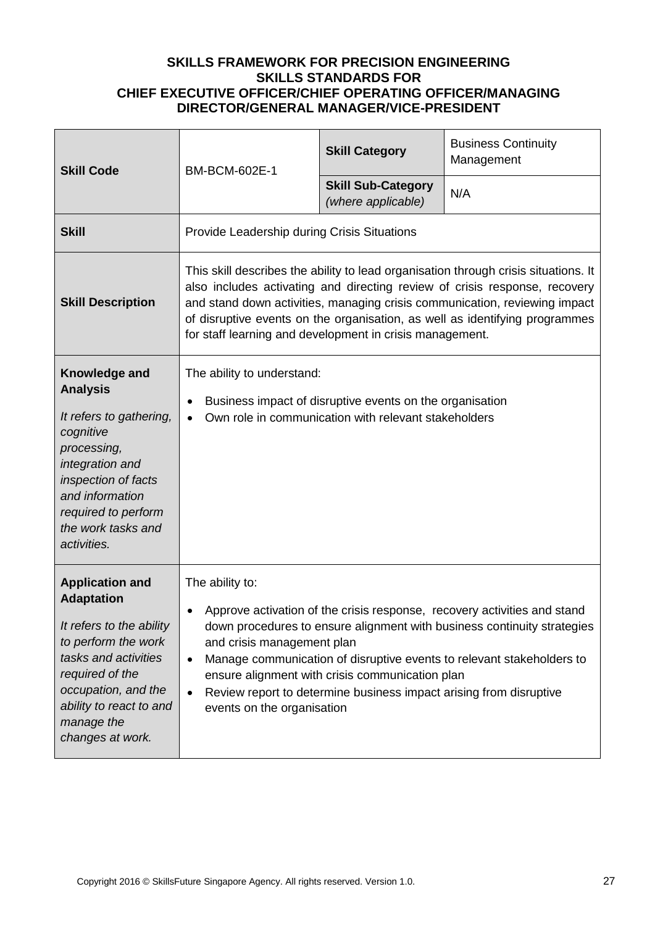| <b>Skill Code</b>                                                                                                                                                                                                             | BM-BCM-602E-1                                                                                                                                                                                                                                                                                                                                                                              | <b>Skill Category</b>                                                                                                 | <b>Business Continuity</b><br>Management                                                                                                                                                                                     |
|-------------------------------------------------------------------------------------------------------------------------------------------------------------------------------------------------------------------------------|--------------------------------------------------------------------------------------------------------------------------------------------------------------------------------------------------------------------------------------------------------------------------------------------------------------------------------------------------------------------------------------------|-----------------------------------------------------------------------------------------------------------------------|------------------------------------------------------------------------------------------------------------------------------------------------------------------------------------------------------------------------------|
|                                                                                                                                                                                                                               |                                                                                                                                                                                                                                                                                                                                                                                            | <b>Skill Sub-Category</b><br>(where applicable)                                                                       | N/A                                                                                                                                                                                                                          |
| <b>Skill</b>                                                                                                                                                                                                                  | Provide Leadership during Crisis Situations                                                                                                                                                                                                                                                                                                                                                |                                                                                                                       |                                                                                                                                                                                                                              |
| <b>Skill Description</b>                                                                                                                                                                                                      | This skill describes the ability to lead organisation through crisis situations. It<br>also includes activating and directing review of crisis response, recovery<br>and stand down activities, managing crisis communication, reviewing impact<br>of disruptive events on the organisation, as well as identifying programmes<br>for staff learning and development in crisis management. |                                                                                                                       |                                                                                                                                                                                                                              |
| Knowledge and<br><b>Analysis</b><br>It refers to gathering,<br>cognitive<br>processing,<br>integration and<br>inspection of facts<br>and information<br>required to perform<br>the work tasks and<br>activities.              | The ability to understand:<br>Business impact of disruptive events on the organisation<br>$\bullet$<br>Own role in communication with relevant stakeholders<br>$\bullet$                                                                                                                                                                                                                   |                                                                                                                       |                                                                                                                                                                                                                              |
| <b>Application and</b><br><b>Adaptation</b><br>It refers to the ability<br>to perform the work<br>tasks and activities<br>required of the<br>occupation, and the<br>ability to react to and<br>manage the<br>changes at work. | The ability to:<br>$\bullet$<br>and crisis management plan<br>$\bullet$<br>$\bullet$<br>events on the organisation                                                                                                                                                                                                                                                                         | ensure alignment with crisis communication plan<br>Review report to determine business impact arising from disruptive | Approve activation of the crisis response, recovery activities and stand<br>down procedures to ensure alignment with business continuity strategies<br>Manage communication of disruptive events to relevant stakeholders to |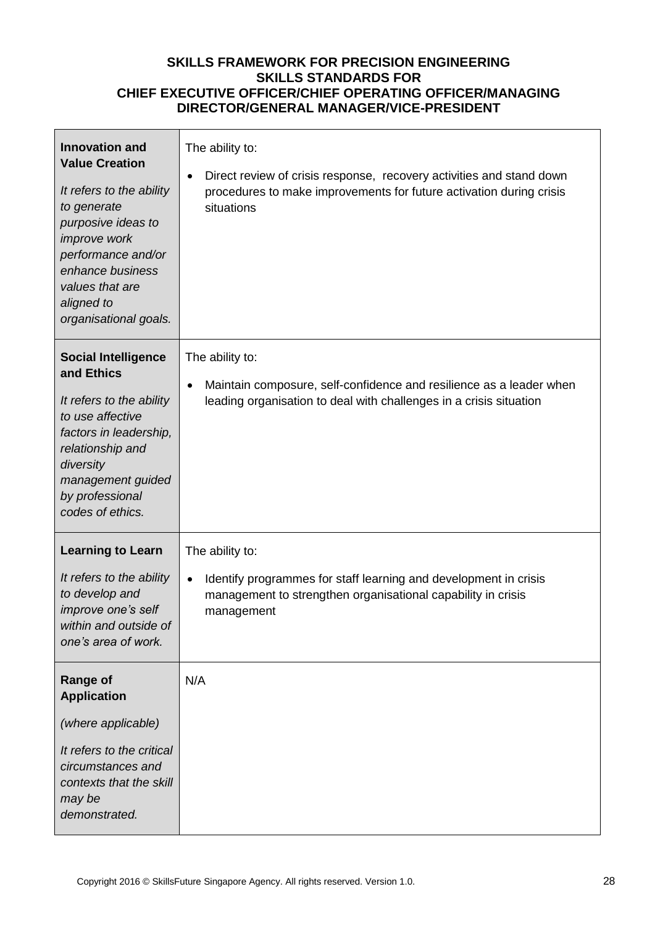| <b>Innovation and</b><br><b>Value Creation</b><br>It refers to the ability<br>to generate<br>purposive ideas to<br>improve work<br>performance and/or<br>enhance business<br>values that are<br>aligned to<br>organisational goals. | The ability to:<br>Direct review of crisis response, recovery activities and stand down<br>٠<br>procedures to make improvements for future activation during crisis<br>situations |
|-------------------------------------------------------------------------------------------------------------------------------------------------------------------------------------------------------------------------------------|-----------------------------------------------------------------------------------------------------------------------------------------------------------------------------------|
| <b>Social Intelligence</b><br>and Ethics<br>It refers to the ability<br>to use affective<br>factors in leadership,<br>relationship and<br>diversity<br>management guided<br>by professional<br>codes of ethics.                     | The ability to:<br>Maintain composure, self-confidence and resilience as a leader when<br>$\bullet$<br>leading organisation to deal with challenges in a crisis situation         |
| <b>Learning to Learn</b><br>It refers to the ability<br>to develop and<br>improve one's self<br>within and outside of<br>one's area of work.                                                                                        | The ability to:<br>Identify programmes for staff learning and development in crisis<br>$\bullet$<br>management to strengthen organisational capability in crisis<br>management    |
| <b>Range of</b><br><b>Application</b><br>(where applicable)<br>It refers to the critical<br>circumstances and<br>contexts that the skill<br>may be<br>demonstrated.                                                                 | N/A                                                                                                                                                                               |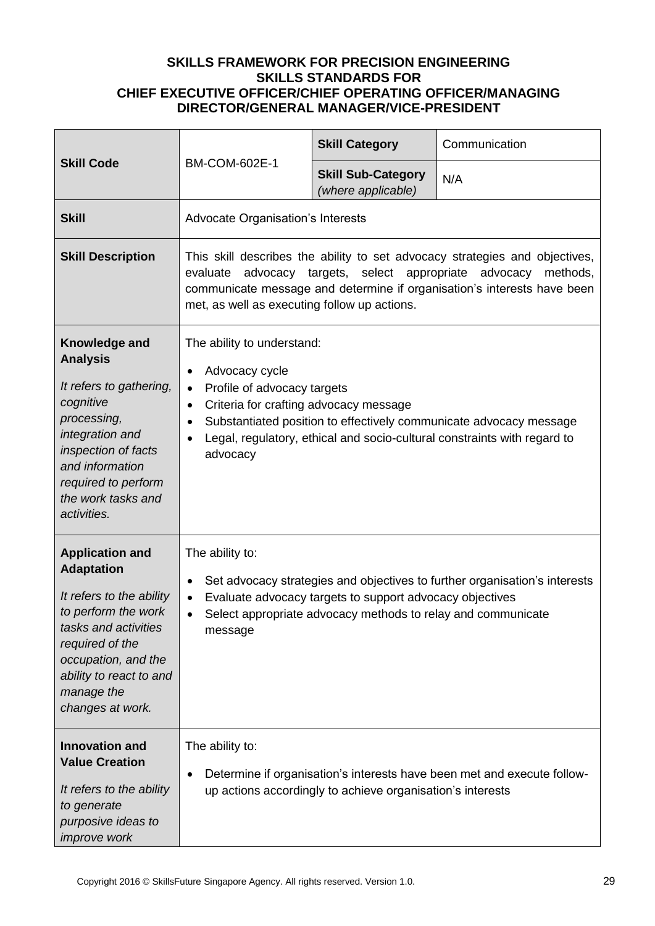| <b>Skill Code</b>                                                                                                                                                                                                             |                                                                                                                                                                                                                                                                                                                                              | <b>Skill Category</b>                           | Communication |
|-------------------------------------------------------------------------------------------------------------------------------------------------------------------------------------------------------------------------------|----------------------------------------------------------------------------------------------------------------------------------------------------------------------------------------------------------------------------------------------------------------------------------------------------------------------------------------------|-------------------------------------------------|---------------|
|                                                                                                                                                                                                                               | BM-COM-602E-1                                                                                                                                                                                                                                                                                                                                | <b>Skill Sub-Category</b><br>(where applicable) | N/A           |
| <b>Skill</b>                                                                                                                                                                                                                  | Advocate Organisation's Interests                                                                                                                                                                                                                                                                                                            |                                                 |               |
| <b>Skill Description</b>                                                                                                                                                                                                      | This skill describes the ability to set advocacy strategies and objectives,<br>advocacy targets, select appropriate<br>advocacy<br>methods,<br>evaluate<br>communicate message and determine if organisation's interests have been<br>met, as well as executing follow up actions.                                                           |                                                 |               |
| Knowledge and<br><b>Analysis</b><br>It refers to gathering,<br>cognitive<br>processing,<br>integration and<br>inspection of facts<br>and information<br>required to perform<br>the work tasks and<br>activities.              | The ability to understand:<br>Advocacy cycle<br>$\bullet$<br>Profile of advocacy targets<br>$\bullet$<br>Criteria for crafting advocacy message<br>$\bullet$<br>Substantiated position to effectively communicate advocacy message<br>٠<br>Legal, regulatory, ethical and socio-cultural constraints with regard to<br>$\bullet$<br>advocacy |                                                 |               |
| <b>Application and</b><br><b>Adaptation</b><br>It refers to the ability<br>to perform the work<br>tasks and activities<br>required of the<br>occupation, and the<br>ability to react to and<br>manage the<br>changes at work. | The ability to:<br>Set advocacy strategies and objectives to further organisation's interests<br>٠<br>Evaluate advocacy targets to support advocacy objectives<br>$\bullet$<br>Select appropriate advocacy methods to relay and communicate<br>$\bullet$<br>message                                                                          |                                                 |               |
| <b>Innovation and</b><br><b>Value Creation</b><br>It refers to the ability<br>to generate<br>purposive ideas to<br>improve work                                                                                               | The ability to:<br>Determine if organisation's interests have been met and execute follow-<br>٠<br>up actions accordingly to achieve organisation's interests                                                                                                                                                                                |                                                 |               |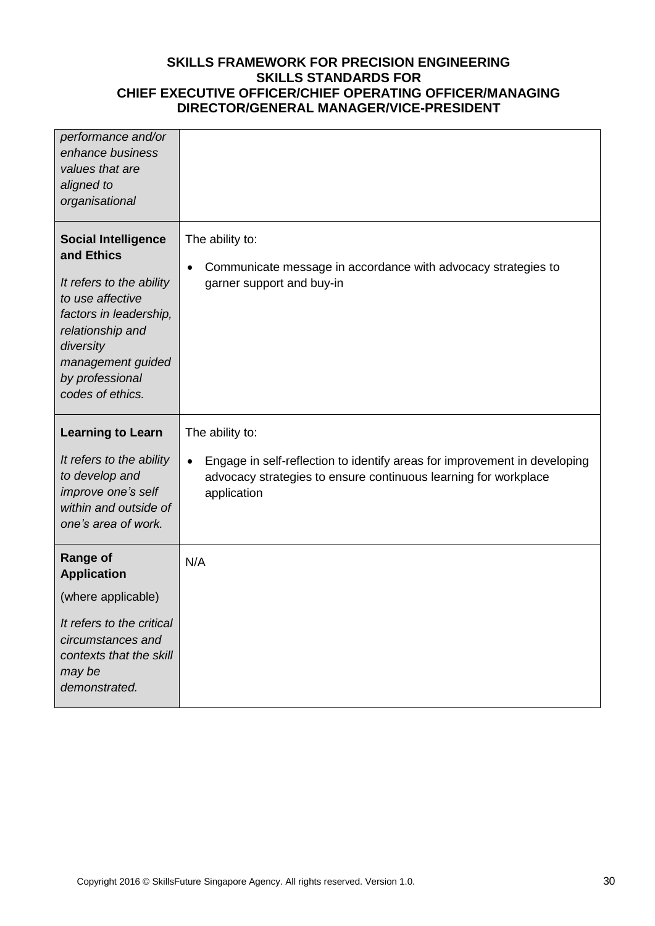| performance and/or<br>enhance business<br>values that are<br>aligned to<br>organisational                                                                                                                       |                                                                                                                                                                                             |
|-----------------------------------------------------------------------------------------------------------------------------------------------------------------------------------------------------------------|---------------------------------------------------------------------------------------------------------------------------------------------------------------------------------------------|
| <b>Social Intelligence</b><br>and Ethics<br>It refers to the ability<br>to use affective<br>factors in leadership,<br>relationship and<br>diversity<br>management guided<br>by professional<br>codes of ethics. | The ability to:<br>Communicate message in accordance with advocacy strategies to<br>$\bullet$<br>garner support and buy-in                                                                  |
| <b>Learning to Learn</b><br>It refers to the ability<br>to develop and<br>improve one's self<br>within and outside of<br>one's area of work.                                                                    | The ability to:<br>Engage in self-reflection to identify areas for improvement in developing<br>$\bullet$<br>advocacy strategies to ensure continuous learning for workplace<br>application |
| <b>Range of</b>                                                                                                                                                                                                 |                                                                                                                                                                                             |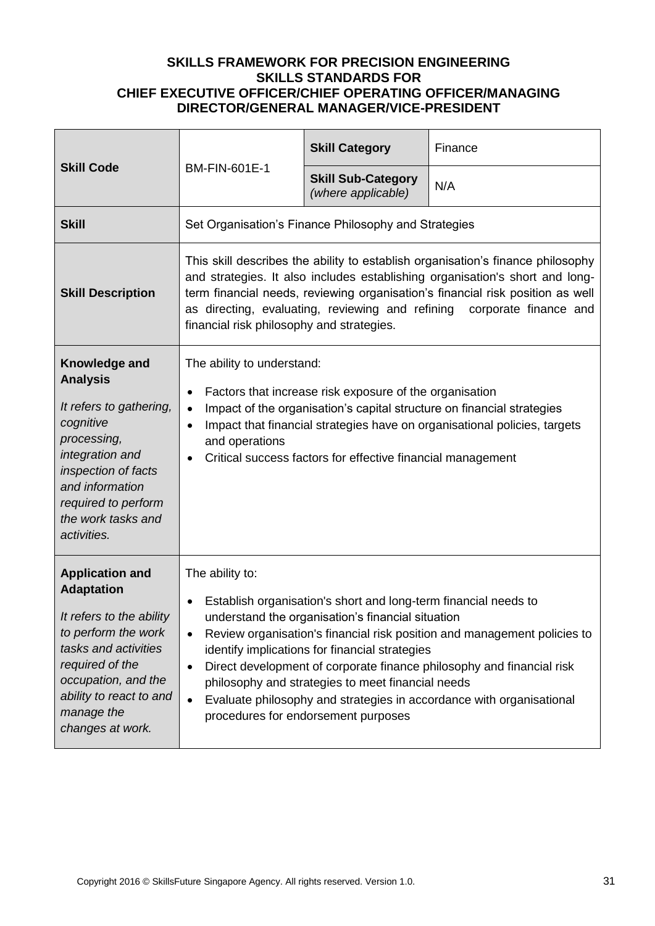| <b>Skill Code</b><br><b>BM-FIN-601E-1</b>                                                                                                                                                                                     |                                                                                                                                                                                                                                                                                                                                                                                                                                                                                                                                                                        | <b>Skill Category</b>                                | Finance |
|-------------------------------------------------------------------------------------------------------------------------------------------------------------------------------------------------------------------------------|------------------------------------------------------------------------------------------------------------------------------------------------------------------------------------------------------------------------------------------------------------------------------------------------------------------------------------------------------------------------------------------------------------------------------------------------------------------------------------------------------------------------------------------------------------------------|------------------------------------------------------|---------|
|                                                                                                                                                                                                                               | <b>Skill Sub-Category</b><br>(where applicable)                                                                                                                                                                                                                                                                                                                                                                                                                                                                                                                        | N/A                                                  |         |
| <b>Skill</b>                                                                                                                                                                                                                  |                                                                                                                                                                                                                                                                                                                                                                                                                                                                                                                                                                        | Set Organisation's Finance Philosophy and Strategies |         |
| <b>Skill Description</b>                                                                                                                                                                                                      | This skill describes the ability to establish organisation's finance philosophy<br>and strategies. It also includes establishing organisation's short and long-<br>term financial needs, reviewing organisation's financial risk position as well<br>as directing, evaluating, reviewing and refining corporate finance and<br>financial risk philosophy and strategies.                                                                                                                                                                                               |                                                      |         |
| Knowledge and<br><b>Analysis</b><br>It refers to gathering,<br>cognitive<br>processing,<br>integration and<br>inspection of facts<br>and information<br>required to perform<br>the work tasks and<br>activities.              | The ability to understand:<br>Factors that increase risk exposure of the organisation<br>٠<br>Impact of the organisation's capital structure on financial strategies<br>$\bullet$<br>Impact that financial strategies have on organisational policies, targets<br>$\bullet$<br>and operations<br>Critical success factors for effective financial management<br>$\bullet$                                                                                                                                                                                              |                                                      |         |
| <b>Application and</b><br><b>Adaptation</b><br>It refers to the ability<br>to perform the work<br>tasks and activities<br>required of the<br>occupation, and the<br>ability to react to and<br>manage the<br>changes at work. | The ability to:<br>Establish organisation's short and long-term financial needs to<br>$\bullet$<br>understand the organisation's financial situation<br>Review organisation's financial risk position and management policies to<br>$\bullet$<br>identify implications for financial strategies<br>Direct development of corporate finance philosophy and financial risk<br>$\bullet$<br>philosophy and strategies to meet financial needs<br>Evaluate philosophy and strategies in accordance with organisational<br>$\bullet$<br>procedures for endorsement purposes |                                                      |         |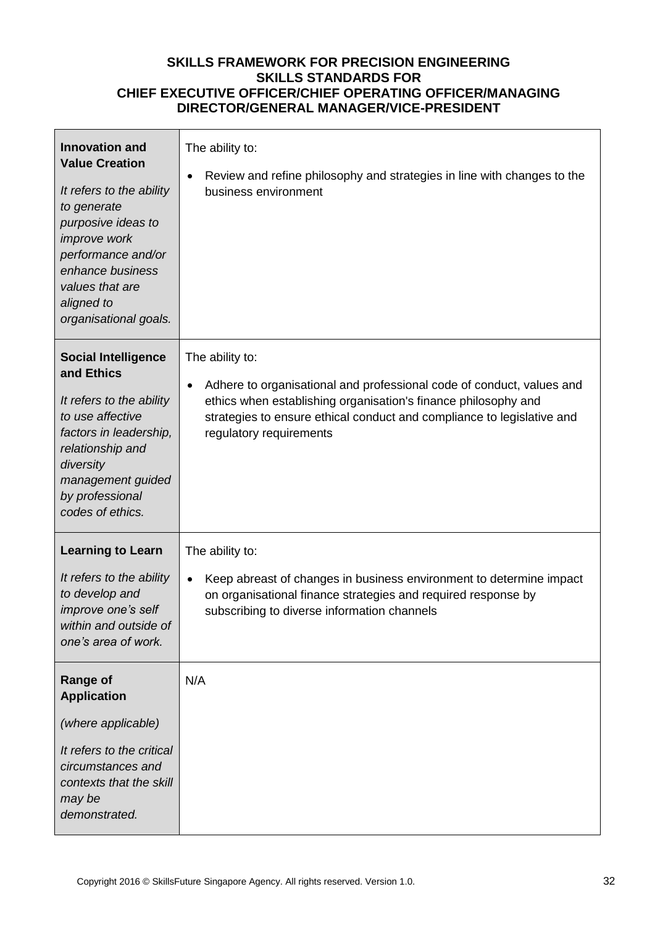| <b>Innovation and</b><br><b>Value Creation</b><br>It refers to the ability<br>to generate<br>purposive ideas to<br>improve work<br>performance and/or<br>enhance business<br>values that are<br>aligned to<br>organisational goals. | The ability to:<br>Review and refine philosophy and strategies in line with changes to the<br>$\bullet$<br>business environment                                                                                                                                              |
|-------------------------------------------------------------------------------------------------------------------------------------------------------------------------------------------------------------------------------------|------------------------------------------------------------------------------------------------------------------------------------------------------------------------------------------------------------------------------------------------------------------------------|
| <b>Social Intelligence</b><br>and Ethics<br>It refers to the ability<br>to use affective<br>factors in leadership,<br>relationship and<br>diversity<br>management guided<br>by professional<br>codes of ethics.                     | The ability to:<br>Adhere to organisational and professional code of conduct, values and<br>$\bullet$<br>ethics when establishing organisation's finance philosophy and<br>strategies to ensure ethical conduct and compliance to legislative and<br>regulatory requirements |
| <b>Learning to Learn</b><br>It refers to the ability<br>to develop and<br>improve one's self<br>within and outside of<br>one's area of work.                                                                                        | The ability to:<br>Keep abreast of changes in business environment to determine impact<br>$\bullet$<br>on organisational finance strategies and required response by<br>subscribing to diverse information channels                                                          |
| <b>Range of</b><br><b>Application</b><br>(where applicable)<br>It refers to the critical<br>circumstances and<br>contexts that the skill<br>may be<br>demonstrated.                                                                 | N/A                                                                                                                                                                                                                                                                          |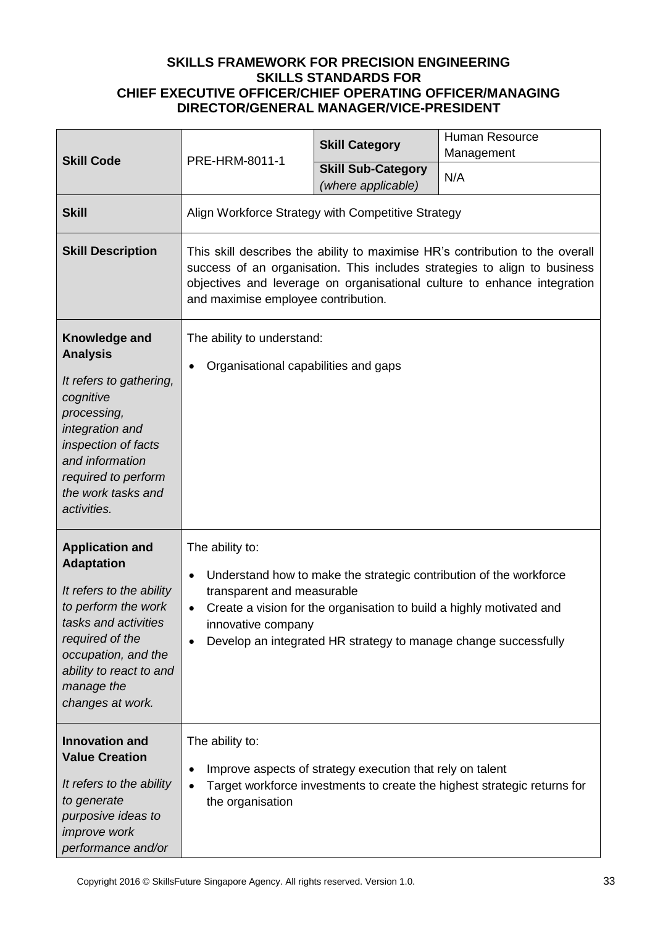|                                                                                                                                                                                                                               | PRE-HRM-8011-1                                                                                                                                                                                                                                                                | <b>Skill Category</b>                                     | <b>Human Resource</b><br>Management                                                                                                                                                                           |
|-------------------------------------------------------------------------------------------------------------------------------------------------------------------------------------------------------------------------------|-------------------------------------------------------------------------------------------------------------------------------------------------------------------------------------------------------------------------------------------------------------------------------|-----------------------------------------------------------|---------------------------------------------------------------------------------------------------------------------------------------------------------------------------------------------------------------|
| <b>Skill Code</b>                                                                                                                                                                                                             |                                                                                                                                                                                                                                                                               | <b>Skill Sub-Category</b><br>(where applicable)           | N/A                                                                                                                                                                                                           |
| <b>Skill</b>                                                                                                                                                                                                                  | Align Workforce Strategy with Competitive Strategy                                                                                                                                                                                                                            |                                                           |                                                                                                                                                                                                               |
| <b>Skill Description</b>                                                                                                                                                                                                      | This skill describes the ability to maximise HR's contribution to the overall<br>success of an organisation. This includes strategies to align to business<br>objectives and leverage on organisational culture to enhance integration<br>and maximise employee contribution. |                                                           |                                                                                                                                                                                                               |
| Knowledge and<br><b>Analysis</b><br>It refers to gathering,<br>cognitive<br>processing,<br>integration and<br>inspection of facts<br>and information<br>required to perform<br>the work tasks and<br>activities.              | The ability to understand:<br>Organisational capabilities and gaps                                                                                                                                                                                                            |                                                           |                                                                                                                                                                                                               |
| <b>Application and</b><br><b>Adaptation</b><br>It refers to the ability<br>to perform the work<br>tasks and activities<br>required of the<br>occupation, and the<br>ability to react to and<br>manage the<br>changes at work. | The ability to:<br>$\bullet$<br>transparent and measurable<br>$\bullet$<br>innovative company                                                                                                                                                                                 |                                                           | Understand how to make the strategic contribution of the workforce<br>Create a vision for the organisation to build a highly motivated and<br>Develop an integrated HR strategy to manage change successfully |
| <b>Innovation and</b><br><b>Value Creation</b><br>It refers to the ability<br>to generate<br>purposive ideas to<br><i>improve</i> work<br>performance and/or                                                                  | The ability to:<br>$\bullet$<br>$\bullet$<br>the organisation                                                                                                                                                                                                                 | Improve aspects of strategy execution that rely on talent | Target workforce investments to create the highest strategic returns for                                                                                                                                      |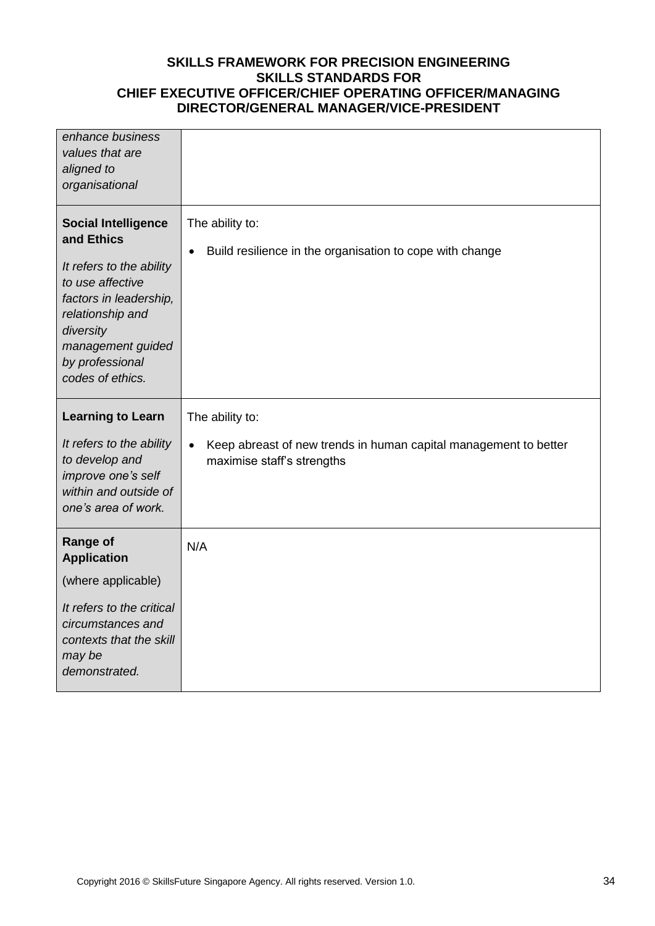| enhance business<br>values that are<br>aligned to<br>organisational                                                                                                                                             |                                                                                                             |
|-----------------------------------------------------------------------------------------------------------------------------------------------------------------------------------------------------------------|-------------------------------------------------------------------------------------------------------------|
| <b>Social Intelligence</b><br>and Ethics<br>It refers to the ability<br>to use affective<br>factors in leadership,<br>relationship and<br>diversity<br>management guided<br>by professional<br>codes of ethics. | The ability to:<br>Build resilience in the organisation to cope with change<br>$\bullet$                    |
| <b>Learning to Learn</b>                                                                                                                                                                                        | The ability to:                                                                                             |
| It refers to the ability<br>to develop and<br>improve one's self<br>within and outside of<br>one's area of work.                                                                                                | Keep abreast of new trends in human capital management to better<br>$\bullet$<br>maximise staff's strengths |
|                                                                                                                                                                                                                 |                                                                                                             |
| <b>Range of</b><br><b>Application</b>                                                                                                                                                                           | N/A                                                                                                         |
| (where applicable)                                                                                                                                                                                              |                                                                                                             |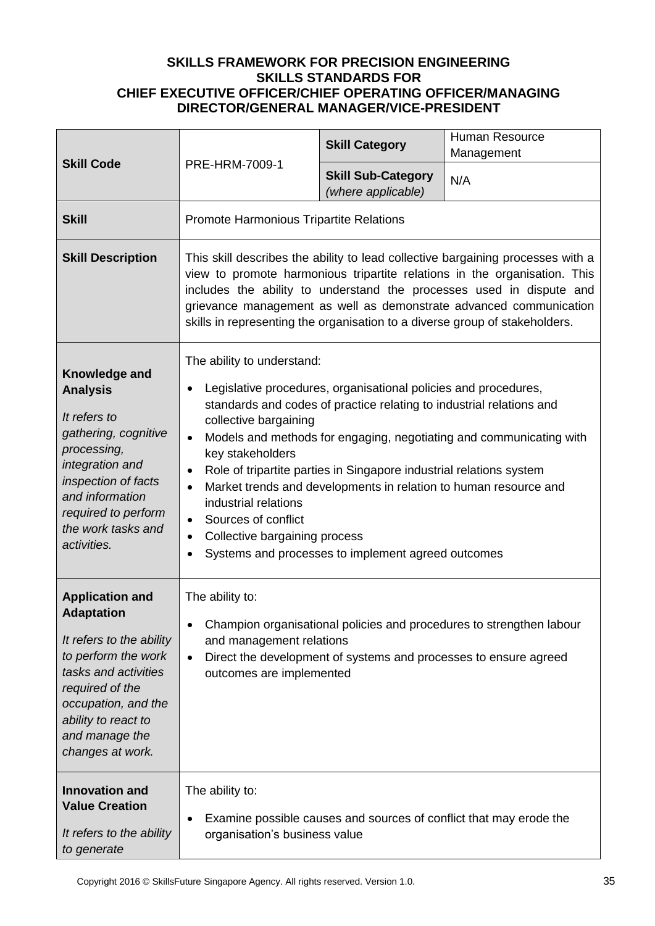| <b>Skill Code</b>                                                                                                                                                                                                             | PRE-HRM-7009-1                                                                                                                                                                                                                                                                                                                                                                                                                                                                                                                                                                                                                                   | <b>Skill Category</b>                                            | <b>Human Resource</b><br>Management                                  |
|-------------------------------------------------------------------------------------------------------------------------------------------------------------------------------------------------------------------------------|--------------------------------------------------------------------------------------------------------------------------------------------------------------------------------------------------------------------------------------------------------------------------------------------------------------------------------------------------------------------------------------------------------------------------------------------------------------------------------------------------------------------------------------------------------------------------------------------------------------------------------------------------|------------------------------------------------------------------|----------------------------------------------------------------------|
|                                                                                                                                                                                                                               |                                                                                                                                                                                                                                                                                                                                                                                                                                                                                                                                                                                                                                                  | <b>Skill Sub-Category</b><br>(where applicable)                  | N/A                                                                  |
| <b>Skill</b>                                                                                                                                                                                                                  | Promote Harmonious Tripartite Relations                                                                                                                                                                                                                                                                                                                                                                                                                                                                                                                                                                                                          |                                                                  |                                                                      |
| <b>Skill Description</b>                                                                                                                                                                                                      | This skill describes the ability to lead collective bargaining processes with a<br>view to promote harmonious tripartite relations in the organisation. This<br>includes the ability to understand the processes used in dispute and<br>grievance management as well as demonstrate advanced communication<br>skills in representing the organisation to a diverse group of stakeholders.                                                                                                                                                                                                                                                        |                                                                  |                                                                      |
| Knowledge and<br><b>Analysis</b><br>It refers to<br>gathering, cognitive<br>processing,<br>integration and<br>inspection of facts<br>and information<br>required to perform<br>the work tasks and<br>activities.              | The ability to understand:<br>Legislative procedures, organisational policies and procedures,<br>standards and codes of practice relating to industrial relations and<br>collective bargaining<br>Models and methods for engaging, negotiating and communicating with<br>$\bullet$<br>key stakeholders<br>Role of tripartite parties in Singapore industrial relations system<br>$\bullet$<br>Market trends and developments in relation to human resource and<br>$\bullet$<br>industrial relations<br>Sources of conflict<br>$\bullet$<br>Collective bargaining process<br>$\bullet$<br>Systems and processes to implement agreed outcomes<br>٠ |                                                                  |                                                                      |
| <b>Application and</b><br><b>Adaptation</b><br>It refers to the ability<br>to perform the work<br>tasks and activities<br>required of the<br>occupation, and the<br>ability to react to<br>and manage the<br>changes at work. | The ability to:<br>and management relations<br>$\bullet$<br>outcomes are implemented                                                                                                                                                                                                                                                                                                                                                                                                                                                                                                                                                             | Direct the development of systems and processes to ensure agreed | Champion organisational policies and procedures to strengthen labour |
| <b>Innovation and</b><br><b>Value Creation</b><br>It refers to the ability<br>to generate                                                                                                                                     | The ability to:<br>organisation's business value                                                                                                                                                                                                                                                                                                                                                                                                                                                                                                                                                                                                 |                                                                  | Examine possible causes and sources of conflict that may erode the   |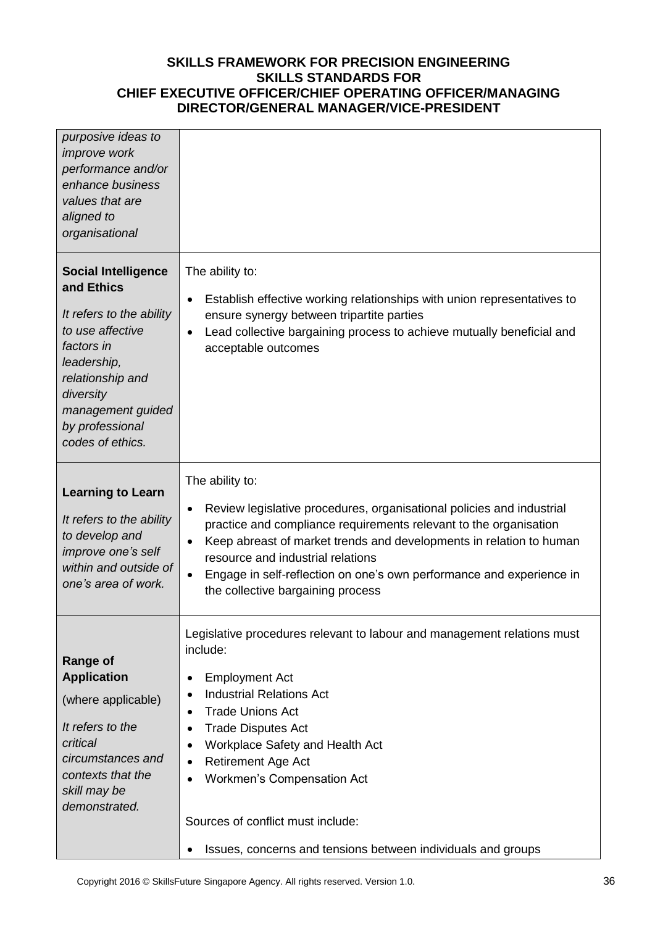| purposive ideas to<br><i>improve</i> work<br>performance and/or<br>enhance business<br>values that are<br>aligned to<br>organisational                                                                             |                                                                                                                                                                                                                                                                                                                                                                                                                                   |
|--------------------------------------------------------------------------------------------------------------------------------------------------------------------------------------------------------------------|-----------------------------------------------------------------------------------------------------------------------------------------------------------------------------------------------------------------------------------------------------------------------------------------------------------------------------------------------------------------------------------------------------------------------------------|
| <b>Social Intelligence</b><br>and Ethics<br>It refers to the ability<br>to use affective<br>factors in<br>leadership,<br>relationship and<br>diversity<br>management guided<br>by professional<br>codes of ethics. | The ability to:<br>Establish effective working relationships with union representatives to<br>ensure synergy between tripartite parties<br>Lead collective bargaining process to achieve mutually beneficial and<br>acceptable outcomes                                                                                                                                                                                           |
| <b>Learning to Learn</b><br>It refers to the ability<br>to develop and<br>improve one's self<br>within and outside of<br>one's area of work.                                                                       | The ability to:<br>Review legislative procedures, organisational policies and industrial<br>٠<br>practice and compliance requirements relevant to the organisation<br>Keep abreast of market trends and developments in relation to human<br>resource and industrial relations<br>Engage in self-reflection on one's own performance and experience in<br>$\bullet$<br>the collective bargaining process                          |
| <b>Range of</b><br><b>Application</b><br>(where applicable)<br>It refers to the<br>critical<br>circumstances and<br>contexts that the<br>skill may be<br>demonstrated.                                             | Legislative procedures relevant to labour and management relations must<br>include:<br><b>Employment Act</b><br>٠<br><b>Industrial Relations Act</b><br><b>Trade Unions Act</b><br><b>Trade Disputes Act</b><br>Workplace Safety and Health Act<br>٠<br><b>Retirement Age Act</b><br>Workmen's Compensation Act<br>$\bullet$<br>Sources of conflict must include:<br>Issues, concerns and tensions between individuals and groups |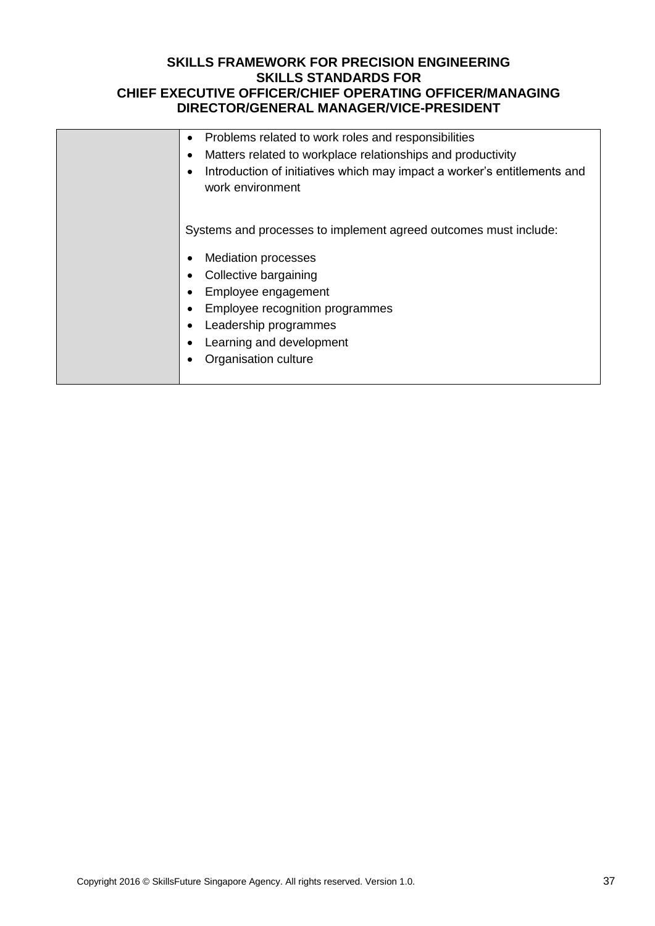| Problems related to work roles and responsibilities<br>$\bullet$<br>Matters related to workplace relationships and productivity<br>$\epsilon$<br>Introduction of initiatives which may impact a worker's entitlements and<br>$\epsilon$<br>work environment    |
|----------------------------------------------------------------------------------------------------------------------------------------------------------------------------------------------------------------------------------------------------------------|
| Systems and processes to implement agreed outcomes must include:<br><b>Mediation processes</b><br>Collective bargaining<br>Employee engagement<br>Employee recognition programmes<br>Leadership programmes<br>Learning and development<br>Organisation culture |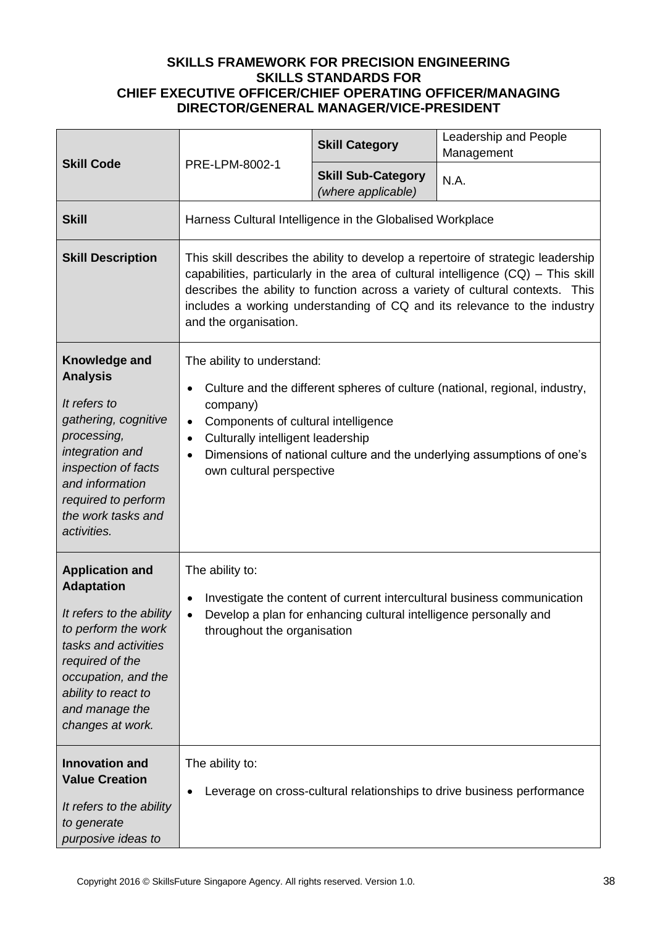| <b>Skill Code</b>                                                                                                                                                                                                             | PRE-LPM-8002-1                                                                                                                                                                                                                                                                                                                                                | <b>Skill Category</b>                           | Leadership and People<br>Management                                                                                                                   |
|-------------------------------------------------------------------------------------------------------------------------------------------------------------------------------------------------------------------------------|---------------------------------------------------------------------------------------------------------------------------------------------------------------------------------------------------------------------------------------------------------------------------------------------------------------------------------------------------------------|-------------------------------------------------|-------------------------------------------------------------------------------------------------------------------------------------------------------|
|                                                                                                                                                                                                                               |                                                                                                                                                                                                                                                                                                                                                               | <b>Skill Sub-Category</b><br>(where applicable) | N.A.                                                                                                                                                  |
| <b>Skill</b>                                                                                                                                                                                                                  | Harness Cultural Intelligence in the Globalised Workplace                                                                                                                                                                                                                                                                                                     |                                                 |                                                                                                                                                       |
| <b>Skill Description</b>                                                                                                                                                                                                      | This skill describes the ability to develop a repertoire of strategic leadership<br>capabilities, particularly in the area of cultural intelligence $(CQ)$ – This skill<br>describes the ability to function across a variety of cultural contexts. This<br>includes a working understanding of CQ and its relevance to the industry<br>and the organisation. |                                                 |                                                                                                                                                       |
| Knowledge and<br><b>Analysis</b><br>It refers to<br>gathering, cognitive<br>processing,<br>integration and<br>inspection of facts<br>and information<br>required to perform<br>the work tasks and<br>activities.              | The ability to understand:<br>company)<br>Components of cultural intelligence<br>$\bullet$<br>Culturally intelligent leadership<br>$\bullet$<br>$\bullet$<br>own cultural perspective                                                                                                                                                                         |                                                 | Culture and the different spheres of culture (national, regional, industry,<br>Dimensions of national culture and the underlying assumptions of one's |
| <b>Application and</b><br><b>Adaptation</b><br>It refers to the ability<br>to perform the work<br>tasks and activities<br>required of the<br>occupation, and the<br>ability to react to<br>and manage the<br>changes at work. | The ability to:<br>Investigate the content of current intercultural business communication<br>$\bullet$<br>Develop a plan for enhancing cultural intelligence personally and<br>throughout the organisation                                                                                                                                                   |                                                 |                                                                                                                                                       |
| <b>Innovation and</b><br><b>Value Creation</b><br>It refers to the ability<br>to generate<br>purposive ideas to                                                                                                               | The ability to:                                                                                                                                                                                                                                                                                                                                               |                                                 | Leverage on cross-cultural relationships to drive business performance                                                                                |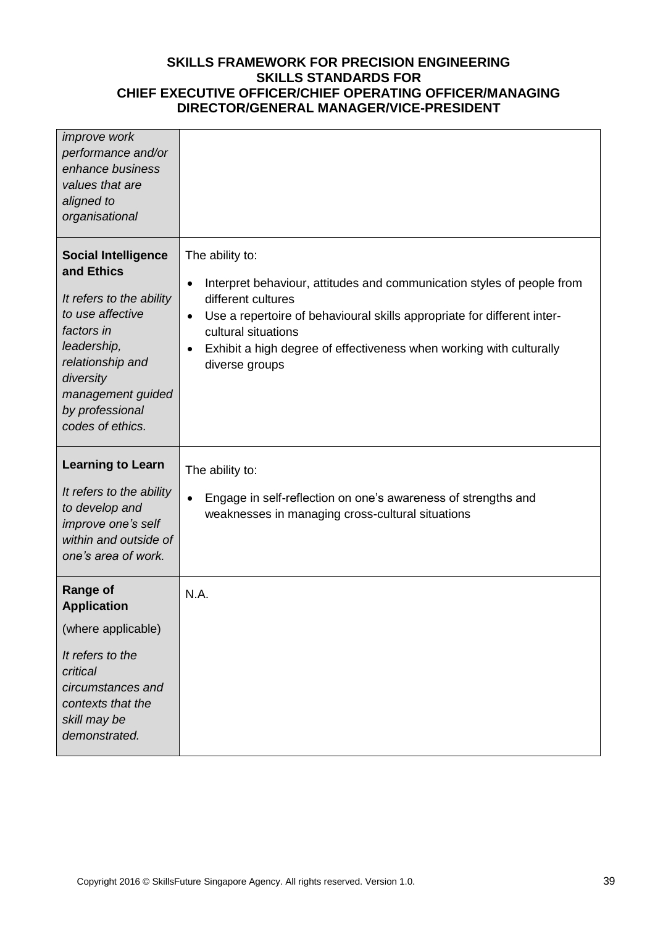| <i>improve</i> work<br>performance and/or<br>enhance business<br>values that are<br>aligned to<br>organisational                                                                                                   |                                                                                                                                                                                                                                                                                                                              |
|--------------------------------------------------------------------------------------------------------------------------------------------------------------------------------------------------------------------|------------------------------------------------------------------------------------------------------------------------------------------------------------------------------------------------------------------------------------------------------------------------------------------------------------------------------|
| <b>Social Intelligence</b><br>and Ethics<br>It refers to the ability<br>to use affective<br>factors in<br>leadership,<br>relationship and<br>diversity<br>management guided<br>by professional<br>codes of ethics. | The ability to:<br>Interpret behaviour, attitudes and communication styles of people from<br>٠<br>different cultures<br>Use a repertoire of behavioural skills appropriate for different inter-<br>$\bullet$<br>cultural situations<br>Exhibit a high degree of effectiveness when working with culturally<br>diverse groups |
| <b>Learning to Learn</b><br>It refers to the ability<br>to develop and<br>improve one's self<br>within and outside of<br>one's area of work.                                                                       | The ability to:<br>Engage in self-reflection on one's awareness of strengths and<br>weaknesses in managing cross-cultural situations                                                                                                                                                                                         |
| <b>Range of</b><br><b>Application</b><br>(where applicable)<br>It refers to the<br>critical<br>circumstances and<br>contexts that the<br>skill may be<br>demonstrated.                                             | N.A.                                                                                                                                                                                                                                                                                                                         |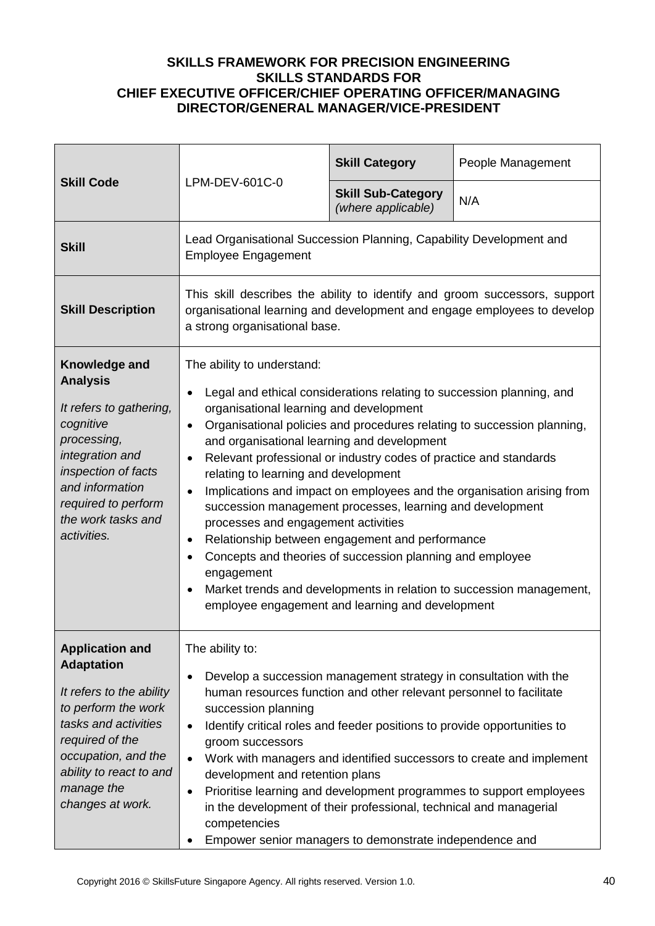| <b>Skill Code</b>                                                                                                                                                                                                             | LPM-DEV-601C-0                                                                                                                                                                                                                                                                                                                                                                                                                                                                                                                                                                                                                                                                                                                                                                                                                                                                                      | <b>Skill Category</b>                           | People Management |
|-------------------------------------------------------------------------------------------------------------------------------------------------------------------------------------------------------------------------------|-----------------------------------------------------------------------------------------------------------------------------------------------------------------------------------------------------------------------------------------------------------------------------------------------------------------------------------------------------------------------------------------------------------------------------------------------------------------------------------------------------------------------------------------------------------------------------------------------------------------------------------------------------------------------------------------------------------------------------------------------------------------------------------------------------------------------------------------------------------------------------------------------------|-------------------------------------------------|-------------------|
|                                                                                                                                                                                                                               |                                                                                                                                                                                                                                                                                                                                                                                                                                                                                                                                                                                                                                                                                                                                                                                                                                                                                                     | <b>Skill Sub-Category</b><br>(where applicable) | N/A               |
| <b>Skill</b>                                                                                                                                                                                                                  | Lead Organisational Succession Planning, Capability Development and<br><b>Employee Engagement</b>                                                                                                                                                                                                                                                                                                                                                                                                                                                                                                                                                                                                                                                                                                                                                                                                   |                                                 |                   |
| <b>Skill Description</b>                                                                                                                                                                                                      | This skill describes the ability to identify and groom successors, support<br>organisational learning and development and engage employees to develop<br>a strong organisational base.                                                                                                                                                                                                                                                                                                                                                                                                                                                                                                                                                                                                                                                                                                              |                                                 |                   |
| Knowledge and<br><b>Analysis</b><br>It refers to gathering,<br>cognitive<br>processing,<br>integration and<br>inspection of facts<br>and information<br>required to perform<br>the work tasks and<br>activities.              | The ability to understand:<br>Legal and ethical considerations relating to succession planning, and<br>$\bullet$<br>organisational learning and development<br>Organisational policies and procedures relating to succession planning,<br>$\bullet$<br>and organisational learning and development<br>Relevant professional or industry codes of practice and standards<br>$\bullet$<br>relating to learning and development<br>Implications and impact on employees and the organisation arising from<br>$\bullet$<br>succession management processes, learning and development<br>processes and engagement activities<br>Relationship between engagement and performance<br>٠<br>Concepts and theories of succession planning and employee<br>$\bullet$<br>engagement<br>Market trends and developments in relation to succession management,<br>employee engagement and learning and development |                                                 |                   |
| <b>Application and</b><br><b>Adaptation</b><br>It refers to the ability<br>to perform the work<br>tasks and activities<br>required of the<br>occupation, and the<br>ability to react to and<br>manage the<br>changes at work. | The ability to:<br>Develop a succession management strategy in consultation with the<br>$\bullet$<br>human resources function and other relevant personnel to facilitate<br>succession planning<br>Identify critical roles and feeder positions to provide opportunities to<br>$\bullet$<br>groom successors<br>Work with managers and identified successors to create and implement<br>$\bullet$<br>development and retention plans<br>Prioritise learning and development programmes to support employees<br>$\bullet$<br>in the development of their professional, technical and managerial<br>competencies<br>Empower senior managers to demonstrate independence and<br>٠                                                                                                                                                                                                                      |                                                 |                   |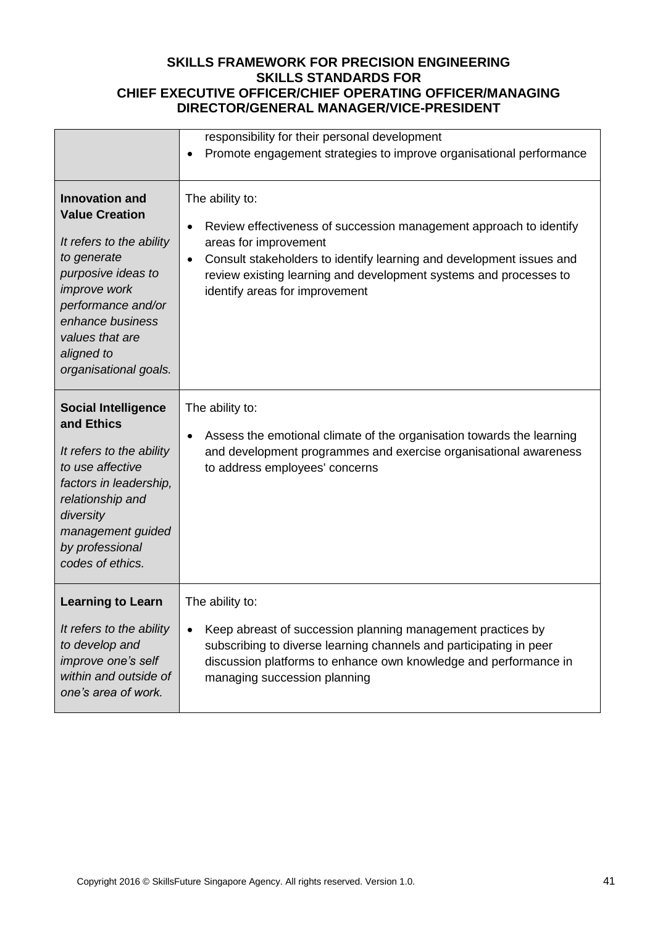|                                                                                                                                                                                                                                     | responsibility for their personal development                                                                                                                                                                                                                                                                           |
|-------------------------------------------------------------------------------------------------------------------------------------------------------------------------------------------------------------------------------------|-------------------------------------------------------------------------------------------------------------------------------------------------------------------------------------------------------------------------------------------------------------------------------------------------------------------------|
|                                                                                                                                                                                                                                     | Promote engagement strategies to improve organisational performance<br>٠                                                                                                                                                                                                                                                |
| <b>Innovation and</b><br><b>Value Creation</b><br>It refers to the ability<br>to generate<br>purposive ideas to<br>improve work<br>performance and/or<br>enhance business<br>values that are<br>aligned to<br>organisational goals. | The ability to:<br>Review effectiveness of succession management approach to identify<br>$\bullet$<br>areas for improvement<br>Consult stakeholders to identify learning and development issues and<br>$\bullet$<br>review existing learning and development systems and processes to<br>identify areas for improvement |
| <b>Social Intelligence</b><br>and Ethics<br>It refers to the ability<br>to use affective<br>factors in leadership,<br>relationship and<br>diversity<br>management guided<br>by professional<br>codes of ethics.                     | The ability to:<br>Assess the emotional climate of the organisation towards the learning<br>٠<br>and development programmes and exercise organisational awareness<br>to address employees' concerns                                                                                                                     |
| <b>Learning to Learn</b><br>It refers to the ability<br>to develop and<br>improve one's self<br>within and outside of<br>one's area of work.                                                                                        | The ability to:<br>Keep abreast of succession planning management practices by<br>subscribing to diverse learning channels and participating in peer<br>discussion platforms to enhance own knowledge and performance in<br>managing succession planning                                                                |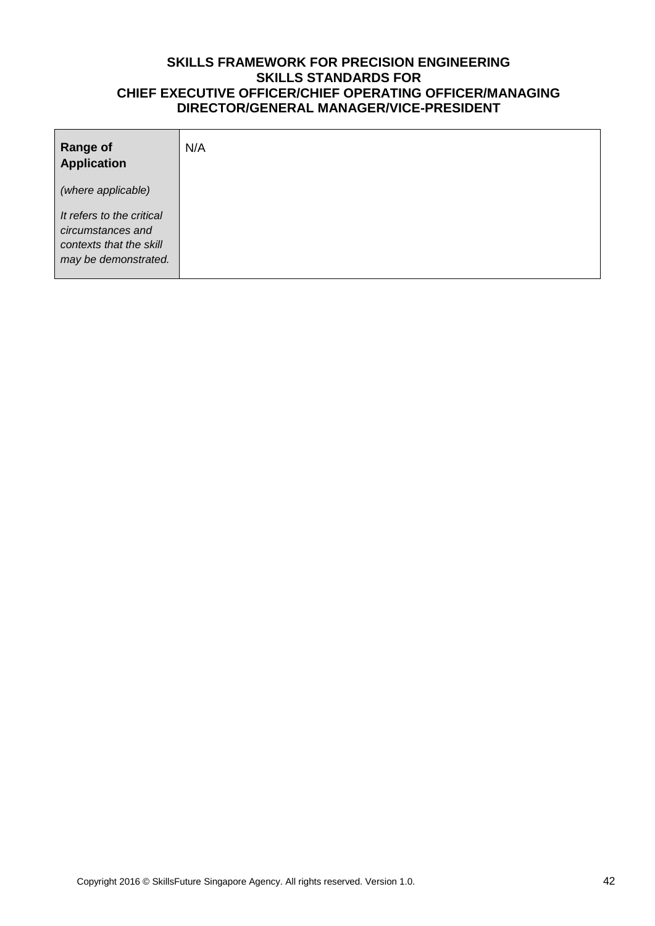| <b>Range of</b><br><b>Application</b>                                                             | N/A |
|---------------------------------------------------------------------------------------------------|-----|
| (where applicable)                                                                                |     |
| It refers to the critical<br>circumstances and<br>contexts that the skill<br>may be demonstrated. |     |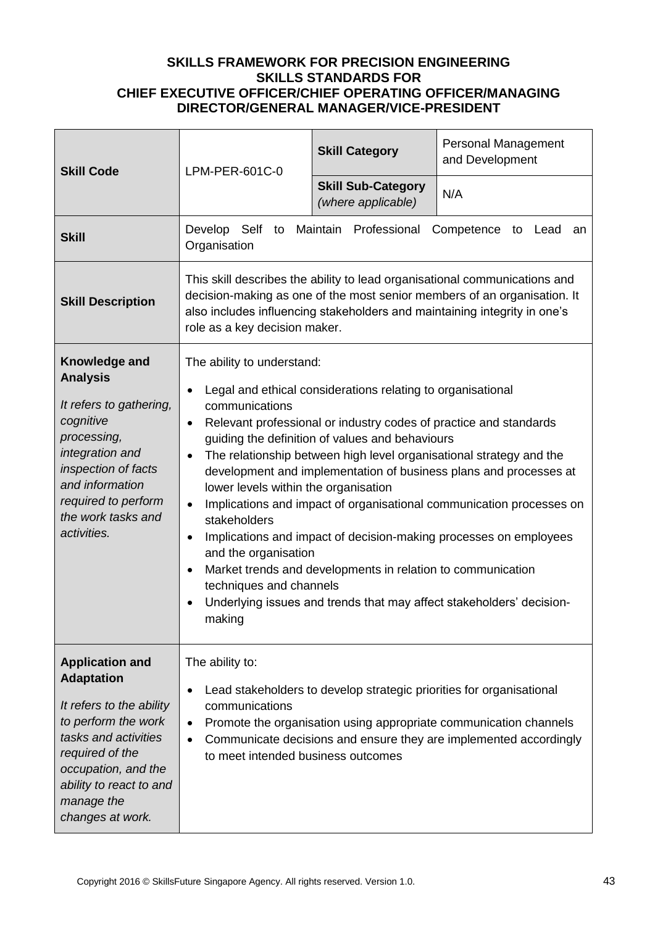| <b>Skill Code</b>                                                                                                                                                                                                             | LPM-PER-601C-0                                                                                                                                                                                                                                                                                                                                                                                                                                                                                                                                                                                                                                                                                                                                                                                                          | <b>Skill Category</b>                                                | Personal Management<br>and Development                                                                                                                                                                                              |
|-------------------------------------------------------------------------------------------------------------------------------------------------------------------------------------------------------------------------------|-------------------------------------------------------------------------------------------------------------------------------------------------------------------------------------------------------------------------------------------------------------------------------------------------------------------------------------------------------------------------------------------------------------------------------------------------------------------------------------------------------------------------------------------------------------------------------------------------------------------------------------------------------------------------------------------------------------------------------------------------------------------------------------------------------------------------|----------------------------------------------------------------------|-------------------------------------------------------------------------------------------------------------------------------------------------------------------------------------------------------------------------------------|
|                                                                                                                                                                                                                               |                                                                                                                                                                                                                                                                                                                                                                                                                                                                                                                                                                                                                                                                                                                                                                                                                         | <b>Skill Sub-Category</b><br>(where applicable)                      | N/A                                                                                                                                                                                                                                 |
| <b>Skill</b>                                                                                                                                                                                                                  | Develop Self<br>to<br>Organisation                                                                                                                                                                                                                                                                                                                                                                                                                                                                                                                                                                                                                                                                                                                                                                                      | Maintain<br>Professional                                             | Competence to Lead<br>an                                                                                                                                                                                                            |
| <b>Skill Description</b>                                                                                                                                                                                                      | role as a key decision maker.                                                                                                                                                                                                                                                                                                                                                                                                                                                                                                                                                                                                                                                                                                                                                                                           |                                                                      | This skill describes the ability to lead organisational communications and<br>decision-making as one of the most senior members of an organisation. It<br>also includes influencing stakeholders and maintaining integrity in one's |
| Knowledge and<br><b>Analysis</b><br>It refers to gathering,<br>cognitive<br>processing,<br>integration and<br>inspection of facts<br>and information<br>required to perform<br>the work tasks and<br>activities.              | The ability to understand:<br>Legal and ethical considerations relating to organisational<br>communications<br>Relevant professional or industry codes of practice and standards<br>$\bullet$<br>guiding the definition of values and behaviours<br>The relationship between high level organisational strategy and the<br>$\bullet$<br>development and implementation of business plans and processes at<br>lower levels within the organisation<br>Implications and impact of organisational communication processes on<br>stakeholders<br>Implications and impact of decision-making processes on employees<br>٠<br>and the organisation<br>Market trends and developments in relation to communication<br>techniques and channels<br>Underlying issues and trends that may affect stakeholders' decision-<br>making |                                                                      |                                                                                                                                                                                                                                     |
| <b>Application and</b><br><b>Adaptation</b><br>It refers to the ability<br>to perform the work<br>tasks and activities<br>required of the<br>occupation, and the<br>ability to react to and<br>manage the<br>changes at work. | The ability to:<br>communications<br>$\bullet$<br>$\bullet$<br>to meet intended business outcomes                                                                                                                                                                                                                                                                                                                                                                                                                                                                                                                                                                                                                                                                                                                       | Lead stakeholders to develop strategic priorities for organisational | Promote the organisation using appropriate communication channels<br>Communicate decisions and ensure they are implemented accordingly                                                                                              |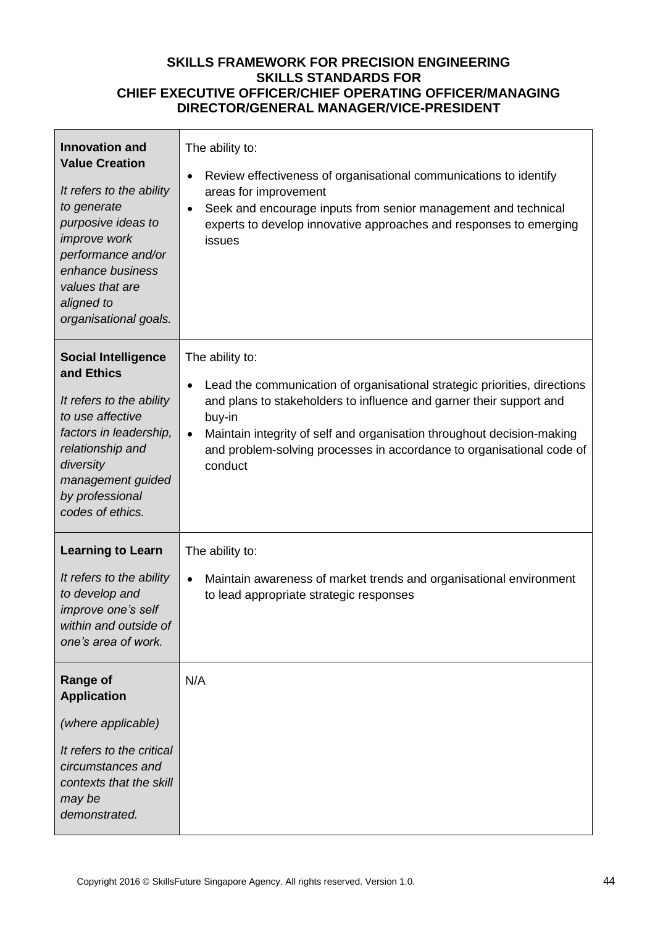| <b>Innovation and</b><br><b>Value Creation</b><br>It refers to the ability<br>to generate<br>purposive ideas to<br>improve work<br>performance and/or<br>enhance business<br>values that are<br>aligned to<br>organisational goals. | The ability to:<br>Review effectiveness of organisational communications to identify<br>areas for improvement<br>Seek and encourage inputs from senior management and technical<br>$\bullet$<br>experts to develop innovative approaches and responses to emerging<br>issues                                                                                          |
|-------------------------------------------------------------------------------------------------------------------------------------------------------------------------------------------------------------------------------------|-----------------------------------------------------------------------------------------------------------------------------------------------------------------------------------------------------------------------------------------------------------------------------------------------------------------------------------------------------------------------|
| <b>Social Intelligence</b><br>and Ethics<br>It refers to the ability<br>to use affective<br>factors in leadership,<br>relationship and<br>diversity<br>management guided<br>by professional<br>codes of ethics.                     | The ability to:<br>Lead the communication of organisational strategic priorities, directions<br>$\bullet$<br>and plans to stakeholders to influence and garner their support and<br>buy-in<br>Maintain integrity of self and organisation throughout decision-making<br>$\bullet$<br>and problem-solving processes in accordance to organisational code of<br>conduct |
| <b>Learning to Learn</b><br>It refers to the ability<br>to develop and<br>improve one's self<br>within and outside of<br>one's area of work.                                                                                        | The ability to:<br>Maintain awareness of market trends and organisational environment<br>$\bullet$<br>to lead appropriate strategic responses                                                                                                                                                                                                                         |
| <b>Range of</b><br><b>Application</b><br>(where applicable)<br>It refers to the critical<br>circumstances and<br>contexts that the skill<br>may be<br>demonstrated.                                                                 | N/A                                                                                                                                                                                                                                                                                                                                                                   |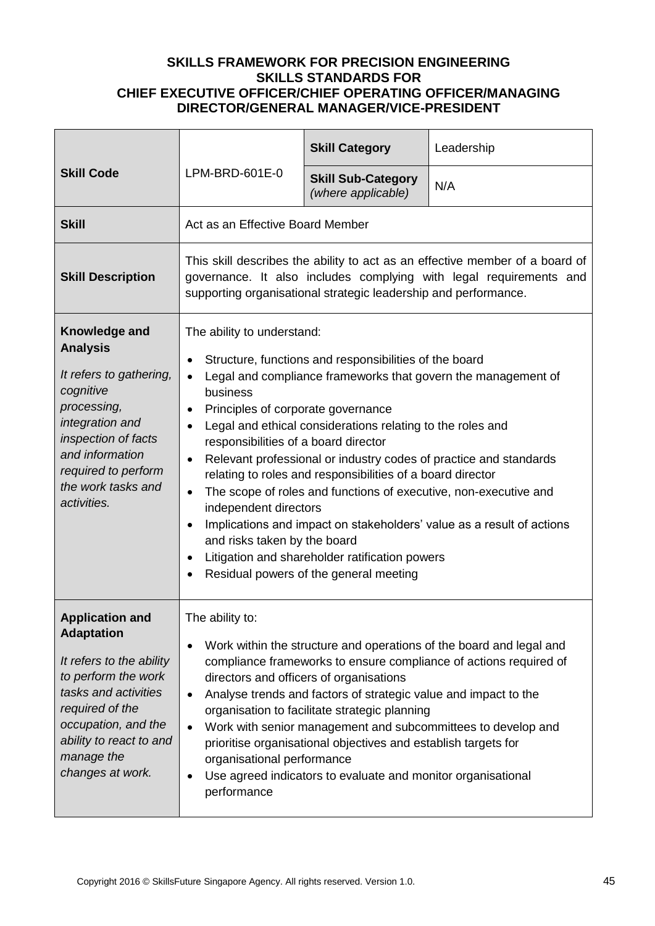|                                                                                                                                                                                                                               |                                                                                                                                                                                                                                                                                                                                                                                                                                                                                                                                                                                                                                                                                                                                                                                                                                               | <b>Skill Category</b>                           | Leadership |
|-------------------------------------------------------------------------------------------------------------------------------------------------------------------------------------------------------------------------------|-----------------------------------------------------------------------------------------------------------------------------------------------------------------------------------------------------------------------------------------------------------------------------------------------------------------------------------------------------------------------------------------------------------------------------------------------------------------------------------------------------------------------------------------------------------------------------------------------------------------------------------------------------------------------------------------------------------------------------------------------------------------------------------------------------------------------------------------------|-------------------------------------------------|------------|
| <b>Skill Code</b>                                                                                                                                                                                                             | LPM-BRD-601E-0                                                                                                                                                                                                                                                                                                                                                                                                                                                                                                                                                                                                                                                                                                                                                                                                                                | <b>Skill Sub-Category</b><br>(where applicable) | N/A        |
| <b>Skill</b>                                                                                                                                                                                                                  | Act as an Effective Board Member                                                                                                                                                                                                                                                                                                                                                                                                                                                                                                                                                                                                                                                                                                                                                                                                              |                                                 |            |
| <b>Skill Description</b>                                                                                                                                                                                                      | This skill describes the ability to act as an effective member of a board of<br>governance. It also includes complying with legal requirements and<br>supporting organisational strategic leadership and performance.                                                                                                                                                                                                                                                                                                                                                                                                                                                                                                                                                                                                                         |                                                 |            |
| Knowledge and<br><b>Analysis</b><br>It refers to gathering,<br>cognitive<br>processing,<br>integration and<br>inspection of facts<br>and information<br>required to perform<br>the work tasks and<br>activities.              | The ability to understand:<br>Structure, functions and responsibilities of the board<br>$\bullet$<br>Legal and compliance frameworks that govern the management of<br>$\bullet$<br>business<br>Principles of corporate governance<br>Legal and ethical considerations relating to the roles and<br>$\bullet$<br>responsibilities of a board director<br>Relevant professional or industry codes of practice and standards<br>$\bullet$<br>relating to roles and responsibilities of a board director<br>The scope of roles and functions of executive, non-executive and<br>$\bullet$<br>independent directors<br>Implications and impact on stakeholders' value as a result of actions<br>$\bullet$<br>and risks taken by the board<br>Litigation and shareholder ratification powers<br>$\bullet$<br>Residual powers of the general meeting |                                                 |            |
| <b>Application and</b><br><b>Adaptation</b><br>It refers to the ability<br>to perform the work<br>tasks and activities<br>required of the<br>occupation, and the<br>ability to react to and<br>manage the<br>changes at work. | The ability to:<br>Work within the structure and operations of the board and legal and<br>$\bullet$<br>compliance frameworks to ensure compliance of actions required of<br>directors and officers of organisations<br>Analyse trends and factors of strategic value and impact to the<br>$\bullet$<br>organisation to facilitate strategic planning<br>Work with senior management and subcommittees to develop and<br>$\bullet$<br>prioritise organisational objectives and establish targets for<br>organisational performance<br>Use agreed indicators to evaluate and monitor organisational<br>$\bullet$<br>performance                                                                                                                                                                                                                 |                                                 |            |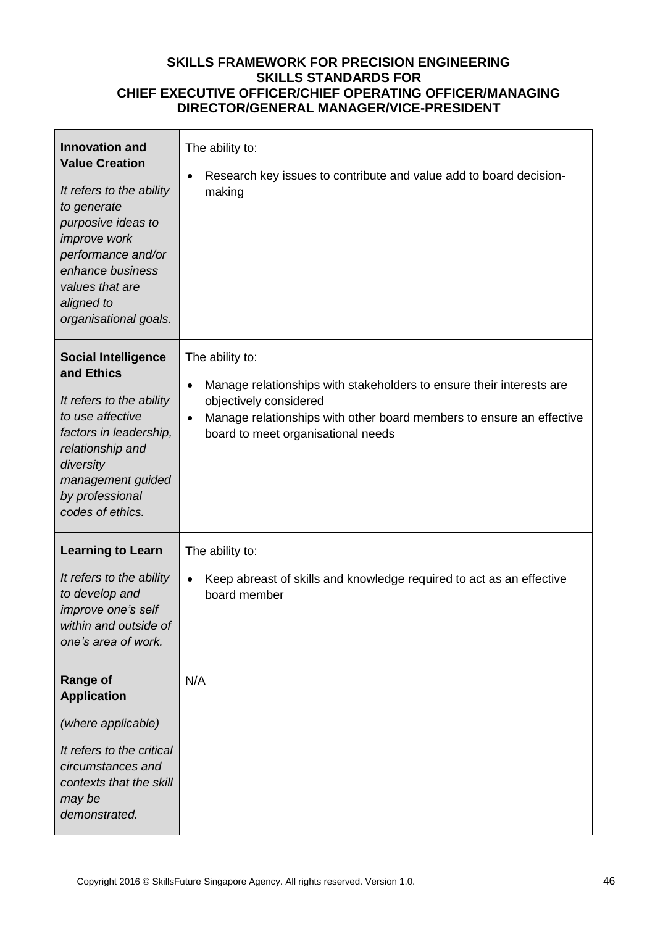| <b>Innovation and</b><br><b>Value Creation</b><br>It refers to the ability<br>to generate<br>purposive ideas to<br>improve work<br>performance and/or<br>enhance business<br>values that are<br>aligned to<br>organisational goals. | The ability to:<br>Research key issues to contribute and value add to board decision-<br>making                                                                                                                                                           |
|-------------------------------------------------------------------------------------------------------------------------------------------------------------------------------------------------------------------------------------|-----------------------------------------------------------------------------------------------------------------------------------------------------------------------------------------------------------------------------------------------------------|
| <b>Social Intelligence</b><br>and Ethics<br>It refers to the ability<br>to use affective<br>factors in leadership,<br>relationship and<br>diversity<br>management guided<br>by professional<br>codes of ethics.                     | The ability to:<br>Manage relationships with stakeholders to ensure their interests are<br>$\bullet$<br>objectively considered<br>Manage relationships with other board members to ensure an effective<br>$\bullet$<br>board to meet organisational needs |
| <b>Learning to Learn</b><br>It refers to the ability<br>to develop and<br>improve one's self<br>within and outside of<br>one's area of work.                                                                                        | The ability to:<br>Keep abreast of skills and knowledge required to act as an effective<br>board member                                                                                                                                                   |
| <b>Range of</b><br><b>Application</b><br>(where applicable)<br>It refers to the critical<br>circumstances and<br>contexts that the skill<br>may be<br>demonstrated.                                                                 | N/A                                                                                                                                                                                                                                                       |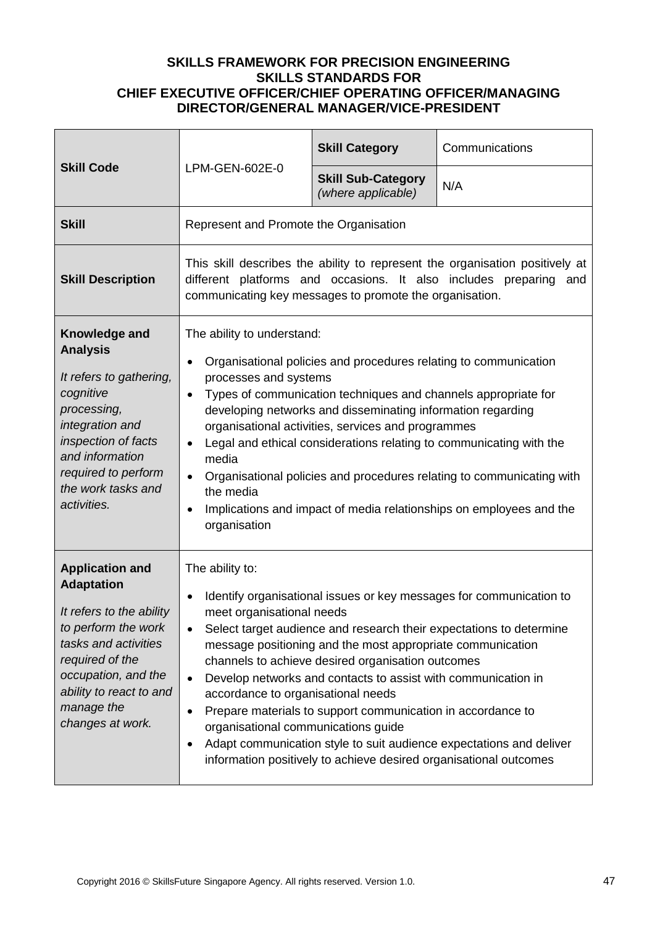| <b>Skill Code</b>                                                                                                                                                                                                             | LPM-GEN-602E-0                                                                                                                                                                                                                                                                                                                                                                                                                                                                                                                                                                                                                                                                                                             | <b>Skill Category</b>                           | Communications                                                                                                                                    |
|-------------------------------------------------------------------------------------------------------------------------------------------------------------------------------------------------------------------------------|----------------------------------------------------------------------------------------------------------------------------------------------------------------------------------------------------------------------------------------------------------------------------------------------------------------------------------------------------------------------------------------------------------------------------------------------------------------------------------------------------------------------------------------------------------------------------------------------------------------------------------------------------------------------------------------------------------------------------|-------------------------------------------------|---------------------------------------------------------------------------------------------------------------------------------------------------|
|                                                                                                                                                                                                                               |                                                                                                                                                                                                                                                                                                                                                                                                                                                                                                                                                                                                                                                                                                                            | <b>Skill Sub-Category</b><br>(where applicable) | N/A                                                                                                                                               |
| <b>Skill</b>                                                                                                                                                                                                                  | Represent and Promote the Organisation                                                                                                                                                                                                                                                                                                                                                                                                                                                                                                                                                                                                                                                                                     |                                                 |                                                                                                                                                   |
| <b>Skill Description</b>                                                                                                                                                                                                      | communicating key messages to promote the organisation.                                                                                                                                                                                                                                                                                                                                                                                                                                                                                                                                                                                                                                                                    |                                                 | This skill describes the ability to represent the organisation positively at<br>different platforms and occasions. It also includes preparing and |
| Knowledge and<br><b>Analysis</b><br>It refers to gathering,<br>cognitive<br>processing,<br>integration and<br>inspection of facts<br>and information<br>required to perform<br>the work tasks and<br>activities.              | The ability to understand:<br>Organisational policies and procedures relating to communication<br>$\bullet$<br>processes and systems<br>Types of communication techniques and channels appropriate for<br>$\bullet$<br>developing networks and disseminating information regarding<br>organisational activities, services and programmes<br>Legal and ethical considerations relating to communicating with the<br>$\bullet$<br>media<br>Organisational policies and procedures relating to communicating with<br>$\bullet$<br>the media<br>Implications and impact of media relationships on employees and the<br>$\bullet$<br>organisation                                                                               |                                                 |                                                                                                                                                   |
| <b>Application and</b><br><b>Adaptation</b><br>It refers to the ability<br>to perform the work<br>tasks and activities<br>required of the<br>occupation, and the<br>ability to react to and<br>manage the<br>changes at work. | The ability to:<br>Identify organisational issues or key messages for communication to<br>$\bullet$<br>meet organisational needs<br>Select target audience and research their expectations to determine<br>message positioning and the most appropriate communication<br>channels to achieve desired organisation outcomes<br>Develop networks and contacts to assist with communication in<br>$\bullet$<br>accordance to organisational needs<br>Prepare materials to support communication in accordance to<br>$\bullet$<br>organisational communications guide<br>Adapt communication style to suit audience expectations and deliver<br>$\bullet$<br>information positively to achieve desired organisational outcomes |                                                 |                                                                                                                                                   |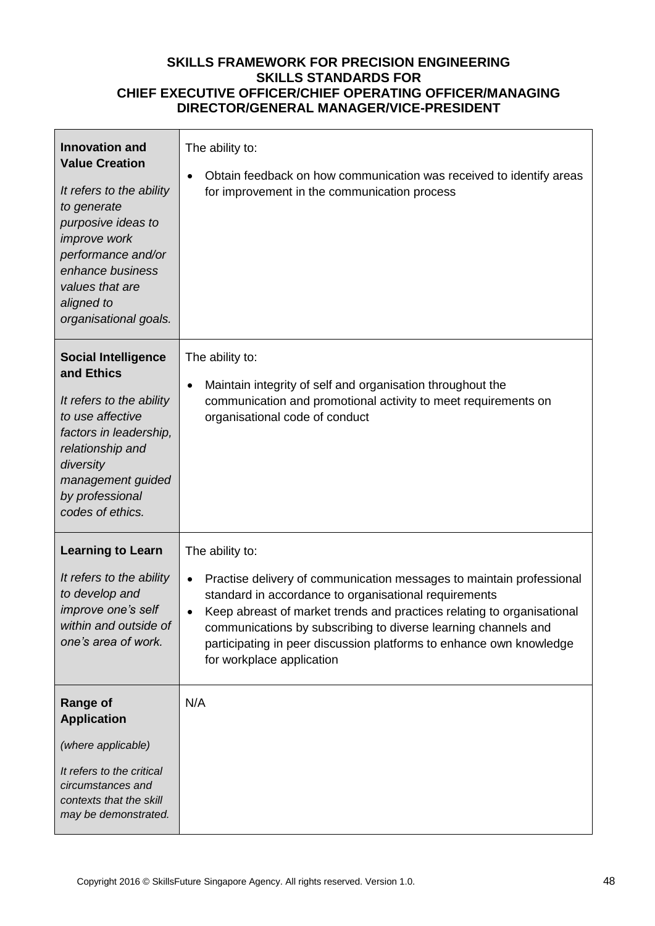| <b>Innovation and</b><br><b>Value Creation</b><br>It refers to the ability<br>to generate<br>purposive ideas to<br>improve work<br>performance and/or<br>enhance business<br>values that are<br>aligned to<br>organisational goals. | The ability to:<br>Obtain feedback on how communication was received to identify areas<br>for improvement in the communication process                                                                                                                                                                                                                                                                        |
|-------------------------------------------------------------------------------------------------------------------------------------------------------------------------------------------------------------------------------------|---------------------------------------------------------------------------------------------------------------------------------------------------------------------------------------------------------------------------------------------------------------------------------------------------------------------------------------------------------------------------------------------------------------|
| <b>Social Intelligence</b><br>and Ethics<br>It refers to the ability<br>to use affective<br>factors in leadership,<br>relationship and<br>diversity<br>management guided<br>by professional<br>codes of ethics.                     | The ability to:<br>Maintain integrity of self and organisation throughout the<br>communication and promotional activity to meet requirements on<br>organisational code of conduct                                                                                                                                                                                                                             |
| <b>Learning to Learn</b><br>It refers to the ability<br>to develop and<br>improve one's self<br>within and outside of<br>one's area of work.                                                                                        | The ability to:<br>Practise delivery of communication messages to maintain professional<br>standard in accordance to organisational requirements<br>Keep abreast of market trends and practices relating to organisational<br>$\bullet$<br>communications by subscribing to diverse learning channels and<br>participating in peer discussion platforms to enhance own knowledge<br>for workplace application |
| <b>Range of</b><br><b>Application</b><br>(where applicable)<br>It refers to the critical<br>circumstances and<br>contexts that the skill<br>may be demonstrated.                                                                    | N/A                                                                                                                                                                                                                                                                                                                                                                                                           |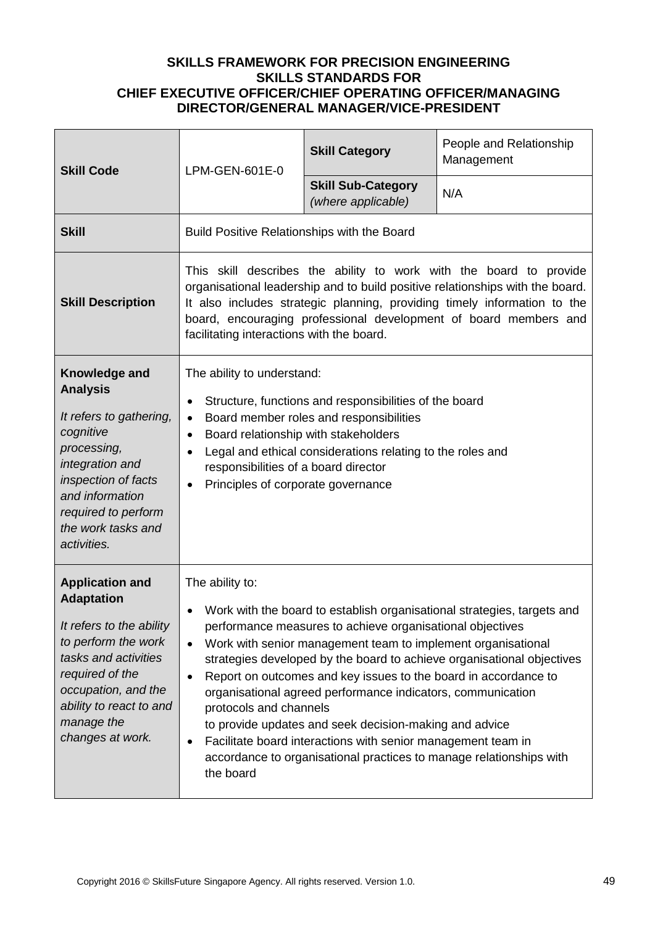| <b>Skill Code</b>                                                                                                                                                                                                             | LPM-GEN-601E-0                                                                                                                                                                                                                                                                                                                                                                                                                                                                                                                                                                                                                                                                                                     | <b>Skill Category</b>                           | People and Relationship<br>Management |
|-------------------------------------------------------------------------------------------------------------------------------------------------------------------------------------------------------------------------------|--------------------------------------------------------------------------------------------------------------------------------------------------------------------------------------------------------------------------------------------------------------------------------------------------------------------------------------------------------------------------------------------------------------------------------------------------------------------------------------------------------------------------------------------------------------------------------------------------------------------------------------------------------------------------------------------------------------------|-------------------------------------------------|---------------------------------------|
|                                                                                                                                                                                                                               |                                                                                                                                                                                                                                                                                                                                                                                                                                                                                                                                                                                                                                                                                                                    | <b>Skill Sub-Category</b><br>(where applicable) | N/A                                   |
| <b>Skill</b>                                                                                                                                                                                                                  | Build Positive Relationships with the Board                                                                                                                                                                                                                                                                                                                                                                                                                                                                                                                                                                                                                                                                        |                                                 |                                       |
| <b>Skill Description</b>                                                                                                                                                                                                      | This skill describes the ability to work with the board to provide<br>organisational leadership and to build positive relationships with the board.<br>It also includes strategic planning, providing timely information to the<br>board, encouraging professional development of board members and<br>facilitating interactions with the board.                                                                                                                                                                                                                                                                                                                                                                   |                                                 |                                       |
| Knowledge and<br><b>Analysis</b><br>It refers to gathering,<br>cognitive<br>processing,<br>integration and<br>inspection of facts<br>and information<br>required to perform<br>the work tasks and<br>activities.              | The ability to understand:<br>Structure, functions and responsibilities of the board<br>٠<br>Board member roles and responsibilities<br>$\bullet$<br>Board relationship with stakeholders<br>$\bullet$<br>Legal and ethical considerations relating to the roles and<br>responsibilities of a board director<br>Principles of corporate governance<br>$\bullet$                                                                                                                                                                                                                                                                                                                                                    |                                                 |                                       |
| <b>Application and</b><br><b>Adaptation</b><br>It refers to the ability<br>to perform the work<br>tasks and activities<br>required of the<br>occupation, and the<br>ability to react to and<br>manage the<br>changes at work. | The ability to:<br>Work with the board to establish organisational strategies, targets and<br>performance measures to achieve organisational objectives<br>Work with senior management team to implement organisational<br>$\bullet$<br>strategies developed by the board to achieve organisational objectives<br>Report on outcomes and key issues to the board in accordance to<br>$\bullet$<br>organisational agreed performance indicators, communication<br>protocols and channels<br>to provide updates and seek decision-making and advice<br>Facilitate board interactions with senior management team in<br>$\bullet$<br>accordance to organisational practices to manage relationships with<br>the board |                                                 |                                       |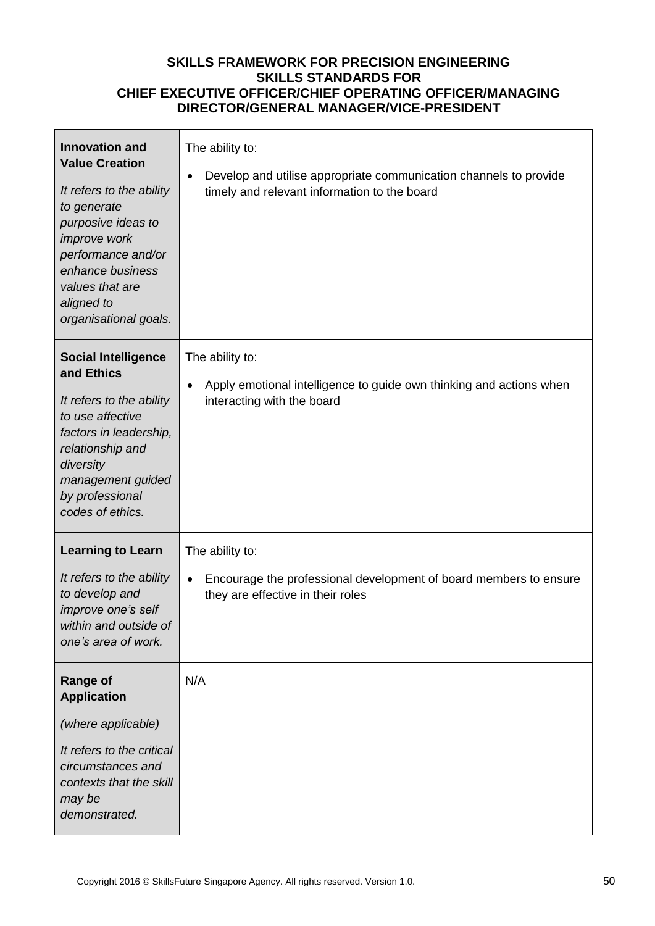| <b>Innovation and</b><br><b>Value Creation</b><br>It refers to the ability<br>to generate<br>purposive ideas to<br>improve work<br>performance and/or<br>enhance business<br>values that are<br>aligned to<br>organisational goals. | The ability to:<br>Develop and utilise appropriate communication channels to provide<br>timely and relevant information to the board |
|-------------------------------------------------------------------------------------------------------------------------------------------------------------------------------------------------------------------------------------|--------------------------------------------------------------------------------------------------------------------------------------|
| <b>Social Intelligence</b><br>and Ethics<br>It refers to the ability<br>to use affective<br>factors in leadership,<br>relationship and<br>diversity<br>management guided<br>by professional<br>codes of ethics.                     | The ability to:<br>Apply emotional intelligence to guide own thinking and actions when<br>$\bullet$<br>interacting with the board    |
| <b>Learning to Learn</b><br>It refers to the ability<br>to develop and<br>improve one's self<br>within and outside of<br>one's area of work.                                                                                        | The ability to:<br>Encourage the professional development of board members to ensure<br>they are effective in their roles            |
| <b>Range of</b><br><b>Application</b><br>(where applicable)<br>It refers to the critical<br>circumstances and<br>contexts that the skill<br>may be<br>demonstrated.                                                                 | N/A                                                                                                                                  |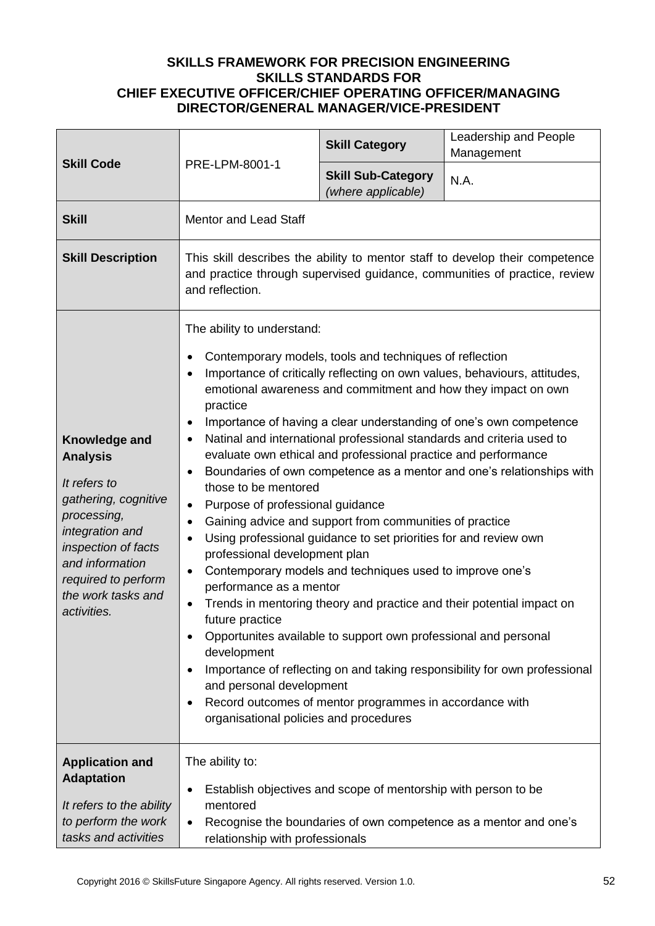| <b>Skill Code</b>                                                                                                                                                                                                | PRE-LPM-8001-1                                                                                                                                                                                                                                                                                                                                                                                                                                                                                                                                                                                                                                                                                                                                                                                                                                                                                                                                                                                                                                                                                                                                                                                                                                                                                                                                                              | <b>Skill Category</b>                                          | Leadership and People<br>Management                              |
|------------------------------------------------------------------------------------------------------------------------------------------------------------------------------------------------------------------|-----------------------------------------------------------------------------------------------------------------------------------------------------------------------------------------------------------------------------------------------------------------------------------------------------------------------------------------------------------------------------------------------------------------------------------------------------------------------------------------------------------------------------------------------------------------------------------------------------------------------------------------------------------------------------------------------------------------------------------------------------------------------------------------------------------------------------------------------------------------------------------------------------------------------------------------------------------------------------------------------------------------------------------------------------------------------------------------------------------------------------------------------------------------------------------------------------------------------------------------------------------------------------------------------------------------------------------------------------------------------------|----------------------------------------------------------------|------------------------------------------------------------------|
|                                                                                                                                                                                                                  |                                                                                                                                                                                                                                                                                                                                                                                                                                                                                                                                                                                                                                                                                                                                                                                                                                                                                                                                                                                                                                                                                                                                                                                                                                                                                                                                                                             | <b>Skill Sub-Category</b><br>(where applicable)                | N.A.                                                             |
| <b>Skill</b>                                                                                                                                                                                                     | <b>Mentor and Lead Staff</b>                                                                                                                                                                                                                                                                                                                                                                                                                                                                                                                                                                                                                                                                                                                                                                                                                                                                                                                                                                                                                                                                                                                                                                                                                                                                                                                                                |                                                                |                                                                  |
| <b>Skill Description</b>                                                                                                                                                                                         | This skill describes the ability to mentor staff to develop their competence<br>and practice through supervised guidance, communities of practice, review<br>and reflection.                                                                                                                                                                                                                                                                                                                                                                                                                                                                                                                                                                                                                                                                                                                                                                                                                                                                                                                                                                                                                                                                                                                                                                                                |                                                                |                                                                  |
| Knowledge and<br><b>Analysis</b><br>It refers to<br>gathering, cognitive<br>processing,<br>integration and<br>inspection of facts<br>and information<br>required to perform<br>the work tasks and<br>activities. | The ability to understand:<br>Contemporary models, tools and techniques of reflection<br>$\bullet$<br>Importance of critically reflecting on own values, behaviours, attitudes,<br>$\bullet$<br>emotional awareness and commitment and how they impact on own<br>practice<br>Importance of having a clear understanding of one's own competence<br>$\bullet$<br>Natinal and international professional standards and criteria used to<br>$\bullet$<br>evaluate own ethical and professional practice and performance<br>Boundaries of own competence as a mentor and one's relationships with<br>$\bullet$<br>those to be mentored<br>Purpose of professional guidance<br>$\bullet$<br>Gaining advice and support from communities of practice<br>$\bullet$<br>Using professional guidance to set priorities for and review own<br>٠<br>professional development plan<br>Contemporary models and techniques used to improve one's<br>$\bullet$<br>performance as a mentor<br>Trends in mentoring theory and practice and their potential impact on<br>٠<br>future practice<br>Opportunites available to support own professional and personal<br>development<br>Importance of reflecting on and taking responsibility for own professional<br>and personal development<br>Record outcomes of mentor programmes in accordance with<br>organisational policies and procedures |                                                                |                                                                  |
| <b>Application and</b><br><b>Adaptation</b><br>It refers to the ability<br>to perform the work<br>tasks and activities                                                                                           | The ability to:<br>٠<br>mentored<br>$\bullet$<br>relationship with professionals                                                                                                                                                                                                                                                                                                                                                                                                                                                                                                                                                                                                                                                                                                                                                                                                                                                                                                                                                                                                                                                                                                                                                                                                                                                                                            | Establish objectives and scope of mentorship with person to be | Recognise the boundaries of own competence as a mentor and one's |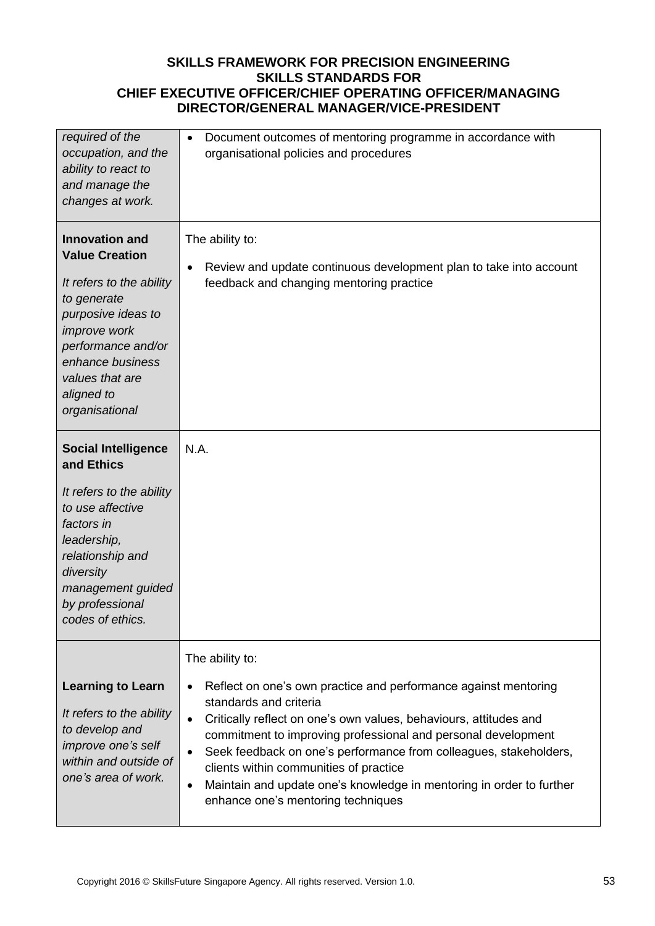| required of the<br>occupation, and the<br>ability to react to<br>and manage the<br>changes at work.                                                                                                                                 | Document outcomes of mentoring programme in accordance with<br>$\bullet$<br>organisational policies and procedures                                                                                                                                                                                                                                                                                                                                                                                                     |
|-------------------------------------------------------------------------------------------------------------------------------------------------------------------------------------------------------------------------------------|------------------------------------------------------------------------------------------------------------------------------------------------------------------------------------------------------------------------------------------------------------------------------------------------------------------------------------------------------------------------------------------------------------------------------------------------------------------------------------------------------------------------|
| <b>Innovation and</b><br><b>Value Creation</b><br>It refers to the ability<br>to generate<br>purposive ideas to<br><i>improve</i> work<br>performance and/or<br>enhance business<br>values that are<br>aligned to<br>organisational | The ability to:<br>Review and update continuous development plan to take into account<br>feedback and changing mentoring practice                                                                                                                                                                                                                                                                                                                                                                                      |
| <b>Social Intelligence</b><br>and Ethics<br>It refers to the ability<br>to use affective<br>factors in<br>leadership,<br>relationship and<br>diversity<br>management guided<br>by professional<br>codes of ethics.                  | N.A.                                                                                                                                                                                                                                                                                                                                                                                                                                                                                                                   |
| <b>Learning to Learn</b><br>It refers to the ability<br>to develop and<br>improve one's self<br>within and outside of<br>one's area of work.                                                                                        | The ability to:<br>Reflect on one's own practice and performance against mentoring<br>standards and criteria<br>Critically reflect on one's own values, behaviours, attitudes and<br>$\bullet$<br>commitment to improving professional and personal development<br>Seek feedback on one's performance from colleagues, stakeholders,<br>$\bullet$<br>clients within communities of practice<br>Maintain and update one's knowledge in mentoring in order to further<br>$\bullet$<br>enhance one's mentoring techniques |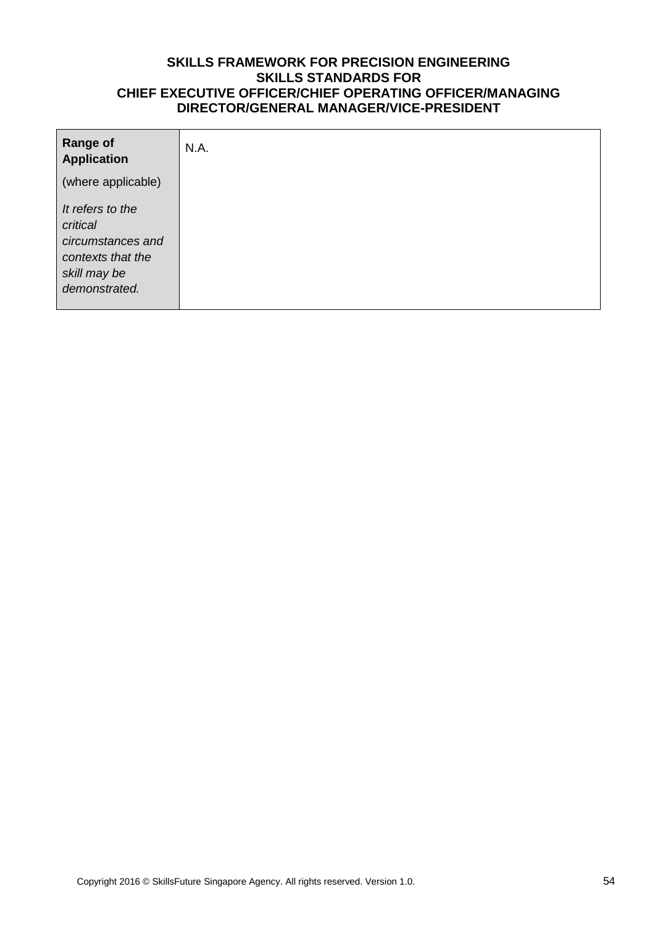| <b>Range of</b><br><b>Application</b>                                                                   | N.A. |
|---------------------------------------------------------------------------------------------------------|------|
| (where applicable)                                                                                      |      |
| It refers to the<br>critical<br>circumstances and<br>contexts that the<br>skill may be<br>demonstrated. |      |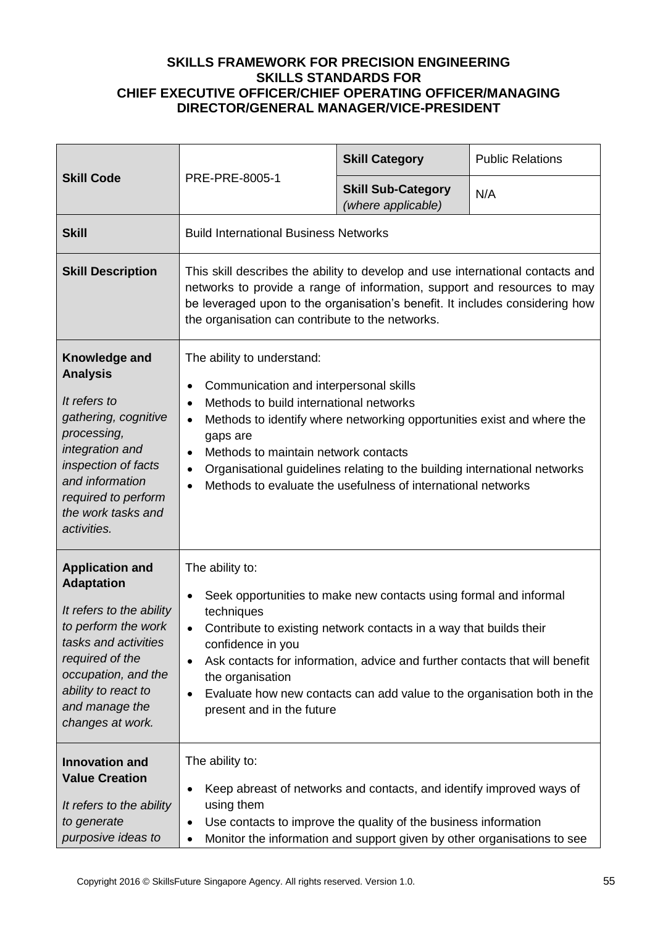| <b>Skill Code</b>                                                                                                                                                                                                             | PRE-PRE-8005-1                                                                                                                                                                                                                                                                                                                                                                                                                                      | <b>Skill Category</b>                           | <b>Public Relations</b> |
|-------------------------------------------------------------------------------------------------------------------------------------------------------------------------------------------------------------------------------|-----------------------------------------------------------------------------------------------------------------------------------------------------------------------------------------------------------------------------------------------------------------------------------------------------------------------------------------------------------------------------------------------------------------------------------------------------|-------------------------------------------------|-------------------------|
|                                                                                                                                                                                                                               |                                                                                                                                                                                                                                                                                                                                                                                                                                                     | <b>Skill Sub-Category</b><br>(where applicable) | N/A                     |
| <b>Skill</b>                                                                                                                                                                                                                  | <b>Build International Business Networks</b>                                                                                                                                                                                                                                                                                                                                                                                                        |                                                 |                         |
| <b>Skill Description</b>                                                                                                                                                                                                      | This skill describes the ability to develop and use international contacts and<br>networks to provide a range of information, support and resources to may<br>be leveraged upon to the organisation's benefit. It includes considering how<br>the organisation can contribute to the networks.                                                                                                                                                      |                                                 |                         |
| Knowledge and<br><b>Analysis</b><br>It refers to<br>gathering, cognitive<br>processing,<br>integration and<br>inspection of facts<br>and information<br>required to perform<br>the work tasks and<br>activities.              | The ability to understand:<br>Communication and interpersonal skills<br>Methods to build international networks<br>$\bullet$<br>Methods to identify where networking opportunities exist and where the<br>$\bullet$<br>gaps are<br>Methods to maintain network contacts<br>$\bullet$<br>Organisational guidelines relating to the building international networks<br>٠<br>Methods to evaluate the usefulness of international networks<br>$\bullet$ |                                                 |                         |
| <b>Application and</b><br><b>Adaptation</b><br>It refers to the ability<br>to perform the work<br>tasks and activities<br>required of the<br>occupation, and the<br>ability to react to<br>and manage the<br>changes at work. | The ability to:<br>Seek opportunities to make new contacts using formal and informal<br>techniques<br>Contribute to existing network contacts in a way that builds their<br>$\bullet$<br>confidence in you<br>Ask contacts for information, advice and further contacts that will benefit<br>the organisation<br>Evaluate how new contacts can add value to the organisation both in the<br>present and in the future                               |                                                 |                         |
| <b>Innovation and</b><br><b>Value Creation</b><br>It refers to the ability<br>to generate<br>purposive ideas to                                                                                                               | The ability to:<br>Keep abreast of networks and contacts, and identify improved ways of<br>using them<br>Use contacts to improve the quality of the business information<br>٠<br>Monitor the information and support given by other organisations to see<br>٠                                                                                                                                                                                       |                                                 |                         |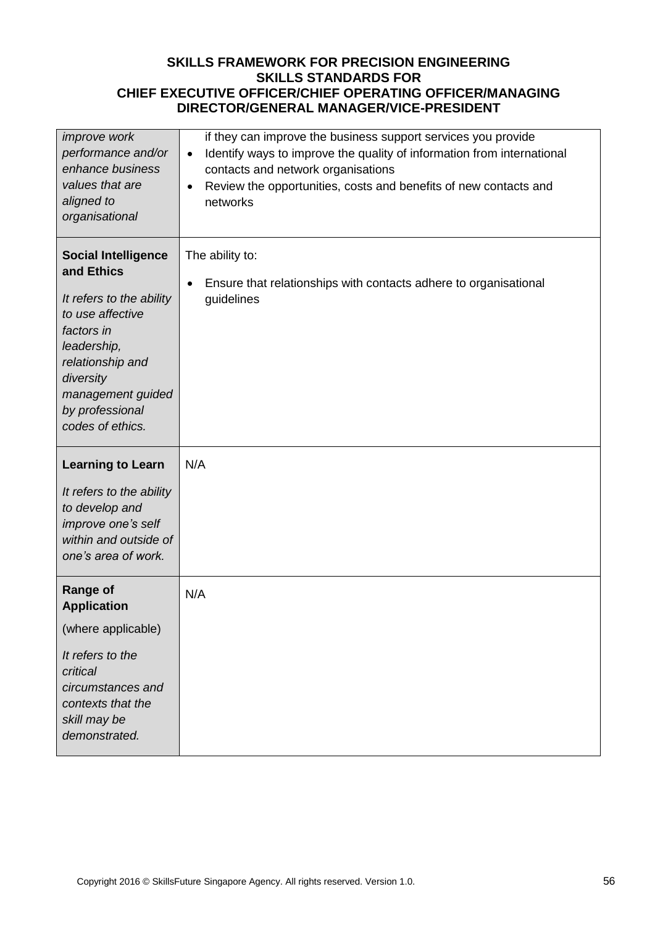| improve work<br>performance and/or<br>enhance business<br>values that are<br>aligned to<br>organisational                                                                                                          | if they can improve the business support services you provide<br>Identify ways to improve the quality of information from international<br>$\bullet$<br>contacts and network organisations<br>Review the opportunities, costs and benefits of new contacts and<br>$\bullet$<br>networks |
|--------------------------------------------------------------------------------------------------------------------------------------------------------------------------------------------------------------------|-----------------------------------------------------------------------------------------------------------------------------------------------------------------------------------------------------------------------------------------------------------------------------------------|
| <b>Social Intelligence</b><br>and Ethics<br>It refers to the ability<br>to use affective<br>factors in<br>leadership,<br>relationship and<br>diversity<br>management guided<br>by professional<br>codes of ethics. | The ability to:<br>Ensure that relationships with contacts adhere to organisational<br>guidelines                                                                                                                                                                                       |
| <b>Learning to Learn</b><br>It refers to the ability<br>to develop and<br>improve one's self<br>within and outside of<br>one's area of work.                                                                       | N/A                                                                                                                                                                                                                                                                                     |
| <b>Range of</b><br><b>Application</b><br>(where applicable)<br>It refers to the<br>critical<br>circumstances and<br>contexts that the<br>skill may be<br>demonstrated.                                             | N/A                                                                                                                                                                                                                                                                                     |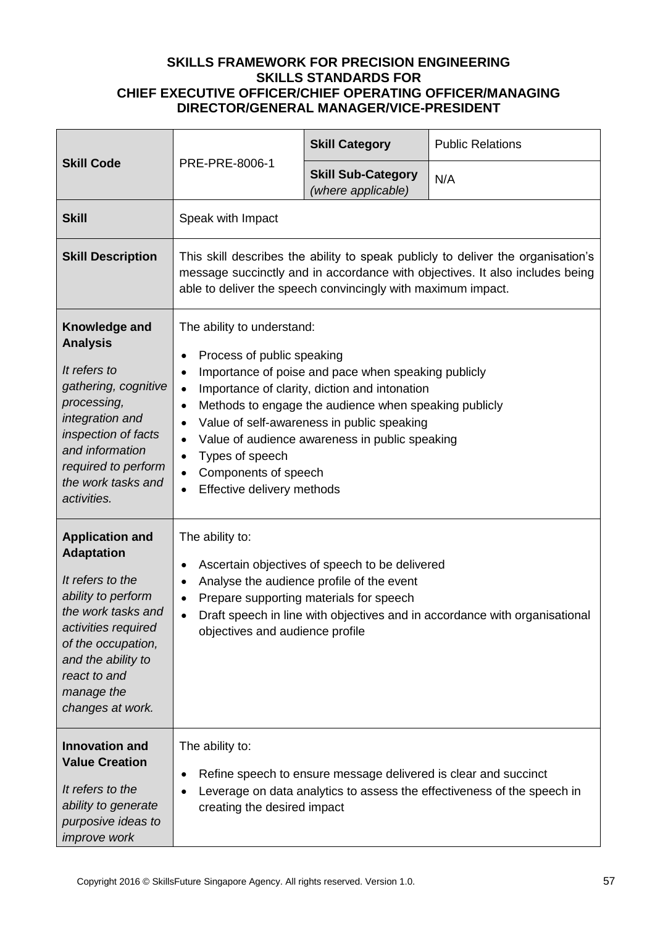| <b>Skill Code</b>                                                                                                                                                                                                                | PRE-PRE-8006-1                                                                                                                                                                                                                                                                                                                                                                                                                                                                                                          | <b>Skill Category</b>                           | <b>Public Relations</b> |
|----------------------------------------------------------------------------------------------------------------------------------------------------------------------------------------------------------------------------------|-------------------------------------------------------------------------------------------------------------------------------------------------------------------------------------------------------------------------------------------------------------------------------------------------------------------------------------------------------------------------------------------------------------------------------------------------------------------------------------------------------------------------|-------------------------------------------------|-------------------------|
|                                                                                                                                                                                                                                  |                                                                                                                                                                                                                                                                                                                                                                                                                                                                                                                         | <b>Skill Sub-Category</b><br>(where applicable) | N/A                     |
| <b>Skill</b>                                                                                                                                                                                                                     | Speak with Impact                                                                                                                                                                                                                                                                                                                                                                                                                                                                                                       |                                                 |                         |
| <b>Skill Description</b>                                                                                                                                                                                                         | This skill describes the ability to speak publicly to deliver the organisation's<br>message succinctly and in accordance with objectives. It also includes being<br>able to deliver the speech convincingly with maximum impact.                                                                                                                                                                                                                                                                                        |                                                 |                         |
| Knowledge and<br><b>Analysis</b><br>It refers to<br>gathering, cognitive<br>processing,<br>integration and<br>inspection of facts<br>and information<br>required to perform<br>the work tasks and<br>activities.                 | The ability to understand:<br>Process of public speaking<br>$\bullet$<br>Importance of poise and pace when speaking publicly<br>$\bullet$<br>Importance of clarity, diction and intonation<br>$\bullet$<br>Methods to engage the audience when speaking publicly<br>$\bullet$<br>Value of self-awareness in public speaking<br>$\bullet$<br>Value of audience awareness in public speaking<br>$\bullet$<br>Types of speech<br>$\bullet$<br>Components of speech<br>$\bullet$<br>Effective delivery methods<br>$\bullet$ |                                                 |                         |
| <b>Application and</b><br><b>Adaptation</b><br>It refers to the<br>ability to perform<br>the work tasks and<br>activities required<br>of the occupation,<br>and the ability to<br>react to and<br>manage the<br>changes at work. | The ability to:<br>Ascertain objectives of speech to be delivered<br>$\bullet$<br>Analyse the audience profile of the event<br>٠<br>Prepare supporting materials for speech<br>Draft speech in line with objectives and in accordance with organisational<br>$\bullet$<br>objectives and audience profile                                                                                                                                                                                                               |                                                 |                         |
| <b>Innovation and</b><br><b>Value Creation</b><br>It refers to the<br>ability to generate<br>purposive ideas to<br>improve work                                                                                                  | The ability to:<br>Refine speech to ensure message delivered is clear and succinct<br>$\bullet$<br>Leverage on data analytics to assess the effectiveness of the speech in<br>$\bullet$<br>creating the desired impact                                                                                                                                                                                                                                                                                                  |                                                 |                         |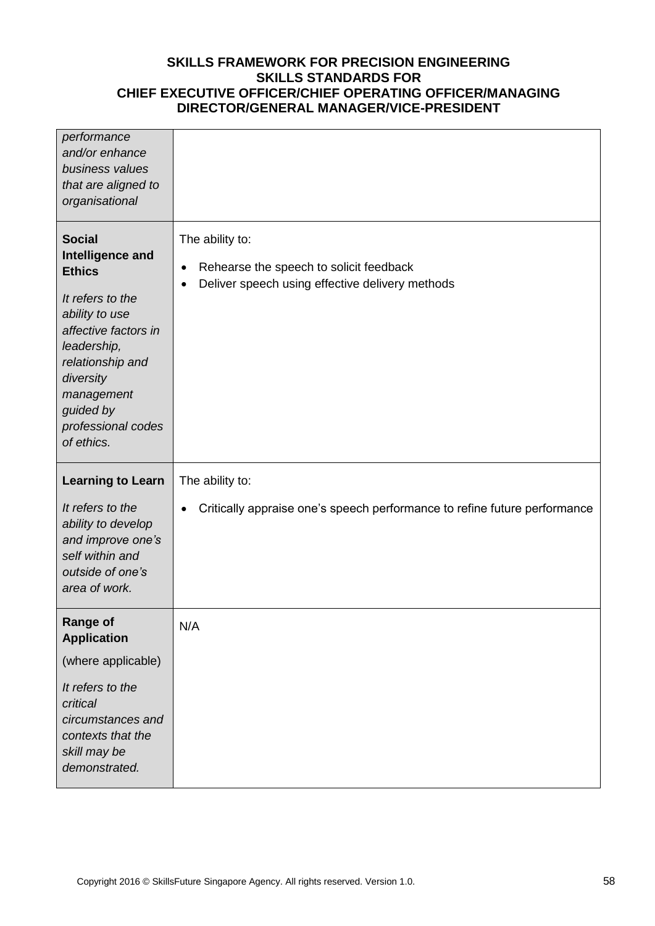| performance<br>and/or enhance<br>business values<br>that are aligned to<br>organisational                                                                                                                                       |                                                                                                                                         |
|---------------------------------------------------------------------------------------------------------------------------------------------------------------------------------------------------------------------------------|-----------------------------------------------------------------------------------------------------------------------------------------|
| <b>Social</b><br>Intelligence and<br><b>Ethics</b><br>It refers to the<br>ability to use<br>affective factors in<br>leadership,<br>relationship and<br>diversity<br>management<br>guided by<br>professional codes<br>of ethics. | The ability to:<br>Rehearse the speech to solicit feedback<br>$\bullet$<br>Deliver speech using effective delivery methods<br>$\bullet$ |
| <b>Learning to Learn</b>                                                                                                                                                                                                        | The ability to:                                                                                                                         |
| It refers to the<br>ability to develop<br>and improve one's<br>self within and                                                                                                                                                  | Critically appraise one's speech performance to refine future performance<br>٠                                                          |
| outside of one's<br>area of work.                                                                                                                                                                                               |                                                                                                                                         |
| <b>Range of</b>                                                                                                                                                                                                                 | N/A                                                                                                                                     |
| <b>Application</b><br>(where applicable)                                                                                                                                                                                        |                                                                                                                                         |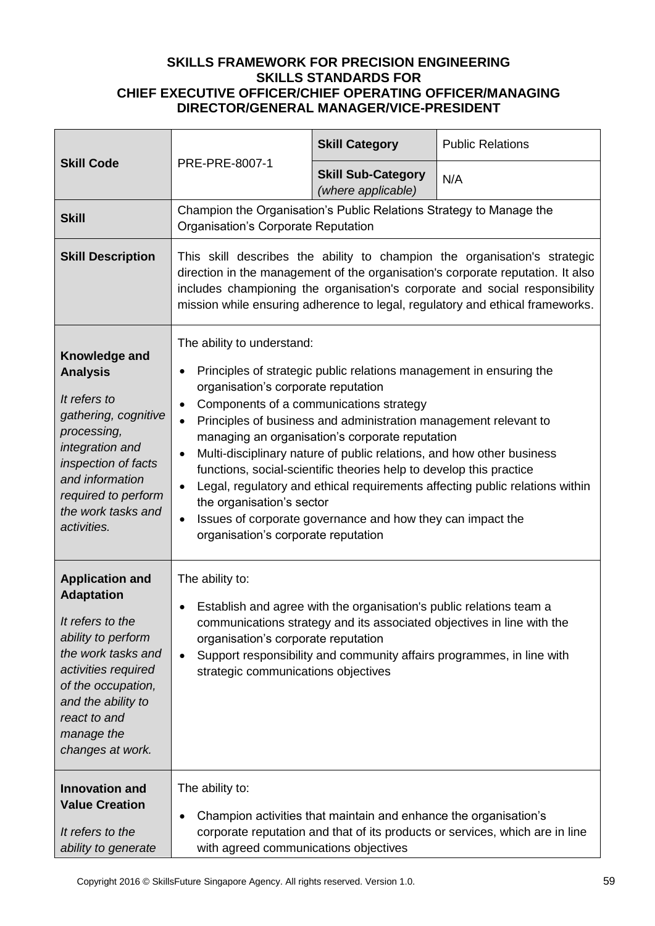| <b>Skill Code</b>                                                                                                                                                                                                                | PRE-PRE-8007-1                                                                                                                                                                                                                                                                                                                                                                                                                                                                                                                                                                                                                                                                                                                                             | <b>Skill Category</b>                           | <b>Public Relations</b> |
|----------------------------------------------------------------------------------------------------------------------------------------------------------------------------------------------------------------------------------|------------------------------------------------------------------------------------------------------------------------------------------------------------------------------------------------------------------------------------------------------------------------------------------------------------------------------------------------------------------------------------------------------------------------------------------------------------------------------------------------------------------------------------------------------------------------------------------------------------------------------------------------------------------------------------------------------------------------------------------------------------|-------------------------------------------------|-------------------------|
|                                                                                                                                                                                                                                  |                                                                                                                                                                                                                                                                                                                                                                                                                                                                                                                                                                                                                                                                                                                                                            | <b>Skill Sub-Category</b><br>(where applicable) | N/A                     |
| <b>Skill</b>                                                                                                                                                                                                                     | Champion the Organisation's Public Relations Strategy to Manage the<br>Organisation's Corporate Reputation                                                                                                                                                                                                                                                                                                                                                                                                                                                                                                                                                                                                                                                 |                                                 |                         |
| <b>Skill Description</b>                                                                                                                                                                                                         | This skill describes the ability to champion the organisation's strategic<br>direction in the management of the organisation's corporate reputation. It also<br>includes championing the organisation's corporate and social responsibility<br>mission while ensuring adherence to legal, regulatory and ethical frameworks.                                                                                                                                                                                                                                                                                                                                                                                                                               |                                                 |                         |
| Knowledge and<br><b>Analysis</b><br>It refers to<br>gathering, cognitive<br>processing,<br>integration and<br>inspection of facts<br>and information<br>required to perform<br>the work tasks and<br>activities.                 | The ability to understand:<br>Principles of strategic public relations management in ensuring the<br>$\bullet$<br>organisation's corporate reputation<br>Components of a communications strategy<br>$\bullet$<br>Principles of business and administration management relevant to<br>$\bullet$<br>managing an organisation's corporate reputation<br>Multi-disciplinary nature of public relations, and how other business<br>$\bullet$<br>functions, social-scientific theories help to develop this practice<br>Legal, regulatory and ethical requirements affecting public relations within<br>$\bullet$<br>the organisation's sector<br>Issues of corporate governance and how they can impact the<br>$\bullet$<br>organisation's corporate reputation |                                                 |                         |
| <b>Application and</b><br><b>Adaptation</b><br>It refers to the<br>ability to perform<br>the work tasks and<br>activities required<br>of the occupation,<br>and the ability to<br>react to and<br>manage the<br>changes at work. | The ability to:<br>Establish and agree with the organisation's public relations team a<br>٠<br>communications strategy and its associated objectives in line with the<br>organisation's corporate reputation<br>Support responsibility and community affairs programmes, in line with<br>$\bullet$<br>strategic communications objectives                                                                                                                                                                                                                                                                                                                                                                                                                  |                                                 |                         |
| <b>Innovation and</b><br><b>Value Creation</b><br>It refers to the<br>ability to generate                                                                                                                                        | The ability to:<br>Champion activities that maintain and enhance the organisation's<br>$\bullet$<br>corporate reputation and that of its products or services, which are in line<br>with agreed communications objectives                                                                                                                                                                                                                                                                                                                                                                                                                                                                                                                                  |                                                 |                         |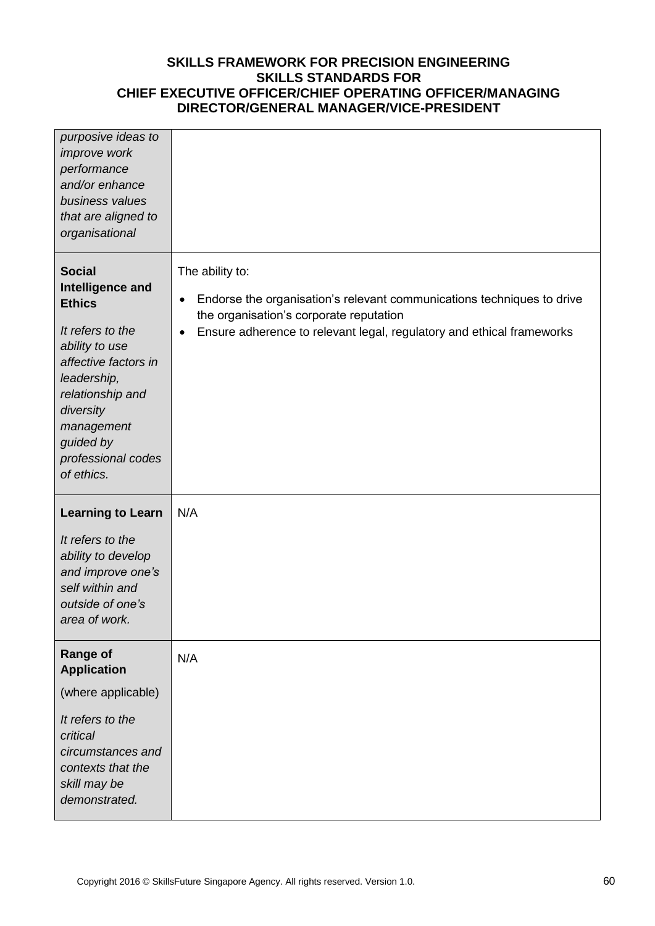| purposive ideas to<br>improve work<br>performance<br>and/or enhance<br>business values<br>that are aligned to<br>organisational                                                                                                 |                                                                                                                                                                                                                                         |
|---------------------------------------------------------------------------------------------------------------------------------------------------------------------------------------------------------------------------------|-----------------------------------------------------------------------------------------------------------------------------------------------------------------------------------------------------------------------------------------|
| <b>Social</b><br>Intelligence and<br><b>Ethics</b><br>It refers to the<br>ability to use<br>affective factors in<br>leadership,<br>relationship and<br>diversity<br>management<br>guided by<br>professional codes<br>of ethics. | The ability to:<br>Endorse the organisation's relevant communications techniques to drive<br>$\bullet$<br>the organisation's corporate reputation<br>Ensure adherence to relevant legal, regulatory and ethical frameworks<br>$\bullet$ |
| <b>Learning to Learn</b><br>It refers to the<br>ability to develop<br>and improve one's<br>self within and<br>outside of one's<br>area of work.                                                                                 | N/A                                                                                                                                                                                                                                     |
| <b>Range of</b><br><b>Application</b><br>(where applicable)<br>It refers to the<br>critical<br>circumstances and<br>contexts that the<br>skill may be<br>demonstrated.                                                          | N/A                                                                                                                                                                                                                                     |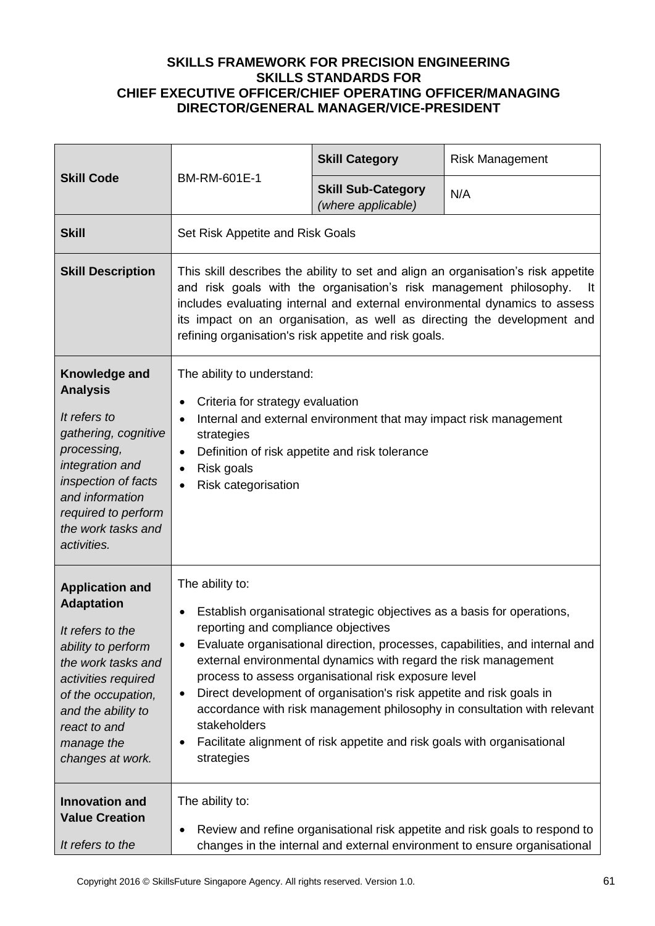| <b>Skill Code</b>                                                                                                                                                                                                                | BM-RM-601E-1                                                                                                                                                                                                                                                                                                                                                                                                                                                                                                                                                                                                                  | <b>Skill Category</b>                           | <b>Risk Management</b> |
|----------------------------------------------------------------------------------------------------------------------------------------------------------------------------------------------------------------------------------|-------------------------------------------------------------------------------------------------------------------------------------------------------------------------------------------------------------------------------------------------------------------------------------------------------------------------------------------------------------------------------------------------------------------------------------------------------------------------------------------------------------------------------------------------------------------------------------------------------------------------------|-------------------------------------------------|------------------------|
|                                                                                                                                                                                                                                  |                                                                                                                                                                                                                                                                                                                                                                                                                                                                                                                                                                                                                               | <b>Skill Sub-Category</b><br>(where applicable) | N/A                    |
| <b>Skill</b>                                                                                                                                                                                                                     | Set Risk Appetite and Risk Goals                                                                                                                                                                                                                                                                                                                                                                                                                                                                                                                                                                                              |                                                 |                        |
| <b>Skill Description</b>                                                                                                                                                                                                         | This skill describes the ability to set and align an organisation's risk appetite<br>and risk goals with the organisation's risk management philosophy.<br>It<br>includes evaluating internal and external environmental dynamics to assess<br>its impact on an organisation, as well as directing the development and<br>refining organisation's risk appetite and risk goals.                                                                                                                                                                                                                                               |                                                 |                        |
| Knowledge and<br><b>Analysis</b><br>It refers to<br>gathering, cognitive<br>processing,<br>integration and<br>inspection of facts<br>and information<br>required to perform<br>the work tasks and<br>activities.                 | The ability to understand:<br>Criteria for strategy evaluation<br>Internal and external environment that may impact risk management<br>$\bullet$<br>strategies<br>Definition of risk appetite and risk tolerance<br>$\bullet$<br>Risk goals<br>$\bullet$<br>Risk categorisation<br>$\bullet$                                                                                                                                                                                                                                                                                                                                  |                                                 |                        |
| <b>Application and</b><br><b>Adaptation</b><br>It refers to the<br>ability to perform<br>the work tasks and<br>activities required<br>of the occupation,<br>and the ability to<br>react to and<br>manage the<br>changes at work. | The ability to:<br>Establish organisational strategic objectives as a basis for operations,<br>$\bullet$<br>reporting and compliance objectives<br>Evaluate organisational direction, processes, capabilities, and internal and<br>external environmental dynamics with regard the risk management<br>process to assess organisational risk exposure level<br>Direct development of organisation's risk appetite and risk goals in<br>٠<br>accordance with risk management philosophy in consultation with relevant<br>stakeholders<br>Facilitate alignment of risk appetite and risk goals with organisational<br>strategies |                                                 |                        |
| <b>Innovation and</b><br><b>Value Creation</b><br>It refers to the                                                                                                                                                               | The ability to:<br>Review and refine organisational risk appetite and risk goals to respond to<br>changes in the internal and external environment to ensure organisational                                                                                                                                                                                                                                                                                                                                                                                                                                                   |                                                 |                        |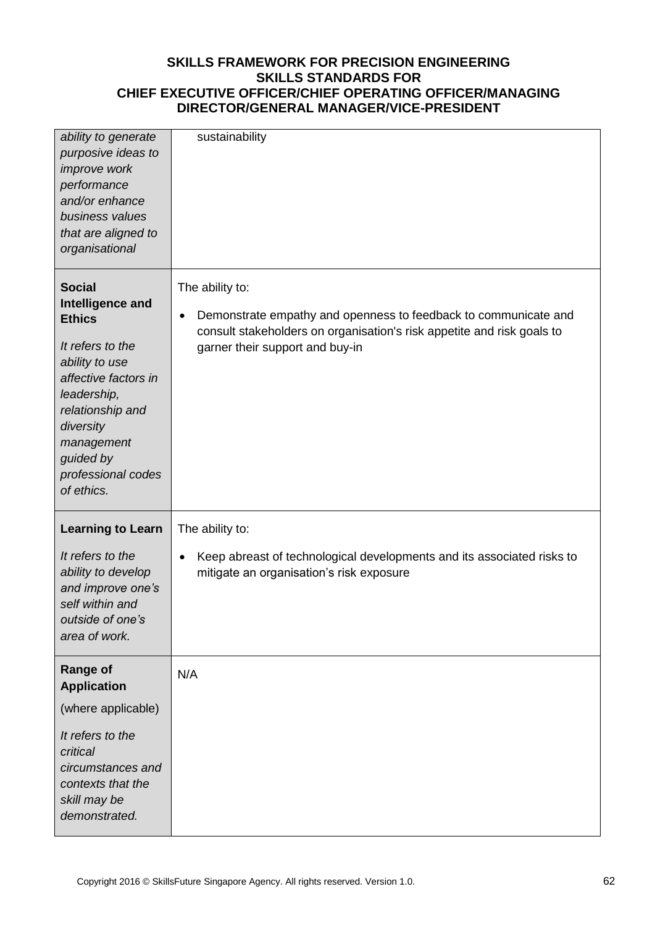| ability to generate<br>purposive ideas to<br>improve work<br>performance<br>and/or enhance<br>business values<br>that are aligned to<br>organisational                                                                          | sustainability                                                                                                                                                                                               |
|---------------------------------------------------------------------------------------------------------------------------------------------------------------------------------------------------------------------------------|--------------------------------------------------------------------------------------------------------------------------------------------------------------------------------------------------------------|
| <b>Social</b><br>Intelligence and<br><b>Ethics</b><br>It refers to the<br>ability to use<br>affective factors in<br>leadership,<br>relationship and<br>diversity<br>management<br>guided by<br>professional codes<br>of ethics. | The ability to:<br>Demonstrate empathy and openness to feedback to communicate and<br>$\bullet$<br>consult stakeholders on organisation's risk appetite and risk goals to<br>garner their support and buy-in |
| <b>Learning to Learn</b><br>It refers to the<br>ability to develop<br>and improve one's<br>self within and<br>outside of one's<br>area of work.                                                                                 | The ability to:<br>Keep abreast of technological developments and its associated risks to<br>$\bullet$<br>mitigate an organisation's risk exposure                                                           |
| <b>Range of</b><br><b>Application</b><br>(where applicable)<br>It refers to the<br>critical<br>circumstances and<br>contexts that the<br>skill may be<br>demonstrated.                                                          | N/A                                                                                                                                                                                                          |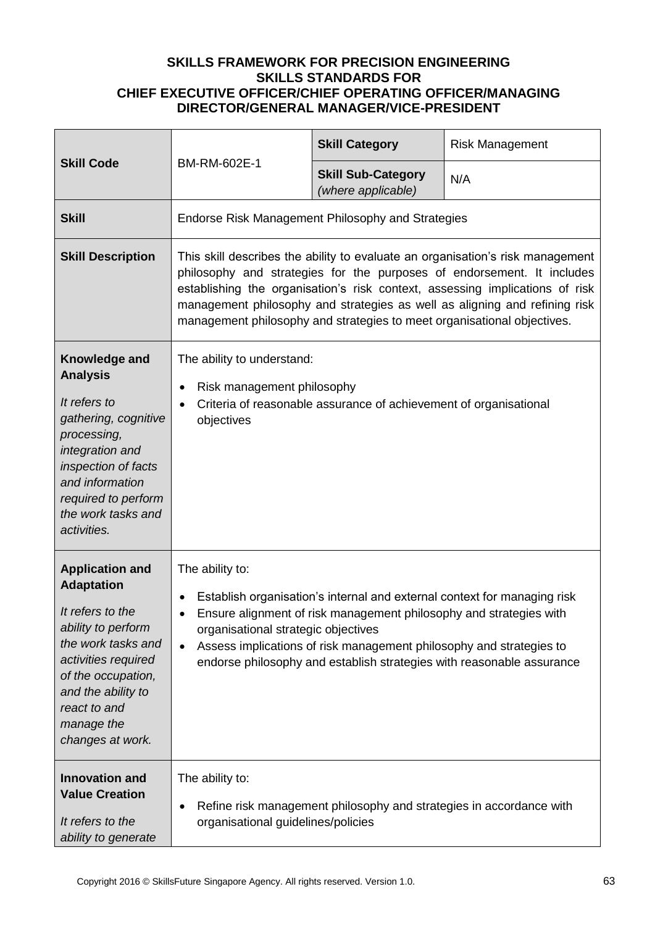| <b>Skill Code</b>                                                                                                                                                                                                                | BM-RM-602E-1                                                                                                                                                                                                                                                                                                                                                                                      | <b>Skill Category</b>                                               | <b>Risk Management</b> |  |
|----------------------------------------------------------------------------------------------------------------------------------------------------------------------------------------------------------------------------------|---------------------------------------------------------------------------------------------------------------------------------------------------------------------------------------------------------------------------------------------------------------------------------------------------------------------------------------------------------------------------------------------------|---------------------------------------------------------------------|------------------------|--|
|                                                                                                                                                                                                                                  |                                                                                                                                                                                                                                                                                                                                                                                                   | <b>Skill Sub-Category</b><br>(where applicable)                     | N/A                    |  |
| <b>Skill</b>                                                                                                                                                                                                                     | Endorse Risk Management Philosophy and Strategies                                                                                                                                                                                                                                                                                                                                                 |                                                                     |                        |  |
| <b>Skill Description</b>                                                                                                                                                                                                         | This skill describes the ability to evaluate an organisation's risk management<br>philosophy and strategies for the purposes of endorsement. It includes<br>establishing the organisation's risk context, assessing implications of risk<br>management philosophy and strategies as well as aligning and refining risk<br>management philosophy and strategies to meet organisational objectives. |                                                                     |                        |  |
| Knowledge and<br><b>Analysis</b><br>It refers to<br>gathering, cognitive<br>processing,<br>integration and<br>inspection of facts<br>and information<br>required to perform<br>the work tasks and<br>activities.                 | The ability to understand:<br>Risk management philosophy<br>$\bullet$<br>Criteria of reasonable assurance of achievement of organisational<br>$\bullet$<br>objectives                                                                                                                                                                                                                             |                                                                     |                        |  |
| <b>Application and</b><br><b>Adaptation</b><br>It refers to the<br>ability to perform<br>the work tasks and<br>activities required<br>of the occupation,<br>and the ability to<br>react to and<br>manage the<br>changes at work. | The ability to:<br>Establish organisation's internal and external context for managing risk<br>Ensure alignment of risk management philosophy and strategies with<br>organisational strategic objectives<br>Assess implications of risk management philosophy and strategies to<br>$\bullet$<br>endorse philosophy and establish strategies with reasonable assurance                             |                                                                     |                        |  |
| <b>Innovation and</b><br><b>Value Creation</b><br>It refers to the<br>ability to generate                                                                                                                                        | The ability to:<br>٠<br>organisational guidelines/policies                                                                                                                                                                                                                                                                                                                                        | Refine risk management philosophy and strategies in accordance with |                        |  |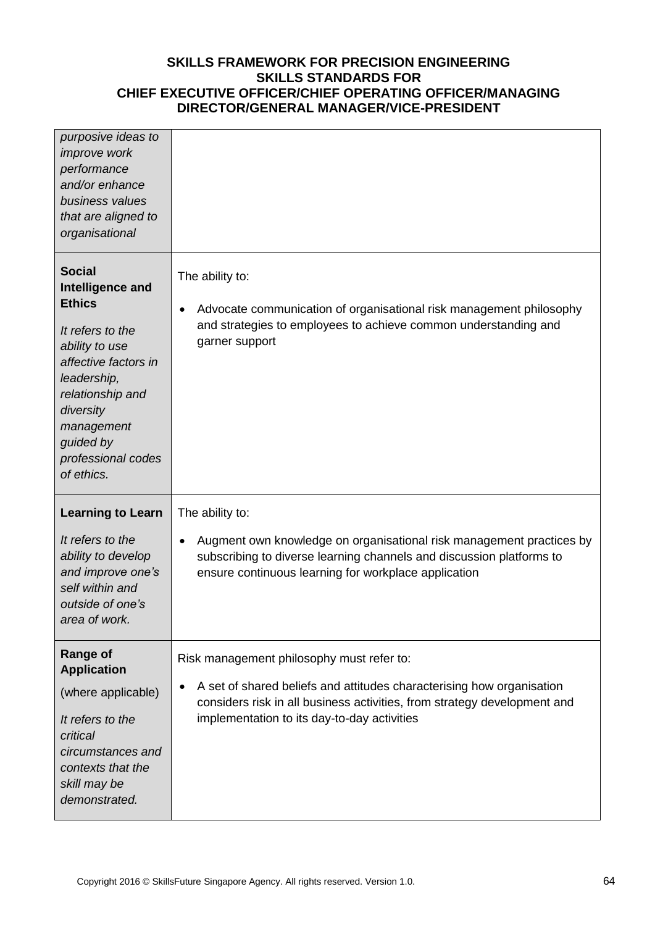| purposive ideas to<br><i>improve</i> work<br>performance<br>and/or enhance<br>business values<br>that are aligned to<br>organisational                                                                                          |                                                                                                                                                                                                      |
|---------------------------------------------------------------------------------------------------------------------------------------------------------------------------------------------------------------------------------|------------------------------------------------------------------------------------------------------------------------------------------------------------------------------------------------------|
| <b>Social</b><br>Intelligence and<br><b>Ethics</b><br>It refers to the<br>ability to use<br>affective factors in<br>leadership,<br>relationship and<br>diversity<br>management<br>guided by<br>professional codes<br>of ethics. | The ability to:<br>Advocate communication of organisational risk management philosophy<br>$\bullet$<br>and strategies to employees to achieve common understanding and<br>garner support             |
| <b>Learning to Learn</b>                                                                                                                                                                                                        | The ability to:                                                                                                                                                                                      |
| It refers to the<br>ability to develop<br>and improve one's<br>self within and<br>outside of one's<br>area of work.                                                                                                             | Augment own knowledge on organisational risk management practices by<br>subscribing to diverse learning channels and discussion platforms to<br>ensure continuous learning for workplace application |
| <b>Range of</b><br><b>Application</b>                                                                                                                                                                                           | Risk management philosophy must refer to:                                                                                                                                                            |
| (where applicable)<br>It refers to the<br>critical<br>circumstances and<br>contexts that the<br>skill may be<br>demonstrated.                                                                                                   | A set of shared beliefs and attitudes characterising how organisation<br>considers risk in all business activities, from strategy development and<br>implementation to its day-to-day activities     |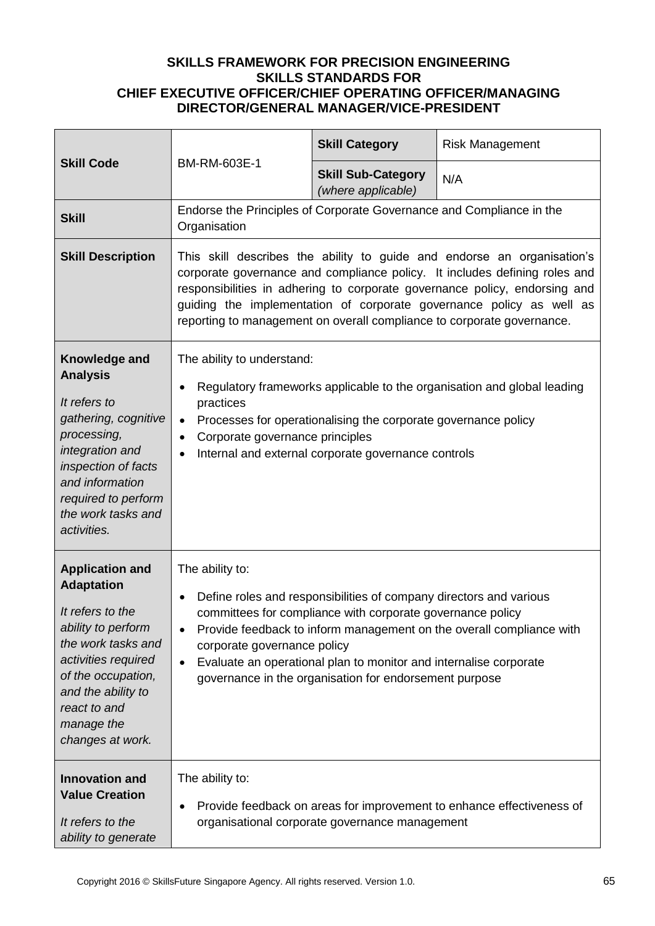| <b>Skill Code</b>                                                                                                                                                                                                                | BM-RM-603E-1                                                                                                                                                                                                                                                                                                                                                                          | <b>Skill Category</b>                                                                                                                                                                                                                                           | <b>Risk Management</b>                                                |  |
|----------------------------------------------------------------------------------------------------------------------------------------------------------------------------------------------------------------------------------|---------------------------------------------------------------------------------------------------------------------------------------------------------------------------------------------------------------------------------------------------------------------------------------------------------------------------------------------------------------------------------------|-----------------------------------------------------------------------------------------------------------------------------------------------------------------------------------------------------------------------------------------------------------------|-----------------------------------------------------------------------|--|
|                                                                                                                                                                                                                                  |                                                                                                                                                                                                                                                                                                                                                                                       | <b>Skill Sub-Category</b><br>(where applicable)                                                                                                                                                                                                                 | N/A                                                                   |  |
| <b>Skill</b>                                                                                                                                                                                                                     | Endorse the Principles of Corporate Governance and Compliance in the<br>Organisation                                                                                                                                                                                                                                                                                                  |                                                                                                                                                                                                                                                                 |                                                                       |  |
| <b>Skill Description</b>                                                                                                                                                                                                         | This skill describes the ability to guide and endorse an organisation's<br>corporate governance and compliance policy. It includes defining roles and<br>responsibilities in adhering to corporate governance policy, endorsing and<br>guiding the implementation of corporate governance policy as well as<br>reporting to management on overall compliance to corporate governance. |                                                                                                                                                                                                                                                                 |                                                                       |  |
| Knowledge and<br><b>Analysis</b><br>It refers to<br>gathering, cognitive<br>processing,<br>integration and<br>inspection of facts<br>and information<br>required to perform<br>the work tasks and<br>activities.                 | The ability to understand:<br>Regulatory frameworks applicable to the organisation and global leading<br>practices<br>Processes for operationalising the corporate governance policy<br>$\bullet$<br>Corporate governance principles<br>٠<br>Internal and external corporate governance controls                                                                                      |                                                                                                                                                                                                                                                                 |                                                                       |  |
| <b>Application and</b><br><b>Adaptation</b><br>It refers to the<br>ability to perform<br>the work tasks and<br>activities required<br>of the occupation,<br>and the ability to<br>react to and<br>manage the<br>changes at work. | The ability to:<br>corporate governance policy<br>$\bullet$                                                                                                                                                                                                                                                                                                                           | Define roles and responsibilities of company directors and various<br>committees for compliance with corporate governance policy<br>Evaluate an operational plan to monitor and internalise corporate<br>governance in the organisation for endorsement purpose | Provide feedback to inform management on the overall compliance with  |  |
| <b>Innovation and</b><br><b>Value Creation</b><br>It refers to the<br>ability to generate                                                                                                                                        | The ability to:<br>٠                                                                                                                                                                                                                                                                                                                                                                  | organisational corporate governance management                                                                                                                                                                                                                  | Provide feedback on areas for improvement to enhance effectiveness of |  |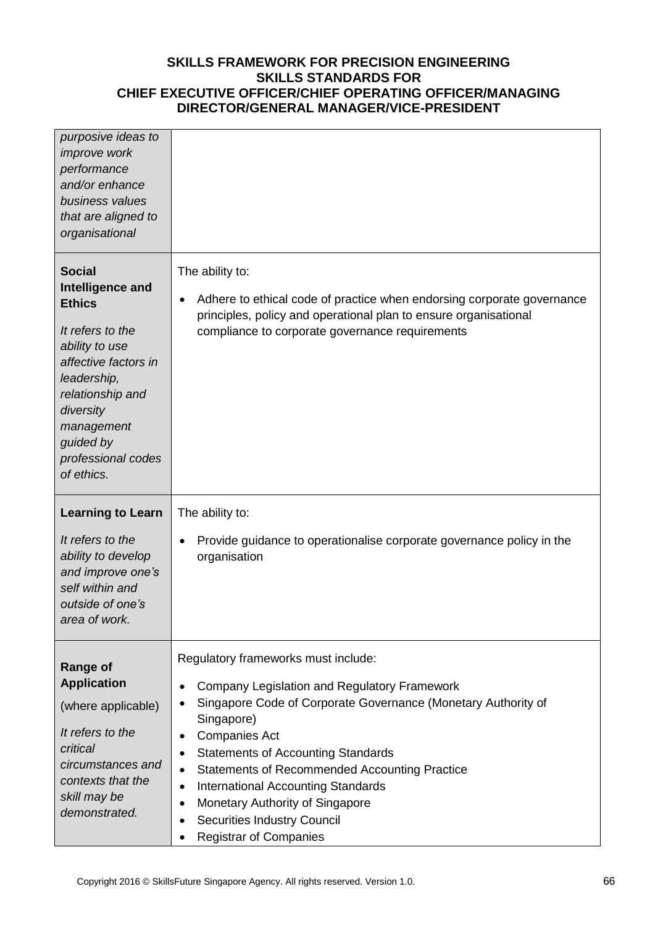| purposive ideas to<br><i>improve</i> work<br>performance<br>and/or enhance<br>business values<br>that are aligned to<br>organisational                                                                                          |                                                                                                                                                                                                                                                                                                                                                                                                                                                                                                                                |
|---------------------------------------------------------------------------------------------------------------------------------------------------------------------------------------------------------------------------------|--------------------------------------------------------------------------------------------------------------------------------------------------------------------------------------------------------------------------------------------------------------------------------------------------------------------------------------------------------------------------------------------------------------------------------------------------------------------------------------------------------------------------------|
| <b>Social</b><br>Intelligence and<br><b>Ethics</b><br>It refers to the<br>ability to use<br>affective factors in<br>leadership,<br>relationship and<br>diversity<br>management<br>guided by<br>professional codes<br>of ethics. | The ability to:<br>Adhere to ethical code of practice when endorsing corporate governance<br>٠<br>principles, policy and operational plan to ensure organisational<br>compliance to corporate governance requirements                                                                                                                                                                                                                                                                                                          |
| <b>Learning to Learn</b><br>It refers to the<br>ability to develop<br>and improve one's<br>self within and<br>outside of one's<br>area of work.                                                                                 | The ability to:<br>Provide guidance to operationalise corporate governance policy in the<br>organisation                                                                                                                                                                                                                                                                                                                                                                                                                       |
| <b>Range of</b><br><b>Application</b><br>(where applicable)<br>It refers to the<br>critical<br>circumstances and<br>contexts that the<br>skill may be<br>demonstrated.                                                          | Regulatory frameworks must include:<br>Company Legislation and Regulatory Framework<br>$\bullet$<br>Singapore Code of Corporate Governance (Monetary Authority of<br>٠<br>Singapore)<br><b>Companies Act</b><br>$\bullet$<br><b>Statements of Accounting Standards</b><br>٠<br><b>Statements of Recommended Accounting Practice</b><br>$\bullet$<br><b>International Accounting Standards</b><br>$\bullet$<br>Monetary Authority of Singapore<br>٠<br><b>Securities Industry Council</b><br>٠<br><b>Registrar of Companies</b> |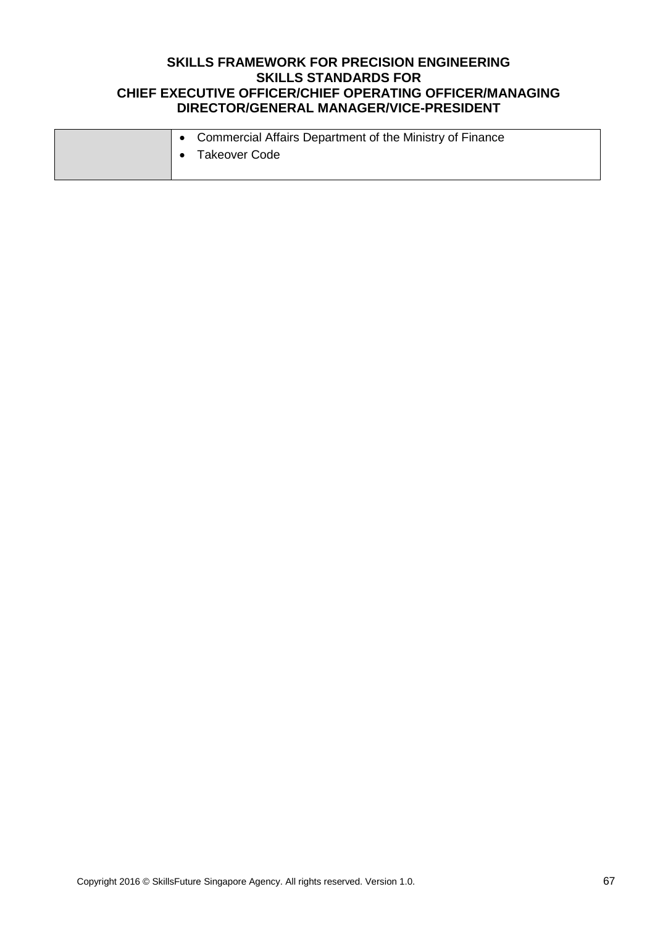|  | • Commercial Affairs Department of the Ministry of Finance |
|--|------------------------------------------------------------|
|  | Takeover Code                                              |
|  |                                                            |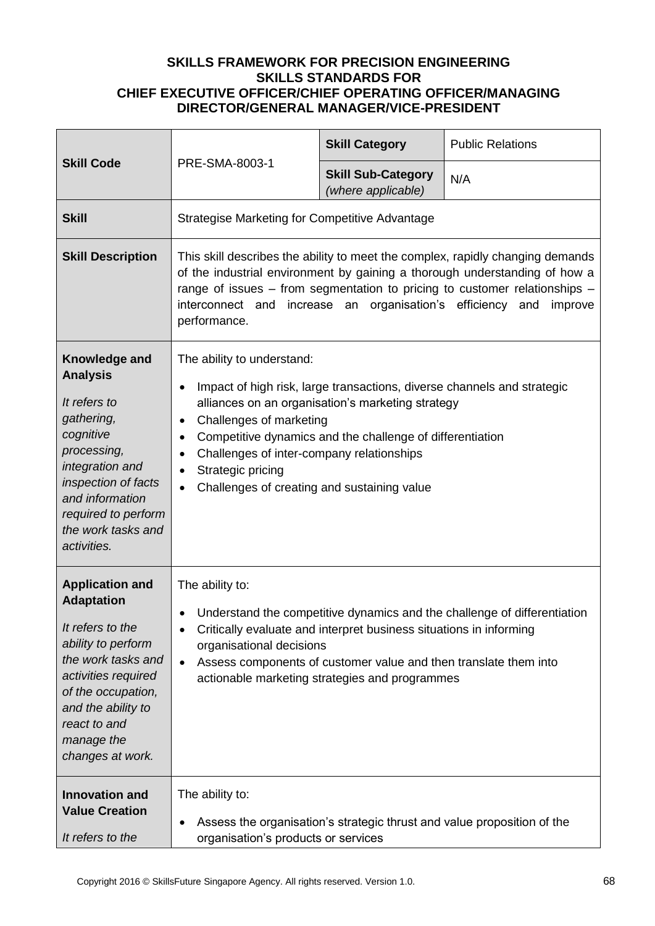| <b>Skill Code</b>                                                                                                                                                                                                                | PRE-SMA-8003-1                                                                                                                                                                                                                                                                                                                                                                             | <b>Skill Category</b>                           | <b>Public Relations</b>                                                 |
|----------------------------------------------------------------------------------------------------------------------------------------------------------------------------------------------------------------------------------|--------------------------------------------------------------------------------------------------------------------------------------------------------------------------------------------------------------------------------------------------------------------------------------------------------------------------------------------------------------------------------------------|-------------------------------------------------|-------------------------------------------------------------------------|
|                                                                                                                                                                                                                                  |                                                                                                                                                                                                                                                                                                                                                                                            | <b>Skill Sub-Category</b><br>(where applicable) | N/A                                                                     |
| <b>Skill</b>                                                                                                                                                                                                                     | <b>Strategise Marketing for Competitive Advantage</b>                                                                                                                                                                                                                                                                                                                                      |                                                 |                                                                         |
| <b>Skill Description</b>                                                                                                                                                                                                         | This skill describes the ability to meet the complex, rapidly changing demands<br>of the industrial environment by gaining a thorough understanding of how a<br>range of issues – from segmentation to pricing to customer relationships –<br>interconnect and increase an organisation's efficiency<br>and<br>improve<br>performance.                                                     |                                                 |                                                                         |
| Knowledge and<br><b>Analysis</b><br>It refers to<br>gathering,<br>cognitive<br>processing,<br>integration and<br>inspection of facts<br>and information<br>required to perform<br>the work tasks and<br>activities.              | The ability to understand:<br>Impact of high risk, large transactions, diverse channels and strategic<br>alliances on an organisation's marketing strategy<br>Challenges of marketing<br>٠<br>Competitive dynamics and the challenge of differentiation<br>$\bullet$<br>Challenges of inter-company relationships<br>٠<br>Strategic pricing<br>Challenges of creating and sustaining value |                                                 |                                                                         |
| <b>Application and</b><br><b>Adaptation</b><br>It refers to the<br>ability to perform<br>the work tasks and<br>activities required<br>of the occupation,<br>and the ability to<br>react to and<br>manage the<br>changes at work. | The ability to:<br>Understand the competitive dynamics and the challenge of differentiation<br>Critically evaluate and interpret business situations in informing<br>organisational decisions<br>Assess components of customer value and then translate them into<br>$\bullet$<br>actionable marketing strategies and programmes                                                           |                                                 |                                                                         |
| <b>Innovation and</b><br><b>Value Creation</b><br>It refers to the                                                                                                                                                               | The ability to:<br>organisation's products or services                                                                                                                                                                                                                                                                                                                                     |                                                 | Assess the organisation's strategic thrust and value proposition of the |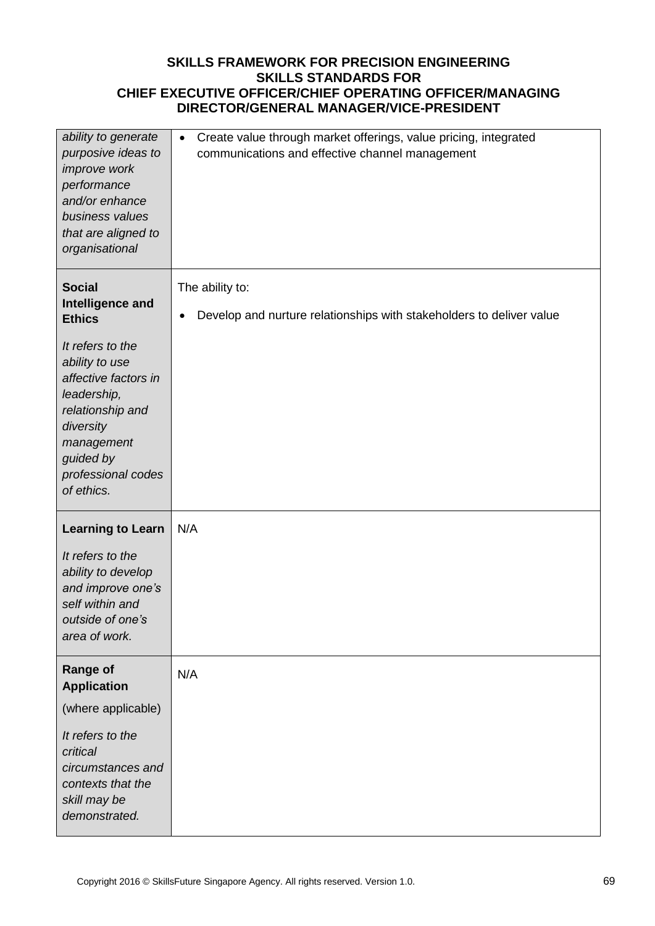| ability to generate<br>purposive ideas to<br>improve work<br>performance<br>and/or enhance<br>business values<br>that are aligned to<br>organisational                    | Create value through market offerings, value pricing, integrated<br>$\bullet$<br>communications and effective channel management |
|---------------------------------------------------------------------------------------------------------------------------------------------------------------------------|----------------------------------------------------------------------------------------------------------------------------------|
| <b>Social</b><br>Intelligence and<br><b>Ethics</b>                                                                                                                        | The ability to:<br>Develop and nurture relationships with stakeholders to deliver value<br>$\bullet$                             |
| It refers to the<br>ability to use<br>affective factors in<br>leadership,<br>relationship and<br>diversity<br>management<br>guided by<br>professional codes<br>of ethics. |                                                                                                                                  |
| <b>Learning to Learn</b>                                                                                                                                                  | N/A                                                                                                                              |
| It refers to the<br>ability to develop<br>and improve one's<br>self within and<br>outside of one's<br>area of work.                                                       |                                                                                                                                  |
| <b>Range of</b><br><b>Application</b>                                                                                                                                     | N/A                                                                                                                              |
| (where applicable)                                                                                                                                                        |                                                                                                                                  |
| It refers to the<br>critical<br>circumstances and<br>contexts that the<br>skill may be<br>demonstrated.                                                                   |                                                                                                                                  |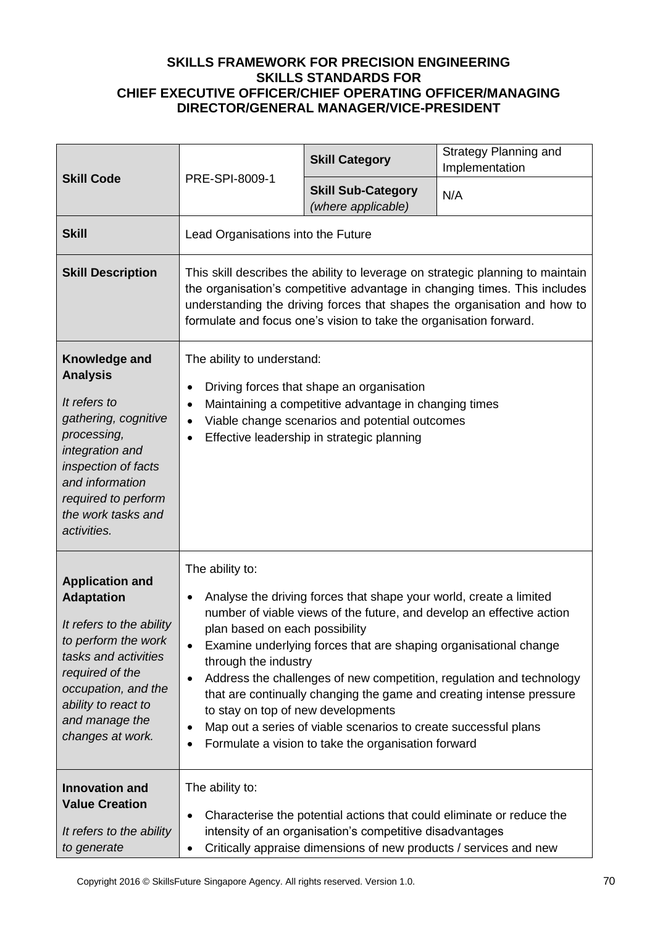| <b>Skill Code</b>                                                                                                                                                                                                             | PRE-SPI-8009-1                                                                                                                                                                                                                                                                                                                                                                                                                                                                                                                                                                                                                                                                | <b>Skill Category</b>                           | <b>Strategy Planning and</b><br>Implementation |
|-------------------------------------------------------------------------------------------------------------------------------------------------------------------------------------------------------------------------------|-------------------------------------------------------------------------------------------------------------------------------------------------------------------------------------------------------------------------------------------------------------------------------------------------------------------------------------------------------------------------------------------------------------------------------------------------------------------------------------------------------------------------------------------------------------------------------------------------------------------------------------------------------------------------------|-------------------------------------------------|------------------------------------------------|
|                                                                                                                                                                                                                               |                                                                                                                                                                                                                                                                                                                                                                                                                                                                                                                                                                                                                                                                               | <b>Skill Sub-Category</b><br>(where applicable) | N/A                                            |
| <b>Skill</b>                                                                                                                                                                                                                  | Lead Organisations into the Future                                                                                                                                                                                                                                                                                                                                                                                                                                                                                                                                                                                                                                            |                                                 |                                                |
| <b>Skill Description</b>                                                                                                                                                                                                      | This skill describes the ability to leverage on strategic planning to maintain<br>the organisation's competitive advantage in changing times. This includes<br>understanding the driving forces that shapes the organisation and how to<br>formulate and focus one's vision to take the organisation forward.                                                                                                                                                                                                                                                                                                                                                                 |                                                 |                                                |
| Knowledge and<br><b>Analysis</b><br>It refers to<br>gathering, cognitive<br>processing,<br>integration and<br>inspection of facts<br>and information<br>required to perform<br>the work tasks and<br>activities.              | The ability to understand:<br>Driving forces that shape an organisation<br>$\bullet$<br>Maintaining a competitive advantage in changing times<br>$\bullet$<br>Viable change scenarios and potential outcomes<br>$\bullet$<br>Effective leadership in strategic planning<br>$\bullet$                                                                                                                                                                                                                                                                                                                                                                                          |                                                 |                                                |
| <b>Application and</b><br><b>Adaptation</b><br>It refers to the ability<br>to perform the work<br>tasks and activities<br>required of the<br>occupation, and the<br>ability to react to<br>and manage the<br>changes at work. | The ability to:<br>Analyse the driving forces that shape your world, create a limited<br>$\bullet$<br>number of viable views of the future, and develop an effective action<br>plan based on each possibility<br>Examine underlying forces that are shaping organisational change<br>$\bullet$<br>through the industry<br>Address the challenges of new competition, regulation and technology<br>$\bullet$<br>that are continually changing the game and creating intense pressure<br>to stay on top of new developments<br>Map out a series of viable scenarios to create successful plans<br>$\bullet$<br>Formulate a vision to take the organisation forward<br>$\bullet$ |                                                 |                                                |
| <b>Innovation and</b><br><b>Value Creation</b><br>It refers to the ability<br>to generate                                                                                                                                     | The ability to:<br>Characterise the potential actions that could eliminate or reduce the<br>٠<br>intensity of an organisation's competitive disadvantages<br>Critically appraise dimensions of new products / services and new<br>$\bullet$                                                                                                                                                                                                                                                                                                                                                                                                                                   |                                                 |                                                |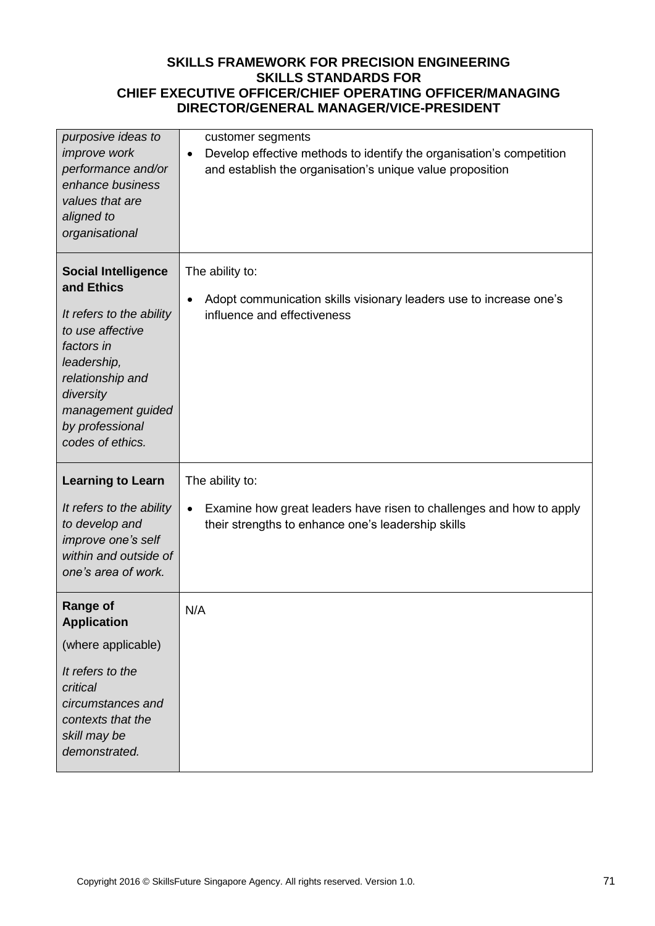| purposive ideas to<br><i>improve</i> work<br>performance and/or<br>enhance business<br>values that are<br>aligned to<br>organisational                                                                             | customer segments<br>Develop effective methods to identify the organisation's competition<br>$\bullet$<br>and establish the organisation's unique value proposition |
|--------------------------------------------------------------------------------------------------------------------------------------------------------------------------------------------------------------------|---------------------------------------------------------------------------------------------------------------------------------------------------------------------|
| <b>Social Intelligence</b><br>and Ethics<br>It refers to the ability<br>to use affective<br>factors in<br>leadership,<br>relationship and<br>diversity<br>management guided<br>by professional<br>codes of ethics. | The ability to:<br>Adopt communication skills visionary leaders use to increase one's<br>$\bullet$<br>influence and effectiveness                                   |
| <b>Learning to Learn</b><br>It refers to the ability<br>to develop and<br>improve one's self<br>within and outside of<br>one's area of work.                                                                       | The ability to:<br>Examine how great leaders have risen to challenges and how to apply<br>$\bullet$<br>their strengths to enhance one's leadership skills           |
| <b>Range of</b><br><b>Application</b><br>(where applicable)<br>It refers to the<br>critical<br>circumstances and<br>contexts that the<br>skill may be<br>demonstrated.                                             | N/A                                                                                                                                                                 |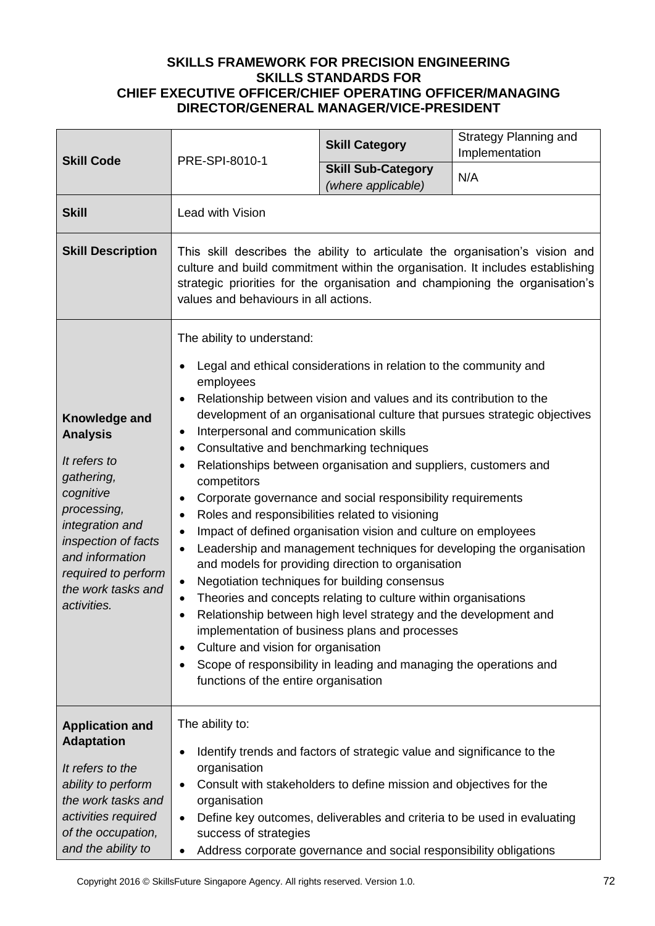| <b>Skill Code</b>                                                                                                                                                                                                   | PRE-SPI-8010-1                                                                                                                                                                                                                                                                                                                                                                                                                                                                                                                                                                                                                                                                                                                                                                                                                                                                                                                                                                                                                                                                                                                                                             | <b>Skill Category</b>                           | <b>Strategy Planning and</b><br>Implementation |  |
|---------------------------------------------------------------------------------------------------------------------------------------------------------------------------------------------------------------------|----------------------------------------------------------------------------------------------------------------------------------------------------------------------------------------------------------------------------------------------------------------------------------------------------------------------------------------------------------------------------------------------------------------------------------------------------------------------------------------------------------------------------------------------------------------------------------------------------------------------------------------------------------------------------------------------------------------------------------------------------------------------------------------------------------------------------------------------------------------------------------------------------------------------------------------------------------------------------------------------------------------------------------------------------------------------------------------------------------------------------------------------------------------------------|-------------------------------------------------|------------------------------------------------|--|
|                                                                                                                                                                                                                     |                                                                                                                                                                                                                                                                                                                                                                                                                                                                                                                                                                                                                                                                                                                                                                                                                                                                                                                                                                                                                                                                                                                                                                            | <b>Skill Sub-Category</b><br>(where applicable) | N/A                                            |  |
| <b>Skill</b>                                                                                                                                                                                                        | Lead with Vision                                                                                                                                                                                                                                                                                                                                                                                                                                                                                                                                                                                                                                                                                                                                                                                                                                                                                                                                                                                                                                                                                                                                                           |                                                 |                                                |  |
| <b>Skill Description</b>                                                                                                                                                                                            | This skill describes the ability to articulate the organisation's vision and<br>culture and build commitment within the organisation. It includes establishing<br>strategic priorities for the organisation and championing the organisation's<br>values and behaviours in all actions.                                                                                                                                                                                                                                                                                                                                                                                                                                                                                                                                                                                                                                                                                                                                                                                                                                                                                    |                                                 |                                                |  |
| Knowledge and<br><b>Analysis</b><br>It refers to<br>gathering,<br>cognitive<br>processing,<br>integration and<br>inspection of facts<br>and information<br>required to perform<br>the work tasks and<br>activities. | The ability to understand:<br>Legal and ethical considerations in relation to the community and<br>employees<br>Relationship between vision and values and its contribution to the<br>development of an organisational culture that pursues strategic objectives<br>Interpersonal and communication skills<br>Consultative and benchmarking techniques<br>Relationships between organisation and suppliers, customers and<br>competitors<br>Corporate governance and social responsibility requirements<br>Roles and responsibilities related to visioning<br>Impact of defined organisation vision and culture on employees<br>$\bullet$<br>Leadership and management techniques for developing the organisation<br>and models for providing direction to organisation<br>Negotiation techniques for building consensus<br>Theories and concepts relating to culture within organisations<br>Relationship between high level strategy and the development and<br>implementation of business plans and processes<br>Culture and vision for organisation<br>Scope of responsibility in leading and managing the operations and<br>٠<br>functions of the entire organisation |                                                 |                                                |  |
| <b>Application and</b><br><b>Adaptation</b><br>It refers to the<br>ability to perform<br>the work tasks and<br>activities required<br>of the occupation,<br>and the ability to                                      | The ability to:<br>Identify trends and factors of strategic value and significance to the<br>organisation<br>Consult with stakeholders to define mission and objectives for the<br>organisation<br>Define key outcomes, deliverables and criteria to be used in evaluating<br>success of strategies<br>Address corporate governance and social responsibility obligations                                                                                                                                                                                                                                                                                                                                                                                                                                                                                                                                                                                                                                                                                                                                                                                                  |                                                 |                                                |  |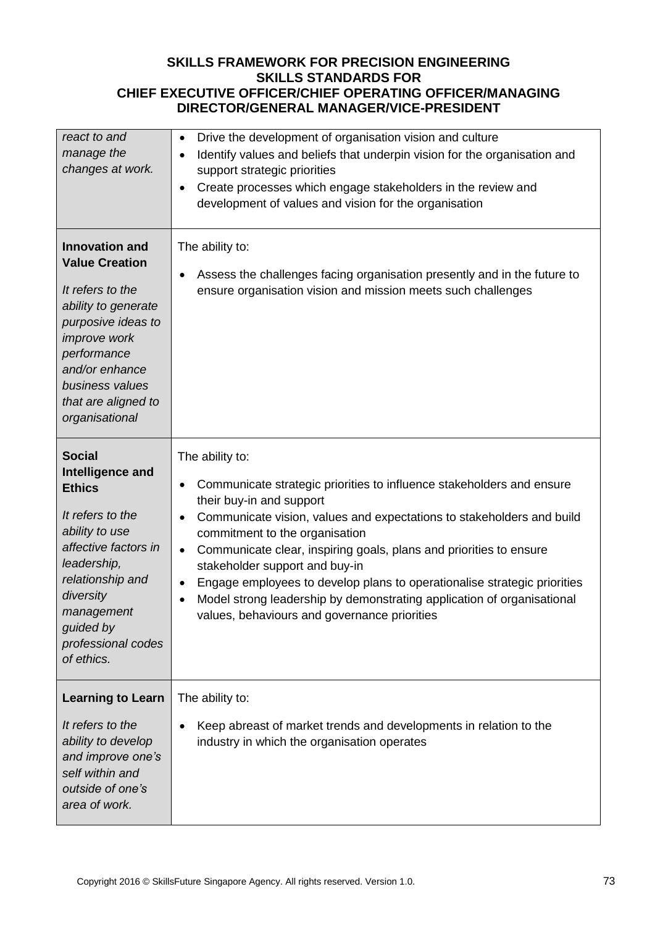| react to and<br>manage the<br>changes at work.                                                                                                                                                                                      | Drive the development of organisation vision and culture<br>$\bullet$<br>Identify values and beliefs that underpin vision for the organisation and<br>support strategic priorities<br>Create processes which engage stakeholders in the review and<br>development of values and vision for the organisation                                                                                                                                                                                                                                                             |
|-------------------------------------------------------------------------------------------------------------------------------------------------------------------------------------------------------------------------------------|-------------------------------------------------------------------------------------------------------------------------------------------------------------------------------------------------------------------------------------------------------------------------------------------------------------------------------------------------------------------------------------------------------------------------------------------------------------------------------------------------------------------------------------------------------------------------|
| <b>Innovation and</b><br><b>Value Creation</b><br>It refers to the<br>ability to generate<br>purposive ideas to<br><i>improve</i> work<br>performance<br>and/or enhance<br>business values<br>that are aligned to<br>organisational | The ability to:<br>Assess the challenges facing organisation presently and in the future to<br>ensure organisation vision and mission meets such challenges                                                                                                                                                                                                                                                                                                                                                                                                             |
| <b>Social</b><br>Intelligence and<br><b>Ethics</b><br>It refers to the<br>ability to use<br>affective factors in<br>leadership,<br>relationship and<br>diversity<br>management<br>guided by<br>professional codes<br>of ethics.     | The ability to:<br>Communicate strategic priorities to influence stakeholders and ensure<br>their buy-in and support<br>Communicate vision, values and expectations to stakeholders and build<br>commitment to the organisation<br>Communicate clear, inspiring goals, plans and priorities to ensure<br>$\bullet$<br>stakeholder support and buy-in<br>Engage employees to develop plans to operationalise strategic priorities<br>$\bullet$<br>Model strong leadership by demonstrating application of organisational<br>values, behaviours and governance priorities |
| <b>Learning to Learn</b><br>It refers to the<br>ability to develop<br>and improve one's<br>self within and<br>outside of one's<br>area of work.                                                                                     | The ability to:<br>Keep abreast of market trends and developments in relation to the<br>industry in which the organisation operates                                                                                                                                                                                                                                                                                                                                                                                                                                     |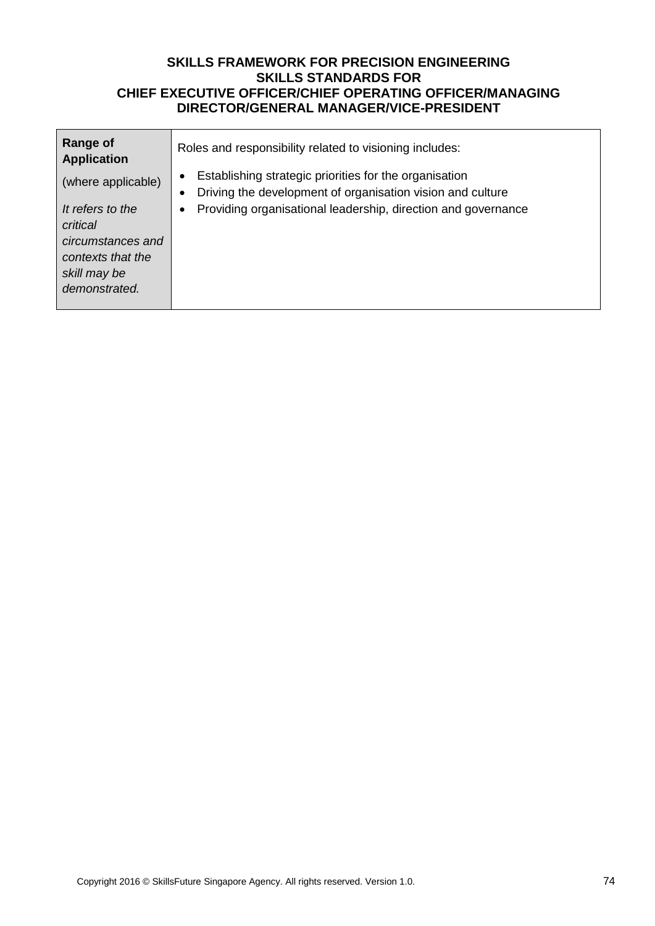| Range of<br><b>Application</b>                                                                          | Roles and responsibility related to visioning includes:                                                                           |
|---------------------------------------------------------------------------------------------------------|-----------------------------------------------------------------------------------------------------------------------------------|
| (where applicable)                                                                                      | Establishing strategic priorities for the organisation<br>Driving the development of organisation vision and culture<br>$\bullet$ |
| It refers to the<br>critical<br>circumstances and<br>contexts that the<br>skill may be<br>demonstrated. | Providing organisational leadership, direction and governance                                                                     |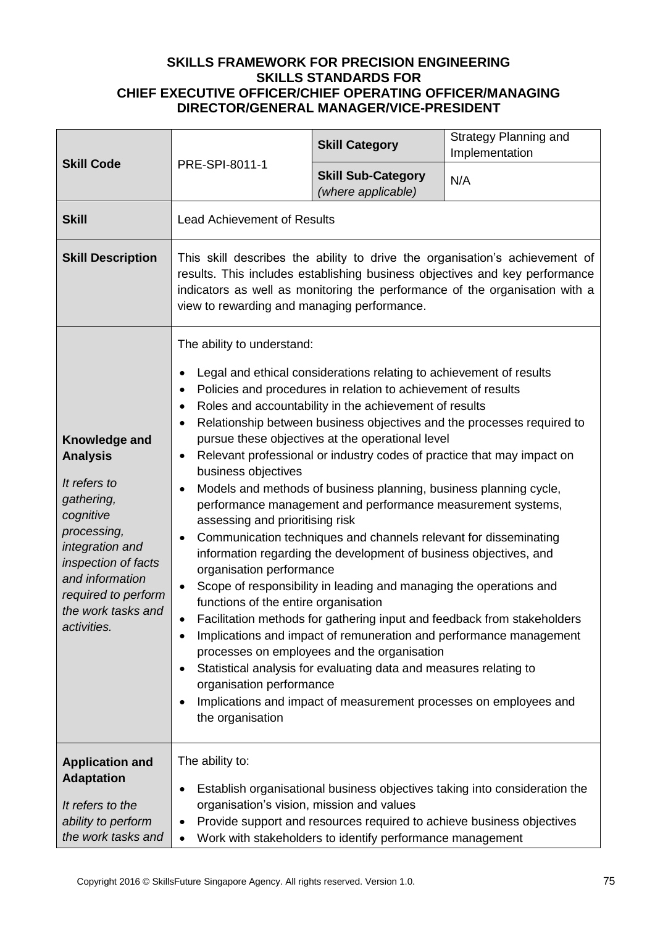| <b>Skill Code</b>                                                                                                                                                                                                   | PRE-SPI-8011-1                                                                                                                                                                                                                                                                                                                                                                                                                                                                                                                                                                                                                                                                                                                                                                                                                                                                                                                                                                                                                                                                                                                                                                                                                                                                                                                 | <b>Skill Category</b>                                     | Strategy Planning and<br>Implementation                                                                                                             |
|---------------------------------------------------------------------------------------------------------------------------------------------------------------------------------------------------------------------|--------------------------------------------------------------------------------------------------------------------------------------------------------------------------------------------------------------------------------------------------------------------------------------------------------------------------------------------------------------------------------------------------------------------------------------------------------------------------------------------------------------------------------------------------------------------------------------------------------------------------------------------------------------------------------------------------------------------------------------------------------------------------------------------------------------------------------------------------------------------------------------------------------------------------------------------------------------------------------------------------------------------------------------------------------------------------------------------------------------------------------------------------------------------------------------------------------------------------------------------------------------------------------------------------------------------------------|-----------------------------------------------------------|-----------------------------------------------------------------------------------------------------------------------------------------------------|
|                                                                                                                                                                                                                     |                                                                                                                                                                                                                                                                                                                                                                                                                                                                                                                                                                                                                                                                                                                                                                                                                                                                                                                                                                                                                                                                                                                                                                                                                                                                                                                                | <b>Skill Sub-Category</b><br>(where applicable)           | N/A                                                                                                                                                 |
| <b>Skill</b>                                                                                                                                                                                                        | <b>Lead Achievement of Results</b>                                                                                                                                                                                                                                                                                                                                                                                                                                                                                                                                                                                                                                                                                                                                                                                                                                                                                                                                                                                                                                                                                                                                                                                                                                                                                             |                                                           |                                                                                                                                                     |
| <b>Skill Description</b>                                                                                                                                                                                            | This skill describes the ability to drive the organisation's achievement of<br>results. This includes establishing business objectives and key performance<br>indicators as well as monitoring the performance of the organisation with a<br>view to rewarding and managing performance.                                                                                                                                                                                                                                                                                                                                                                                                                                                                                                                                                                                                                                                                                                                                                                                                                                                                                                                                                                                                                                       |                                                           |                                                                                                                                                     |
| Knowledge and<br><b>Analysis</b><br>It refers to<br>gathering,<br>cognitive<br>processing,<br>integration and<br>inspection of facts<br>and information<br>required to perform<br>the work tasks and<br>activities. | The ability to understand:<br>Legal and ethical considerations relating to achievement of results<br>Policies and procedures in relation to achievement of results<br>٠<br>Roles and accountability in the achievement of results<br>Relationship between business objectives and the processes required to<br>pursue these objectives at the operational level<br>Relevant professional or industry codes of practice that may impact on<br>٠<br>business objectives<br>Models and methods of business planning, business planning cycle,<br>performance management and performance measurement systems,<br>assessing and prioritising risk<br>Communication techniques and channels relevant for disseminating<br>information regarding the development of business objectives, and<br>organisation performance<br>Scope of responsibility in leading and managing the operations and<br>٠<br>functions of the entire organisation<br>Facilitation methods for gathering input and feedback from stakeholders<br>Implications and impact of remuneration and performance management<br>processes on employees and the organisation<br>Statistical analysis for evaluating data and measures relating to<br>organisation performance<br>Implications and impact of measurement processes on employees and<br>the organisation |                                                           |                                                                                                                                                     |
| <b>Application and</b><br><b>Adaptation</b><br>It refers to the<br>ability to perform<br>the work tasks and                                                                                                         | The ability to:<br>organisation's vision, mission and values<br>$\bullet$                                                                                                                                                                                                                                                                                                                                                                                                                                                                                                                                                                                                                                                                                                                                                                                                                                                                                                                                                                                                                                                                                                                                                                                                                                                      | Work with stakeholders to identify performance management | Establish organisational business objectives taking into consideration the<br>Provide support and resources required to achieve business objectives |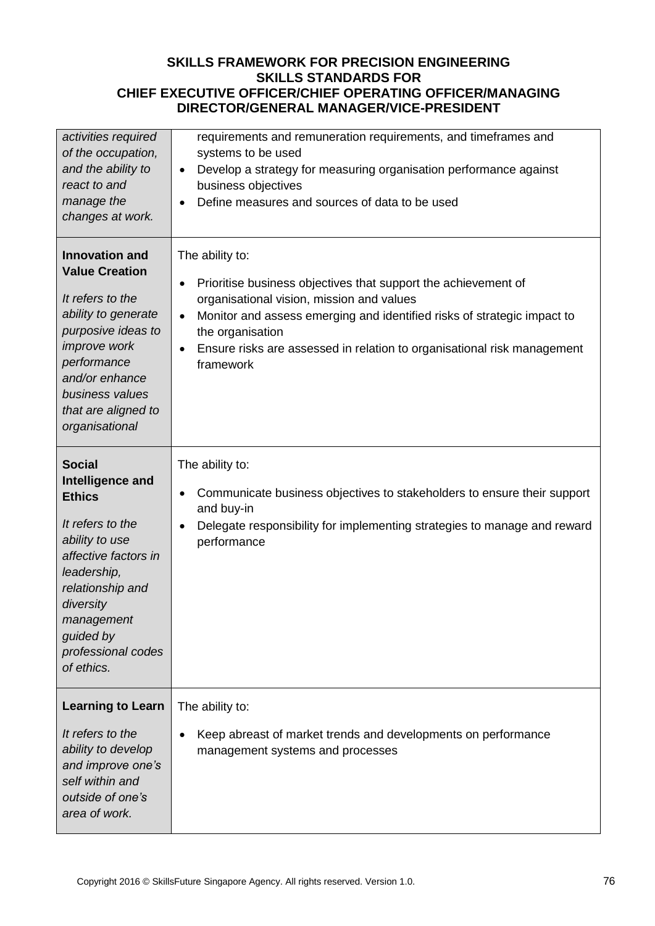| activities required<br>of the occupation,<br>and the ability to<br>react to and<br>manage the<br>changes at work.                                                                                                                   | requirements and remuneration requirements, and timeframes and<br>systems to be used<br>Develop a strategy for measuring organisation performance against<br>$\bullet$<br>business objectives<br>Define measures and sources of data to be used                                                                       |
|-------------------------------------------------------------------------------------------------------------------------------------------------------------------------------------------------------------------------------------|-----------------------------------------------------------------------------------------------------------------------------------------------------------------------------------------------------------------------------------------------------------------------------------------------------------------------|
| <b>Innovation and</b><br><b>Value Creation</b><br>It refers to the<br>ability to generate<br>purposive ideas to<br><i>improve</i> work<br>performance<br>and/or enhance<br>business values<br>that are aligned to<br>organisational | The ability to:<br>Prioritise business objectives that support the achievement of<br>organisational vision, mission and values<br>Monitor and assess emerging and identified risks of strategic impact to<br>the organisation<br>Ensure risks are assessed in relation to organisational risk management<br>framework |
| <b>Social</b><br>Intelligence and<br><b>Ethics</b><br>It refers to the<br>ability to use<br>affective factors in<br>leadership,<br>relationship and<br>diversity<br>management<br>guided by<br>professional codes<br>of ethics.     | The ability to:<br>Communicate business objectives to stakeholders to ensure their support<br>٠<br>and buy-in<br>Delegate responsibility for implementing strategies to manage and reward<br>performance                                                                                                              |
| <b>Learning to Learn</b><br>It refers to the<br>ability to develop<br>and improve one's<br>self within and<br>outside of one's<br>area of work.                                                                                     | The ability to:<br>Keep abreast of market trends and developments on performance<br>management systems and processes                                                                                                                                                                                                  |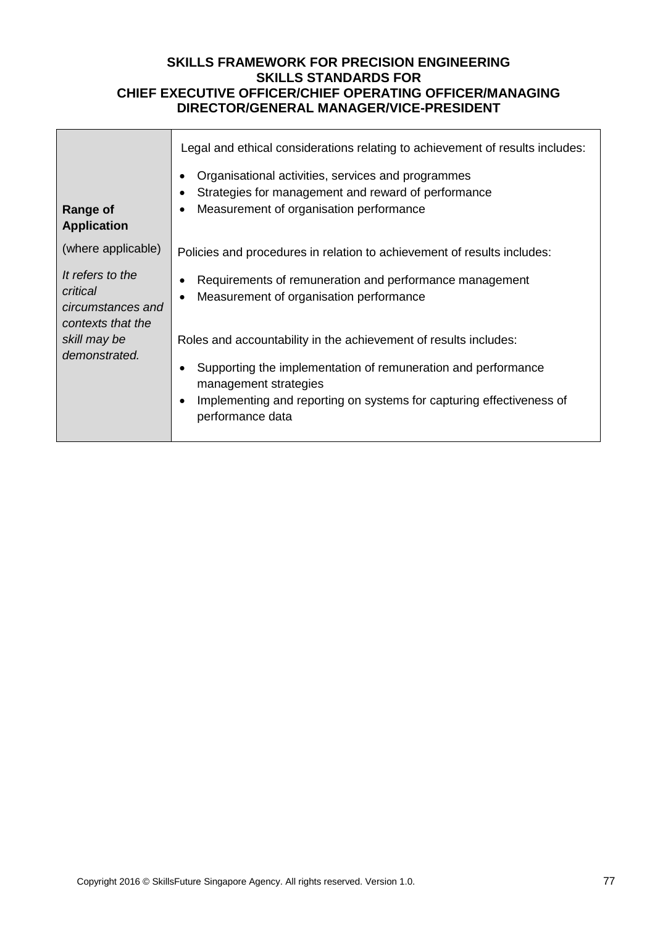|                                                                                                         | Legal and ethical considerations relating to achievement of results includes:                                                                                               |
|---------------------------------------------------------------------------------------------------------|-----------------------------------------------------------------------------------------------------------------------------------------------------------------------------|
| <b>Range of</b><br><b>Application</b>                                                                   | Organisational activities, services and programmes<br>$\bullet$<br>Strategies for management and reward of performance<br>٠<br>Measurement of organisation performance<br>٠ |
| (where applicable)                                                                                      | Policies and procedures in relation to achievement of results includes:                                                                                                     |
| It refers to the<br>critical<br>circumstances and<br>contexts that the<br>skill may be<br>demonstrated. | Requirements of remuneration and performance management<br>Measurement of organisation performance<br>$\bullet$                                                             |
|                                                                                                         | Roles and accountability in the achievement of results includes:                                                                                                            |
|                                                                                                         | Supporting the implementation of remuneration and performance<br>٠<br>management strategies                                                                                 |
|                                                                                                         | Implementing and reporting on systems for capturing effectiveness of<br>$\bullet$<br>performance data                                                                       |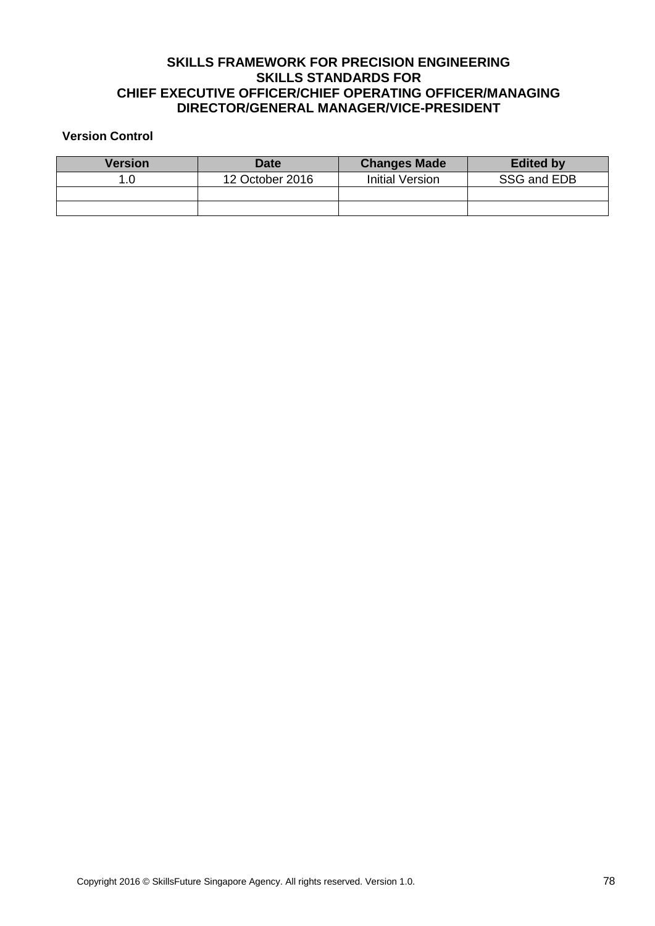#### **Version Control**

| <b>Version</b> | <b>Date</b>     | <b>Changes Made</b>    | <b>Edited by</b> |
|----------------|-----------------|------------------------|------------------|
| 1.0            | 12 October 2016 | <b>Initial Version</b> | SSG and EDB      |
|                |                 |                        |                  |
|                |                 |                        |                  |